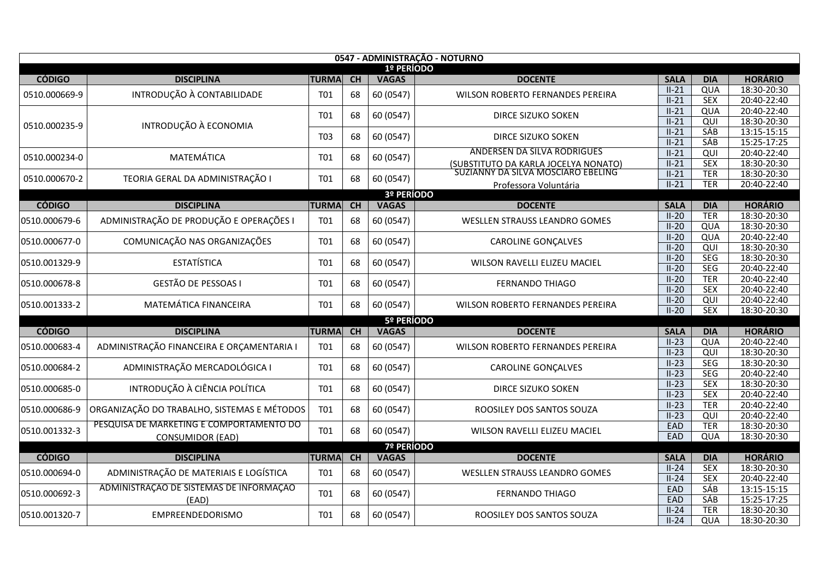| 0547 - ADMINISTRAÇÃO - NOTURNO |                                             |              |    |                   |                                      |                        |                   |                               |  |  |  |
|--------------------------------|---------------------------------------------|--------------|----|-------------------|--------------------------------------|------------------------|-------------------|-------------------------------|--|--|--|
|                                |                                             |              |    | 1º PERÍODO        |                                      |                        |                   |                               |  |  |  |
| <b>CÓDIGO</b>                  | <b>DISCIPLINA</b>                           | <b>TURMA</b> | CH | <b>VAGAS</b>      | <b>DOCENTE</b>                       | <b>SALA</b>            | <b>DIA</b>        | <b>HORÁRIO</b>                |  |  |  |
| 0510.000669-9                  | INTRODUÇÃO À CONTABILIDADE                  | T01          | 68 | 60 (0547)         | WILSON ROBERTO FERNANDES PEREIRA     | $II-21$                | QUA               | 18:30-20:30                   |  |  |  |
|                                |                                             |              |    |                   |                                      | $II-21$                | <b>SEX</b>        | 20:40-22:40                   |  |  |  |
|                                |                                             | T01          | 68 | 60 (0547)         | DIRCE SIZUKO SOKEN                   | $II-21$                | QUA               | 20:40-22:40                   |  |  |  |
| 0510.000235-9                  | INTRODUÇÃO À ECONOMIA                       |              |    |                   |                                      | $II-21$                | QUI<br><b>SÁB</b> | 18:30-20:30                   |  |  |  |
|                                |                                             | T03          | 68 | 60 (0547)         | <b>DIRCE SIZUKO SOKEN</b>            | $II-21$<br>$II-21$     | SÁB               | 13:15-15:15<br>15:25-17:25    |  |  |  |
|                                |                                             |              |    |                   | ANDERSEN DA SILVA RODRIGUES          | $II-21$                | QUI               | 20:40-22:40                   |  |  |  |
| 0510.000234-0                  | MATEMÁTICA                                  | T01          | 68 | 60 (0547)         | (SUBSTITUTO DA KARLA JOCELYA NONATO) | $II-21$                | <b>SEX</b>        | 18:30-20:30                   |  |  |  |
|                                |                                             |              |    |                   | SUZIANNY DA SILVA MOSCIARO EBELING   | $II-21$                | <b>TER</b>        | 18:30-20:30                   |  |  |  |
| 0510.000670-2                  | TEORIA GERAL DA ADMINISTRAÇÃO I             | T01          | 68 | 60 (0547)         | Professora Voluntária                | $II-21$                | <b>TER</b>        | 20:40-22:40                   |  |  |  |
|                                |                                             |              |    | 3º PERÍODO        |                                      |                        |                   |                               |  |  |  |
| <b>CÓDIGO</b>                  | <b>DISCIPLINA</b>                           | <b>TURMA</b> | CH | <b>VAGAS</b>      | <b>DOCENTE</b>                       | <b>SALA</b>            | <b>DIA</b>        | <b>HORÁRIO</b>                |  |  |  |
| 0510.000679-6                  | ADMINISTRAÇÃO DE PRODUÇÃO E OPERAÇÕES I     | T01          | 68 | 60 (0547)         | WESLLEN STRAUSS LEANDRO GOMES        | $II-20$                | <b>TER</b>        | 18:30-20:30                   |  |  |  |
|                                |                                             |              |    |                   |                                      | $II-20$                | QUA               | 18:30-20:30                   |  |  |  |
| 0510.000677-0                  | COMUNICAÇÃO NAS ORGANIZAÇÕES                | <b>T01</b>   | 68 | 60 (0547)         | <b>CAROLINE GONÇALVES</b>            | $II-20$                | QUA               | 20:40-22:40                   |  |  |  |
|                                |                                             |              |    |                   |                                      | $II-20$                | QUI               | 18:30-20:30                   |  |  |  |
| 0510.001329-9                  | <b>ESTATÍSTICA</b>                          | T01          | 68 | 60 (0547)         | WILSON RAVELLI ELIZEU MACIEL         | $II-20$                | <b>SEG</b>        | 18:30-20:30                   |  |  |  |
|                                |                                             |              |    |                   |                                      | $II-20$                | <b>SEG</b>        | 20:40-22:40                   |  |  |  |
| 0510.000678-8                  | <b>GESTÃO DE PESSOAS I</b>                  | T01          | 68 | 60 (0547)         | <b>FERNANDO THIAGO</b>               | $II-20$                | <b>TER</b>        | 20:40-22:40                   |  |  |  |
|                                |                                             |              |    |                   |                                      | $II-20$                | <b>SEX</b>        | 20:40-22:40                   |  |  |  |
| 0510.001333-2                  | MATEMÁTICA FINANCEIRA                       | T01          | 68 | 60 (0547)         | WILSON ROBERTO FERNANDES PEREIRA     | $II-20$                | QUI               | 20:40-22:40                   |  |  |  |
|                                |                                             |              |    |                   |                                      | $II-20$                | <b>SEX</b>        | 18:30-20:30                   |  |  |  |
|                                |                                             |              |    | 5º PERÍODO        |                                      |                        |                   |                               |  |  |  |
| <b>CÓDIGO</b>                  | <b>DISCIPLINA</b>                           | <b>TURMA</b> | CH | <b>VAGAS</b>      | <b>DOCENTE</b>                       | <b>SALA</b><br>$II-23$ | <b>DIA</b><br>QUA | <b>HORÁRIO</b><br>20:40-22:40 |  |  |  |
| 0510.000683-4                  | ADMINISTRAÇÃO FINANCEIRA E ORÇAMENTARIA I   | T01          | 68 | 60 (0547)         | WILSON ROBERTO FERNANDES PEREIRA     | $II-23$                | QUI               | 18:30-20:30                   |  |  |  |
|                                |                                             |              |    |                   |                                      | $II-23$                | <b>SEG</b>        | 18:30-20:30                   |  |  |  |
| 0510.000684-2                  | ADMINISTRAÇÃO MERCADOLÓGICA I               | T01          | 68 | 60 (0547)         | <b>CAROLINE GONÇALVES</b>            | $II-23$                | <b>SEG</b>        | 20:40-22:40                   |  |  |  |
|                                |                                             |              |    |                   |                                      | $II-23$                | <b>SEX</b>        | 18:30-20:30                   |  |  |  |
| 0510.000685-0                  | INTRODUÇÃO À CIÊNCIA POLÍTICA               | T01          | 68 | 60 (0547)         | DIRCE SIZUKO SOKEN                   | $II-23$                | <b>SEX</b>        | 20:40-22:40                   |  |  |  |
|                                |                                             |              |    |                   |                                      | $II-23$                | <b>TER</b>        | 20:40-22:40                   |  |  |  |
| 0510.000686-9                  | ORGANIZAÇÃO DO TRABALHO, SISTEMAS E MÉTODOS | <b>T01</b>   | 68 | 60 (0547)         | ROOSILEY DOS SANTOS SOUZA            | $II-23$                | QUI               | 20:40-22:40                   |  |  |  |
|                                | PESQUISA DE MARKETING E COMPORTAMENTO DO    |              |    |                   |                                      | EAD                    | <b>TER</b>        | 18:30-20:30                   |  |  |  |
| 0510.001332-3                  | <b>CONSUMIDOR (EAD)</b>                     | <b>T01</b>   | 68 | 60 (0547)         | WILSON RAVELLI ELIZEU MACIEL         | EAD                    | QUA               | 18:30-20:30                   |  |  |  |
|                                |                                             |              |    | <b>7º PERÍODO</b> |                                      |                        |                   |                               |  |  |  |
| <b>CÓDIGO</b>                  | <b>DISCIPLINA</b>                           | <b>TURMA</b> | CH | <b>VAGAS</b>      | <b>DOCENTE</b>                       | <b>SALA</b>            | <b>DIA</b>        | <b>HORÁRIO</b>                |  |  |  |
| 0510.000694-0                  | ADMINISTRAÇÃO DE MATERIAIS E LOGÍSTICA      | T01          | 68 | 60 (0547)         | WESLLEN STRAUSS LEANDRO GOMES        | $II-24$                | SEX               | 18:30-20:30                   |  |  |  |
|                                |                                             |              |    |                   |                                      | $II-24$                | <b>SEX</b>        | 20:40-22:40                   |  |  |  |
| 0510.000692-3                  | ADMINISTRAÇÃO DE SISTEMAS DE INFORMAÇÃO     | T01          | 68 | 60 (0547)         | <b>FERNANDO THIAGO</b>               | EAD                    | <b>SÁB</b>        | 13:15-15:15                   |  |  |  |
|                                | (EAD)                                       |              |    |                   |                                      | <b>EAD</b>             | SÁB               | 15:25-17:25                   |  |  |  |
| 0510.001320-7                  | EMPREENDEDORISMO                            | <b>T01</b>   | 68 | 60 (0547)         | ROOSILEY DOS SANTOS SOUZA            | $II-24$                | <b>TER</b>        | 18:30-20:30                   |  |  |  |
|                                |                                             |              |    |                   |                                      | $II-24$                | QUA               | 18:30-20:30                   |  |  |  |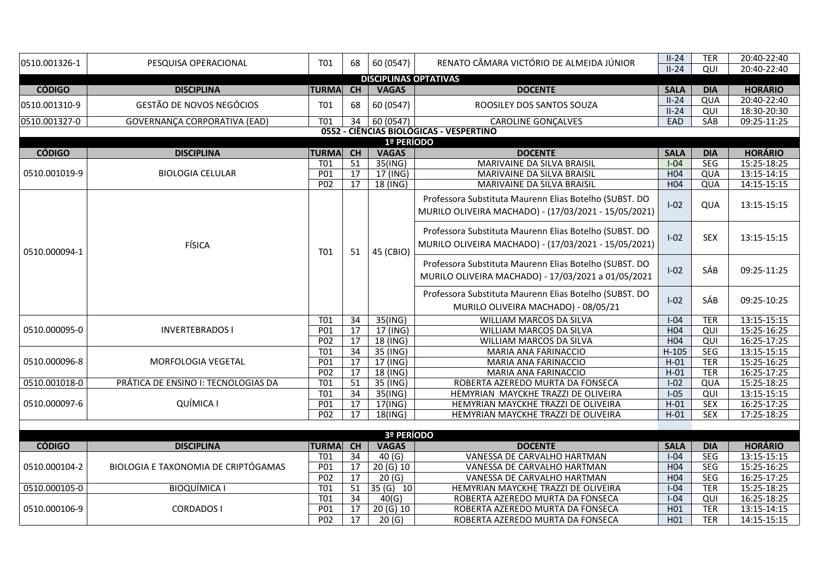| 0510.001326-1           | PESQUISA OPERACIONAL                | T01              | 68              | 60 (0547)                    | RENATO CÂMARA VICTÓRIO DE ALMEIDA JÚNIOR                                                                       | $II-24$            | <b>TER</b> | 20:40-22:40                   |  |  |  |
|-------------------------|-------------------------------------|------------------|-----------------|------------------------------|----------------------------------------------------------------------------------------------------------------|--------------------|------------|-------------------------------|--|--|--|
|                         |                                     |                  |                 |                              |                                                                                                                | $II-24$            | QUI        | 20:40-22:40                   |  |  |  |
|                         |                                     |                  |                 | <b>DISCIPLINAS OPTATIVAS</b> |                                                                                                                |                    |            |                               |  |  |  |
| <b>CÓDIGO</b>           | <b>DISCIPLINA</b>                   | <b>TURMA</b>     | <b>CH</b>       | <b>VAGAS</b>                 | <b>DOCENTE</b>                                                                                                 | <b>SALA</b>        | <b>DIA</b> | <b>HORÁRIO</b><br>20:40-22:40 |  |  |  |
| 0510.001310-9           | GESTÃO DE NOVOS NEGÓCIOS            | T01              | 68              | 60 (0547)                    | ROOSILEY DOS SANTOS SOUZA                                                                                      | $II-24$<br>$II-24$ | QUA<br>QUI | 18:30-20:30                   |  |  |  |
| 0510.001327-0           | GOVERNANÇA CORPORATIVA (EAD)        | <b>T01</b>       | 34              | $\sqrt{60(0547)}$            | <b>CAROLINE GONÇALVES</b>                                                                                      | EAD                | <b>SÁB</b> | 09:25-11:25                   |  |  |  |
|                         |                                     |                  |                 |                              | 0552 - CIÊNCIAS BIOLÓGICAS - VESPERTINO                                                                        |                    |            |                               |  |  |  |
| 1º PERÍODO              |                                     |                  |                 |                              |                                                                                                                |                    |            |                               |  |  |  |
| <b>CÓDIGO</b>           | <b>DISCIPLINA</b>                   | <b>TURMA</b>     | CH              | <b>VAGAS</b>                 | <b>DOCENTE</b>                                                                                                 | <b>SALA</b>        | <b>DIA</b> | <b>HORÁRIO</b>                |  |  |  |
|                         |                                     | T <sub>01</sub>  | 51              | $35($ ING)                   | <b>MARIVAINE DA SILVA BRAISIL</b>                                                                              | $I-04$             | <b>SEG</b> | 15:25-18:25                   |  |  |  |
| 0510.001019-9           | <b>BIOLOGIA CELULAR</b>             | P01              | 17              | 17 (ING)                     | MARIVAINE DA SILVA BRAISIL                                                                                     | H <sub>04</sub>    | QUA        | 13:15-14:15                   |  |  |  |
|                         |                                     | P02              | 17              | 18 (ING)                     | MARIVAINE DA SILVA BRAISIL                                                                                     | H04                | QUA        | 14:15-15:15                   |  |  |  |
|                         |                                     |                  |                 |                              | Professora Substituta Maurenn Elias Botelho (SUBST. DO<br>MURILO OLIVEIRA MACHADO) - (17/03/2021 - 15/05/2021) | $I-02$             | QUA        | 13:15-15:15                   |  |  |  |
| FÍSICA<br>0510.000094-1 |                                     | T01              | 51              | 45 (CBIO)                    | Professora Substituta Maurenn Elias Botelho (SUBST. DO<br>MURILO OLIVEIRA MACHADO) - (17/03/2021 - 15/05/2021) | $I-02$             | <b>SEX</b> | 13:15-15:15                   |  |  |  |
|                         |                                     |                  |                 |                              | Professora Substituta Maurenn Elias Botelho (SUBST. DO<br>MURILO OLIVEIRA MACHADO) - 17/03/2021 a 01/05/2021   | $I-02$             | SÁB        | 09:25-11:25                   |  |  |  |
|                         |                                     |                  |                 |                              | Professora Substituta Maurenn Elias Botelho (SUBST. DO<br>MURILO OLIVEIRA MACHADO) - 08/05/21                  | $I-02$             | SÁB        | 09:25-10:25                   |  |  |  |
|                         |                                     | T <sub>01</sub>  | 34              | 35(ING)                      | WILLIAM MARCOS DA SILVA                                                                                        | $I-04$             | <b>TER</b> | 13:15-15:15                   |  |  |  |
| 0510.000095-0           | <b>INVERTEBRADOS I</b>              | P01              | 17              | 17 (ING)                     | WILLIAM MARCOS DA SILVA                                                                                        | H04                | QUI        | 15:25-16:25                   |  |  |  |
|                         |                                     | P <sub>02</sub>  | 17              | 18 (ING)                     | WILLIAM MARCOS DA SILVA                                                                                        | H <sub>04</sub>    | QUI        | 16:25-17:25                   |  |  |  |
|                         |                                     | <b>T01</b>       | $\overline{34}$ | 35 (ING)                     | MARIA ANA FARINACCIO                                                                                           | $H-105$            | SEG        | 13:15-15:15                   |  |  |  |
| 0510.000096-8           | MORFOLOGIA VEGETAL                  | P <sub>01</sub>  | 17              | 17 (ING)                     | MARIA ANA FARINACCIO                                                                                           | $H-01$             | <b>TER</b> | 15:25-16:25                   |  |  |  |
|                         |                                     | P <sub>02</sub>  | 17              | 18 (ING)                     | MARIA ANA FARINACCIO                                                                                           | $H-01$             | <b>TER</b> | 16:25-17:25                   |  |  |  |
| 0510.001018-0           | PRÁTICA DE ENSINO I: TECNOLOGIAS DA | $\overline{101}$ | $\overline{51}$ | 35 (ING)                     | ROBERTA AZEREDO MURTA DA FONSECA                                                                               | $I-02$             | QUA        | 15:25-18:25                   |  |  |  |
|                         |                                     | <b>T01</b>       | 34              | $35($ ING)                   | HEMYRIAN MAYCKHE TRAZZI DE OLIVEIRA                                                                            | $I-05$             | QUI        | 13:15-15:15                   |  |  |  |
| 0510.000097-6           | QUÍMICA I                           | P01              | 17              | 17(ING)                      | HEMYRIAN MAYCKHE TRAZZI DE OLIVEIRA                                                                            | $H-01$             | SEX        | 16:25-17:25                   |  |  |  |
|                         |                                     | P02              | 17              | 18(ING)                      | HEMYRIAN MAYCKHE TRAZZI DE OLIVEIRA                                                                            | $H-01$             | <b>SEX</b> | 17:25-18:25                   |  |  |  |
|                         |                                     |                  |                 | 3º PERÍODO                   |                                                                                                                |                    |            |                               |  |  |  |
| <b>CÓDIGO</b>           | <b>DISCIPLINA</b>                   | <b>TURMA</b>     | CH              | <b>VAGAS</b>                 | <b>DOCENTE</b>                                                                                                 | <b>SALA</b>        | <b>DIA</b> | <b>HORÁRIO</b>                |  |  |  |
|                         |                                     | <b>T01</b>       | 34              | 40(G)                        | VANESSA DE CARVALHO HARTMAN                                                                                    | $I-04$             | SEG        | 13:15-15:15                   |  |  |  |
| 0510.000104-2           | BIOLOGIA E TAXONOMIA DE CRIPTÓGAMAS | P01              | 17              | 20 (G) 10                    | VANESSA DE CARVALHO HARTMAN                                                                                    | H <sub>04</sub>    | SEG        | 15:25-16:25                   |  |  |  |
|                         |                                     | P <sub>02</sub>  | 17              | 20(6)                        | VANESSA DE CARVALHO HARTMAN                                                                                    | H <sub>04</sub>    | SEG        | 16:25-17:25                   |  |  |  |
| 0510.000105-0           | <b>BIOQUÍMICA I</b>                 | <b>T01</b>       | 51              | 35 $(G)$ 10                  | HEMYRIAN MAYCKHE TRAZZI DE OLIVEIRA                                                                            | $I-04$             | <b>TER</b> | 15:25-18:25                   |  |  |  |
|                         |                                     | <b>T01</b>       | 34              | 40(G)                        | ROBERTA AZEREDO MURTA DA FONSECA                                                                               | $I-04$             | QUI        | 16:25-18:25                   |  |  |  |
| 0510.000106-9           |                                     |                  |                 | 20 (G) 10                    |                                                                                                                | H01                | <b>TER</b> | 13:15-14:15                   |  |  |  |
|                         | <b>CORDADOS I</b>                   | P01              | 17              |                              | ROBERTA AZEREDO MURTA DA FONSECA                                                                               |                    |            |                               |  |  |  |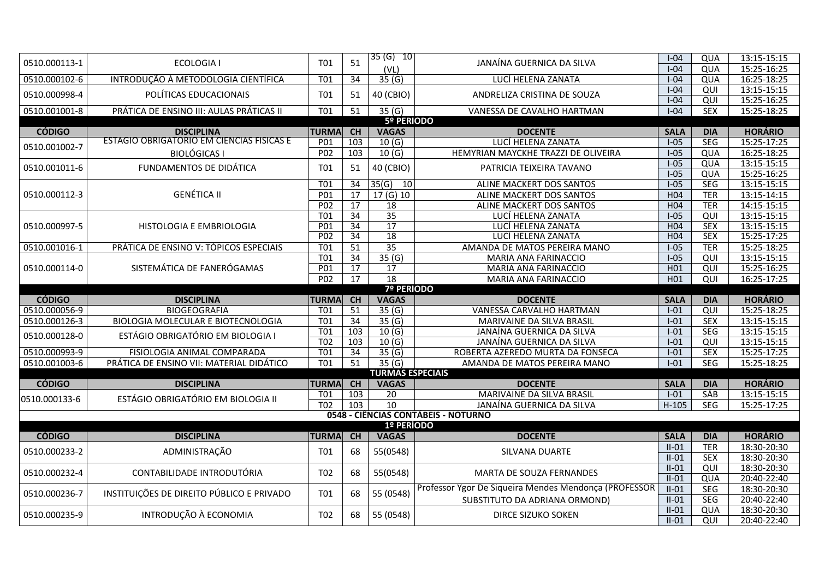| 0510.000113-1 | <b>ECOLOGIA I</b>                         | <b>T01</b>       | 51              | $35(G)$ 10              | JANAÍNA GUERNICA DA SILVA                             | $I-04$             | QUA             | 13:15-15:15                |  |  |  |  |  |
|---------------|-------------------------------------------|------------------|-----------------|-------------------------|-------------------------------------------------------|--------------------|-----------------|----------------------------|--|--|--|--|--|
|               |                                           |                  |                 | (VL)                    |                                                       | $I-04$             | QUA             | 15:25-16:25                |  |  |  |  |  |
| 0510.000102-6 | INTRODUÇÃO À METODOLOGIA CIENTÍFICA       | <b>T01</b>       | 34              | 35(G)                   | LUCÍ HELENA ZANATA                                    | $I-04$             | QUA             | 16:25-18:25                |  |  |  |  |  |
| 0510.000998-4 | POLÍTICAS EDUCACIONAIS                    | <b>T01</b>       | 51              | 40 (CBIO)               | ANDRELIZA CRISTINA DE SOUZA                           | $I-04$             | QUI             | 13:15-15:15                |  |  |  |  |  |
|               |                                           |                  |                 |                         |                                                       | $I-04$             | $\overline{Q}$  | 15:25-16:25                |  |  |  |  |  |
| 0510.001001-8 | PRÁTICA DE ENSINO III: AULAS PRÁTICAS II  | T <sub>01</sub>  | $\overline{51}$ | 35(6)                   | VANESSA DE CAVALHO HARTMAN                            | $I-04$             | <b>SEX</b>      | 15:25-18:25                |  |  |  |  |  |
|               |                                           |                  |                 | 5º PERÍODO              |                                                       |                    |                 |                            |  |  |  |  |  |
| <b>CÓDIGO</b> | <b>DISCIPLINA</b>                         | <b>TURMA</b>     | <b>CH</b>       | <b>VAGAS</b>            | <b>DOCENTE</b>                                        | <b>SALA</b>        | <b>DIA</b>      | <b>HORÁRIO</b>             |  |  |  |  |  |
| 0510.001002-7 | ESTÁGIO OBRIGATÓRIO EM CIÊNCIAS FÍSICAS E | P01              | 103             | 10(G)                   | LUCÍ HELENA ZANATA                                    | $I-05$             | <b>SEG</b>      | 15:25-17:25                |  |  |  |  |  |
|               | <b>BIOLÓGICAS I</b>                       | P <sub>02</sub>  | $\frac{103}{ }$ | 10(6)                   | HEMYRIAN MAYCKHE TRAZZI DE OLIVEIRA                   | $I-05$             | QUA             | 16:25-18:25                |  |  |  |  |  |
| 0510.001011-6 | FUNDAMENTOS DE DIDÁTICA                   | <b>T01</b>       | 51              | 40 (CBIO)               | PATRICIA TEIXEIRA TAVANO                              | $I-05$             | QUA             | 13:15-15:15                |  |  |  |  |  |
|               |                                           |                  |                 |                         |                                                       | $I-05$             | QUA             | 15:25-16:25                |  |  |  |  |  |
|               |                                           | <b>T01</b>       | 34              | $35(G)$ 10              | ALINE MACKERT DOS SANTOS                              | $I-05$             | <b>SEG</b>      | 13:15-15:15                |  |  |  |  |  |
| 0510.000112-3 | <b>GENÉTICA II</b>                        | P <sub>01</sub>  | $\overline{17}$ | 17(6)10                 | ALINE MACKERT DOS SANTOS                              | H <sub>04</sub>    | <b>TER</b>      | 13:15-14:15                |  |  |  |  |  |
|               |                                           | P02              | 17              | 18                      | ALINE MACKERT DOS SANTOS                              | H04                | <b>TER</b>      | 14:15-15:15                |  |  |  |  |  |
|               |                                           | T01              | $\overline{34}$ | $\overline{35}$         | LUCÍ HELENA ZANATA                                    | $I-05$             | QUI             | 13:15-15:15                |  |  |  |  |  |
| 0510.000997-5 | HISTOLOGIA E EMBRIOLOGIA                  | P <sub>01</sub>  | $\overline{34}$ | $\overline{17}$         | LUCÍ HELENA ZANATA                                    | H <sub>04</sub>    | <b>SEX</b>      | 13:15-15:15                |  |  |  |  |  |
|               |                                           | P <sub>02</sub>  | 34              | 18                      | LUCÍ HELENA ZANATA                                    | H <sub>04</sub>    | <b>SEX</b>      | 15:25-17:25                |  |  |  |  |  |
| 0510.001016-1 | PRÁTICA DE ENSINO V: TÓPICOS ESPECIAIS    | T <sub>01</sub>  | $\overline{51}$ | $\overline{35}$         | AMANDA DE MATOS PEREIRA MANO                          | $I-05$             | <b>TER</b>      | 15:25-18:25                |  |  |  |  |  |
|               |                                           | T01              | $\overline{34}$ | 35(6)                   | MARIA ANA FARINACCIO                                  | $I-05$             | QUI             | 13:15-15:15                |  |  |  |  |  |
| 0510.000114-0 |                                           | P <sub>01</sub>  | 17              | 17                      | MARIA ANA FARINACCIO                                  | H01                | QUI             | 15:25-16:25                |  |  |  |  |  |
|               | SISTEMÁTICA DE FANERÓGAMAS                | P <sub>02</sub>  | $\overline{17}$ | $\overline{18}$         | MARIA ANA FARINACCIO                                  | H <sub>01</sub>    | $\overline{Q}$  | 16:25-17:25                |  |  |  |  |  |
|               | 7º PERÍODO                                |                  |                 |                         |                                                       |                    |                 |                            |  |  |  |  |  |
|               |                                           |                  |                 |                         |                                                       |                    |                 |                            |  |  |  |  |  |
| <b>CÓDIGO</b> | <b>DISCIPLINA</b>                         | <b>TURMA</b>     | CH              | <b>VAGAS</b>            | <b>DOCENTE</b>                                        | <b>SALA</b>        | <b>DIA</b>      | <b>HORÁRIO</b>             |  |  |  |  |  |
| 0510.000056-9 | <b>BIOGEOGRAFIA</b>                       | T01              | 51              | 35(6)                   | VANESSA CARVALHO HARTMAN                              | $I-01$             | QUI             | 15:25-18:25                |  |  |  |  |  |
| 0510.000126-3 | BIOLOGIA MOLECULAR E BIOTECNOLOGIA        | $\overline{101}$ | $\overline{34}$ | 35(6)                   | MARIVAINE DA SILVA BRASIL                             | $I-01$             | <b>SEX</b>      | 13:15-15:15                |  |  |  |  |  |
|               |                                           | T01              | 103             | 10(G)                   | JANAÍNA GUERNICA DA SILVA                             | $I-01$             | <b>SEG</b>      | 13:15-15:15                |  |  |  |  |  |
| 0510.000128-0 | ESTÁGIO OBRIGATÓRIO EM BIOLOGIA I         | $\overline{102}$ | $\frac{103}{2}$ | 10(6)                   | JANAÍNA GUERNICA DA SILVA                             | $I-01$             | $\overline{Q}$  | 13:15-15:15                |  |  |  |  |  |
| 0510.000993-9 | FISIOLOGIA ANIMAL COMPARADA               | $\overline{101}$ | 34              | 35(6)                   | ROBERTA AZEREDO MURTA DA FONSECA                      | $I-01$             | <b>SEX</b>      | 15:25-17:25                |  |  |  |  |  |
| 0510.001003-6 | PRÁTICA DE ENSINO VII: MATERIAL DIDÁTICO  | T01              | $\overline{51}$ | $\overline{35(6)}$      | AMANDA DE MATOS PEREIRA MANO                          | $I-01$             | <b>SEG</b>      | 15:25-18:25                |  |  |  |  |  |
|               |                                           |                  |                 | <b>TURMAS ESPECIAIS</b> |                                                       |                    |                 |                            |  |  |  |  |  |
| <b>CÓDIGO</b> | <b>DISCIPLINA</b>                         | <b>TURMA</b>     | <b>CH</b>       | <b>VAGAS</b>            | <b>DOCENTE</b>                                        | <b>SALA</b>        | <b>DIA</b>      | <b>HORÁRIO</b>             |  |  |  |  |  |
|               |                                           | T01              | 103             | 20                      | MARIVAINE DA SILVA BRASIL                             | $I-01$             | SÁB             | 13:15-15:15                |  |  |  |  |  |
| 0510.000133-6 | ESTÁGIO OBRIGATÓRIO EM BIOLOGIA II        | T <sub>02</sub>  | 103             | $\overline{10}$         | JANAÍNA GUERNICA DA SILVA                             | $H-105$            | <b>SEG</b>      | 15:25-17:25                |  |  |  |  |  |
|               |                                           |                  |                 |                         | 0548 - CIÊNCIAS CONTÁBEIS - NOTURNO                   |                    |                 |                            |  |  |  |  |  |
|               |                                           |                  |                 | 1º PERÍODO              |                                                       |                    |                 |                            |  |  |  |  |  |
| <b>CÓDIGO</b> | <b>DISCIPLINA</b>                         | <b>TURMA</b>     | CH              | <b>VAGAS</b>            | <b>DOCENTE</b>                                        | <b>SALA</b>        | <b>DIA</b>      | <b>HORÁRIO</b>             |  |  |  |  |  |
|               |                                           |                  |                 |                         |                                                       | $II-01$            | <b>TER</b>      | 18:30-20:30                |  |  |  |  |  |
| 0510.000233-2 | ADMINISTRAÇÃO                             | <b>T01</b>       | 68              | 55(0548)                | SILVANA DUARTE                                        | $II-01$            | <b>SEX</b>      | 18:30-20:30                |  |  |  |  |  |
|               |                                           |                  |                 |                         |                                                       | $II-01$            | $\overline{QU}$ | 18:30-20:30                |  |  |  |  |  |
| 0510.000232-4 | CONTABILIDADE INTRODUTÓRIA                | T <sub>02</sub>  | 68              | 55(0548)                | MARTA DE SOUZA FERNANDES                              | $II-01$            | QUA             | 20:40-22:40                |  |  |  |  |  |
|               |                                           |                  |                 |                         | Professor Ygor De Siqueira Mendes Mendonça (PROFESSOR | $II-01$            | <b>SEG</b>      | 18:30-20:30                |  |  |  |  |  |
| 0510.000236-7 | INSTITUIÇÕES DE DIREITO PÚBLICO E PRIVADO | <b>T01</b>       | 68              | 55 (0548)               | SUBSTITUTO DA ADRIANA ORMOND)                         | $II-01$            | SEG             | 20:40-22:40                |  |  |  |  |  |
| 0510.000235-9 | INTRODUÇÃO À ECONOMIA                     | T <sub>02</sub>  | 68              | 55 (0548)               | DIRCE SIZUKO SOKEN                                    | $II-01$<br>$II-01$ | QUA<br>QUI      | 18:30-20:30<br>20:40-22:40 |  |  |  |  |  |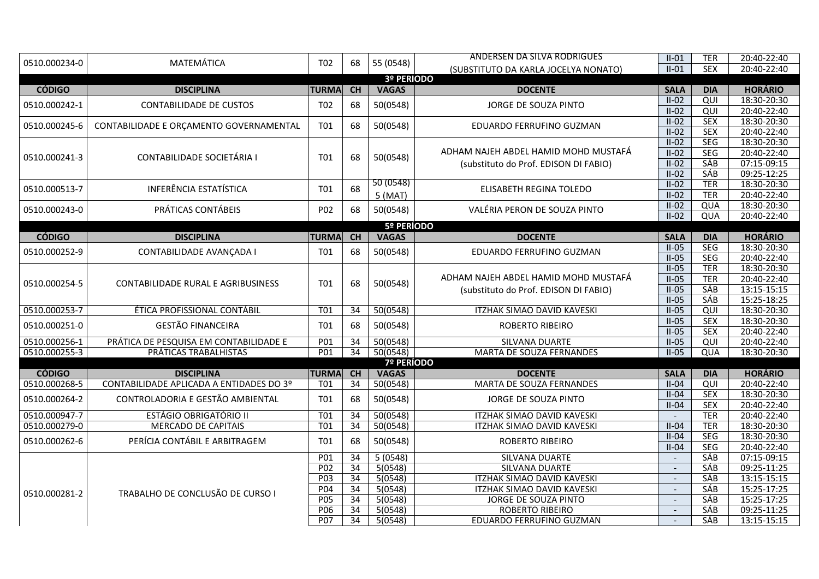| 0510.000234-0 | MATEMÁTICA                               | T <sub>02</sub> | 68              | 55 (0548)         | ANDERSEN DA SILVA RODRIGUES           | $II-01$                  | <b>TER</b>               | 20:40-22:40                   |
|---------------|------------------------------------------|-----------------|-----------------|-------------------|---------------------------------------|--------------------------|--------------------------|-------------------------------|
|               |                                          |                 |                 |                   | (SUBSTITUTO DA KARLA JOCELYA NONATO)  | $II-01$                  | <b>SEX</b>               | 20:40-22:40                   |
|               |                                          |                 |                 | 3º PERÍODO        |                                       |                          |                          |                               |
| <b>CÓDIGO</b> | <b>DISCIPLINA</b>                        | <b>TURMA</b>    | CH              | <b>VAGAS</b>      | <b>DOCENTE</b>                        | <b>SALA</b>              | <b>DIA</b>               | <b>HORÁRIO</b>                |
| 0510.000242-1 | <b>CONTABILIDADE DE CUSTOS</b>           | T <sub>02</sub> | 68              | 50(0548)          | JORGE DE SOUZA PINTO                  | $II-02$                  | $\overline{Q}$           | 18:30-20:30                   |
|               |                                          |                 |                 |                   |                                       | $II-02$                  | QUI                      | 20:40-22:40                   |
| 0510.000245-6 | CONTABILIDADE E ORÇAMENTO GOVERNAMENTAL  | T01             | 68              | 50(0548)          | EDUARDO FERRUFINO GUZMAN              | $II-02$                  | <b>SEX</b>               | 18:30-20:30                   |
|               |                                          |                 |                 |                   |                                       | $II-02$                  | <b>SEX</b>               | 20:40-22:40                   |
|               |                                          |                 |                 |                   |                                       | $II-02$                  | <b>SEG</b>               | 18:30-20:30                   |
| 0510.000241-3 | CONTABILIDADE SOCIETÁRIA I               | <b>T01</b>      | 68              | 50(0548)          | ADHAM NAJEH ABDEL HAMID MOHD MUSTAFÁ  | $II-02$                  | <b>SEG</b>               | 20:40-22:40                   |
|               |                                          |                 |                 |                   | (substituto do Prof. EDISON DI FABIO) | $II-02$                  | <b>SÁB</b>               | 07:15-09:15                   |
|               |                                          |                 |                 |                   |                                       | $II-02$                  | <b>SÁB</b>               | 09:25-12:25                   |
| 0510.000513-7 | <b>INFERÊNCIA ESTATÍSTICA</b>            | T01             | 68              | 50 (0548)         | ELISABETH REGINA TOLEDO               | $II-02$                  | <b>TER</b>               | 18:30-20:30                   |
|               |                                          |                 |                 | 5(MAT)            |                                       | $II-02$                  | <b>TER</b>               | 20:40-22:40                   |
| 0510.000243-0 | PRÁTICAS CONTÁBEIS                       | P02             | 68              | 50(0548)          | VALÉRIA PERON DE SOUZA PINTO          | $II-02$                  | QUA                      | 18:30-20:30                   |
|               |                                          |                 |                 |                   |                                       | $II-02$                  | QUA                      | 20:40-22:40                   |
|               |                                          |                 |                 | 5º PERÍODO        |                                       |                          |                          |                               |
| <b>CÓDIGO</b> | <b>DISCIPLINA</b>                        | <b>TURMA</b>    | <b>CH</b>       | <b>VAGAS</b>      | <b>DOCENTE</b>                        | <b>SALA</b>              | <b>DIA</b><br><b>SEG</b> | <b>HORÁRIO</b><br>18:30-20:30 |
| 0510.000252-9 | CONTABILIDADE AVANÇADA I                 | T01             | 68              | 50(0548)          | EDUARDO FERRUFINO GUZMAN              | $II-05$<br>$II-05$       | SEG                      | 20:40-22:40                   |
|               |                                          |                 |                 |                   |                                       | $II-05$                  | <b>TER</b>               | 18:30-20:30                   |
|               |                                          |                 |                 |                   | ADHAM NAJEH ABDEL HAMID MOHD MUSTAFÁ  | $II-05$                  | <b>TER</b>               | 20:40-22:40                   |
| 0510.000254-5 | CONTABILIDADE RURAL E AGRIBUSINESS       | T01             | 68              | 50(0548)          | (substituto do Prof. EDISON DI FABIO) | $II-05$                  | SÁB                      | 13:15-15:15                   |
|               |                                          |                 |                 |                   |                                       | $II-05$                  | SÁB                      | 15:25-18:25                   |
| 0510.000253-7 | ÉTICA PROFISSIONAL CONTÁBIL              | T01             | 34              | 50(0548)          | ITZHAK SIMAO DAVID KAVESKI            | $II-05$                  | QUI                      | 18:30-20:30                   |
|               |                                          |                 |                 |                   |                                       | $II-05$                  | <b>SEX</b>               | 18:30-20:30                   |
| 0510.000251-0 | <b>GESTÃO FINANCEIRA</b>                 | T01             | 68              | 50(0548)          | ROBERTO RIBEIRO                       | $II-05$                  | <b>SEX</b>               | 20:40-22:40                   |
| 0510.000256-1 | PRÁTICA DE PESQUISA EM CONTABILIDADE E   | P <sub>01</sub> | $\overline{34}$ | 50(0548)          | SILVANA DUARTE                        | $II-05$                  | $\overline{Q}$           | 20:40-22:40                   |
| 0510.000255-3 | PRÁTICAS TRABALHISTAS                    | P <sub>01</sub> | $\overline{34}$ | 50(0548)          | MARTA DE SOUZA FERNANDES              | $II-05$                  | QUA                      | 18:30-20:30                   |
|               |                                          |                 |                 | <b>7º PERÍODO</b> |                                       |                          |                          |                               |
| <b>CÓDIGO</b> | <b>DISCIPLINA</b>                        | <b>TURMA</b>    | CH              | <b>VAGAS</b>      | <b>DOCENTE</b>                        | <b>SALA</b>              | <b>DIA</b>               | <b>HORÁRIO</b>                |
| 0510.000268-5 | CONTABILIDADE APLICADA A ENTIDADES DO 3º | T01             | 34              | 50(0548)          | MARTA DE SOUZA FERNANDES              | $II-04$                  | QUI                      | 20:40-22:40                   |
|               |                                          |                 |                 |                   |                                       | $II-04$                  | <b>SEX</b>               | 18:30-20:30                   |
| 0510.000264-2 | CONTROLADORIA E GESTÃO AMBIENTAL         | T01             | 68              | 50(0548)          | JORGE DE SOUZA PINTO                  | $II-04$                  | <b>SEX</b>               | 20:40-22:40                   |
| 0510.000947-7 | <b>ESTÁGIO OBRIGATÓRIO II</b>            | T01             | 34              | 50(0548)          | ITZHAK SIMAO DAVID KAVESKI            |                          | <b>TER</b>               | 20:40-22:40                   |
| 0510.000279-0 | <b>MERCADO DE CAPITAIS</b>               | <b>T01</b>      | $\overline{34}$ | 50(0548)          | ITZHAK SIMAO DAVID KAVESKI            | $II-04$                  | <b>TER</b>               | 18:30-20:30                   |
| 0510.000262-6 | PERÍCIA CONTÁBIL E ARBITRAGEM            | <b>T01</b>      | 68              | 50(0548)          | ROBERTO RIBEIRO                       | $II-04$                  | <b>SEG</b>               | 18:30-20:30                   |
|               |                                          |                 |                 |                   |                                       | $II-04$                  | <b>SEG</b>               | 20:40-22:40                   |
|               |                                          | P01             | 34              | 5(0548)           | SILVANA DUARTE                        |                          | <b>SÁB</b>               | 07:15-09:15                   |
|               |                                          | PO2             | $\overline{34}$ | 5(0548)           | <b>SILVANA DUARTE</b>                 | $\overline{\phantom{a}}$ | <b>SÁB</b>               | 09:25-11:25                   |
|               |                                          | P <sub>03</sub> | 34              | 5(0548)           | ITZHAK SIMAO DAVID KAVESKI            | $\blacksquare$           | SÁB                      | 13:15-15:15                   |
| 0510.000281-2 | TRABALHO DE CONCLUSÃO DE CURSO I         | P04             | 34              | 5(0548)           | ITZHAK SIMAO DAVID KAVESKI            | $\overline{a}$           | <b>SÁB</b>               | 15:25-17:25                   |
|               |                                          | P <sub>05</sub> | $\overline{34}$ | 5(0548)           | JORGE DE SOUZA PINTO                  | $\blacksquare$           | <b>SÁB</b>               | 15:25-17:25                   |
|               |                                          | P06             | 34              | 5(0548)           | ROBERTO RIBEIRO                       |                          | <b>SÁB</b>               | 09:25-11:25                   |
|               |                                          | P <sub>07</sub> | $\overline{34}$ | 5(0548)           | EDUARDO FERRUFINO GUZMAN              |                          | <b>SÁB</b>               | 13:15-15:15                   |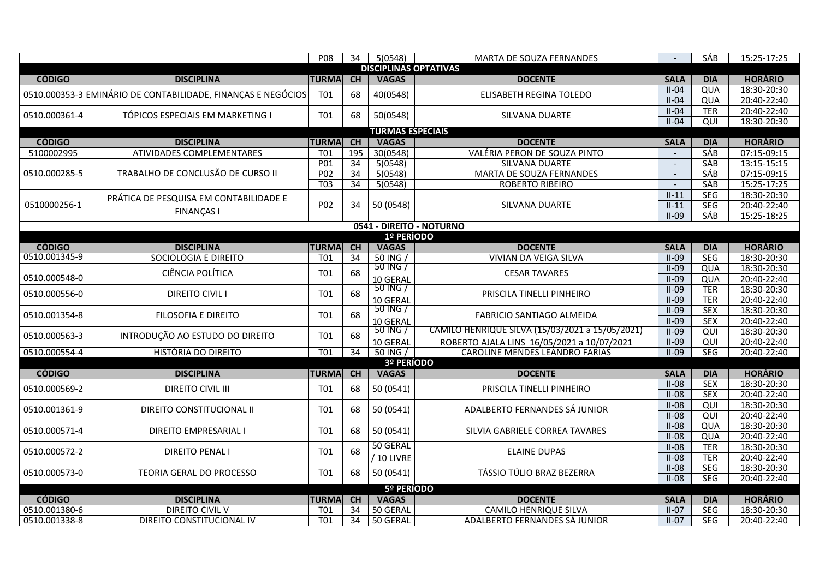|                                |                                                              | P <sub>08</sub>  | $\overline{34}$ | 5(0548)                                       | MARTA DE SOUZA FERNANDES                        |                    | SÁB               | 15:25-17:25                |
|--------------------------------|--------------------------------------------------------------|------------------|-----------------|-----------------------------------------------|-------------------------------------------------|--------------------|-------------------|----------------------------|
|                                |                                                              |                  |                 | <b>DISCIPLINAS OPTATIVAS</b>                  |                                                 |                    |                   |                            |
| <b>CÓDIGO</b>                  | <b>DISCIPLINA</b>                                            | <b>TURMA</b>     | <b>CH</b>       | <b>VAGAS</b>                                  | <b>DOCENTE</b>                                  | <b>SALA</b>        | <b>DIA</b>        | <b>HORÁRIO</b>             |
|                                | 0510.000353-3 EMINÁRIO DE CONTABILIDADE, FINANÇAS E NEGÓCIOS | <b>T01</b>       | 68              | 40(0548)                                      | ELISABETH REGINA TOLEDO                         | $II-04$            | QUA               | 18:30-20:30                |
|                                |                                                              |                  |                 |                                               |                                                 | $II-04$            | QUA               | 20:40-22:40                |
| 0510.000361-4                  | TÓPICOS ESPECIAIS EM MARKETING I                             | T01              | 68              | 50(0548)                                      | SILVANA DUARTE                                  | $II-04$            | <b>TER</b>        | 20:40-22:40                |
|                                |                                                              |                  |                 |                                               |                                                 | $II-04$            | QUI               | 18:30-20:30                |
|                                |                                                              |                  |                 | <b>TURMAS ESPECIAIS</b>                       |                                                 |                    |                   |                            |
| <b>CÓDIGO</b>                  | <b>DISCIPLINA</b>                                            | <b>TURMA</b>     | <b>CH</b>       | <b>VAGAS</b>                                  | <b>DOCENTE</b>                                  | <b>SALA</b>        | <b>DIA</b>        | <b>HORÁRIO</b>             |
| 5100002995                     | ATIVIDADES COMPLEMENTARES                                    | T01              | 195             | 30(0548)                                      | VALÉRIA PERON DE SOUZA PINTO                    |                    | <b>SÁB</b>        | 07:15-09:15                |
|                                |                                                              | P <sub>01</sub>  | $\overline{34}$ | 5(0548)                                       | <b>SILVANA DUARTE</b>                           | $\blacksquare$     | <b>SÁB</b>        | $13:15-15:15$              |
| 0510.000285-5                  | TRABALHO DE CONCLUSÃO DE CURSO II                            | P <sub>02</sub>  | 34              | 5(0548)                                       | MARTA DE SOUZA FERNANDES                        | $\overline{a}$     | SÁB               | 07:15-09:15                |
|                                |                                                              | T03              | $\overline{34}$ | 5(0548)                                       | <b>ROBERTO RIBEIRO</b>                          |                    | SÁB               | 15:25-17:25                |
|                                | PRÁTICA DE PESQUISA EM CONTABILIDADE E                       |                  |                 |                                               |                                                 | $II-11$            | SEG               | 18:30-20:30                |
| 0510000256-1                   | <b>FINANÇAS I</b>                                            | P02              | 34              | 50 (0548)                                     | SILVANA DUARTE                                  | $II-11$            | <b>SEG</b>        | 20:40-22:40                |
|                                |                                                              |                  |                 |                                               |                                                 | $II-09$            | <b>SÁB</b>        | 15:25-18:25                |
|                                |                                                              |                  |                 |                                               | 0541 - DIREITO - NOTURNO                        |                    |                   |                            |
|                                |                                                              |                  |                 | 1º PERÍODO                                    |                                                 |                    |                   |                            |
| <b>CÓDIGO</b><br>0510.001345-9 | <b>DISCIPLINA</b>                                            | <b>TURMA</b>     | CH              | <b>VAGAS</b>                                  | <b>DOCENTE</b>                                  | <b>SALA</b>        | <b>DIA</b>        | <b>HORÁRIO</b>             |
|                                | SOCIOLOGIA E DIREITO                                         | T01              | 34              | 50 ING /<br>50 ING /                          | <b>VIVIAN DA VEIGA SILVA</b>                    | $II-09$            | <b>SEG</b>        | 18:30-20:30                |
| 0510.000548-0                  | CIÊNCIA POLÍTICA                                             | T01              | 68              |                                               | <b>CESAR TAVARES</b>                            | $II-09$            | QUA               | 18:30-20:30<br>20:40-22:40 |
|                                |                                                              |                  |                 | 10 GERAL<br>50 ING /                          |                                                 | $II-09$<br>$II-09$ | QUA<br><b>TER</b> | 18:30-20:30                |
| 0510.000556-0                  | <b>DIREITO CIVIL I</b>                                       | T <sub>01</sub>  | 68              |                                               | PRISCILA TINELLI PINHEIRO                       | $II-09$            | <b>TER</b>        | 20:40-22:40                |
|                                |                                                              |                  |                 | 10 GERAL<br>$\frac{1}{50}$ ING $\frac{1}{50}$ |                                                 | $II-09$            | <b>SEX</b>        | 18:30-20:30                |
| 0510.001354-8                  | <b>FILOSOFIA E DIREITO</b>                                   | T01              | 68              | 10 GERAL                                      | <b>FABRICIO SANTIAGO ALMEIDA</b>                | $II-09$            | <b>SEX</b>        | 20:40-22:40                |
|                                |                                                              |                  |                 | $50$ ING $/$                                  | CAMILO HENRIQUE SILVA (15/03/2021 a 15/05/2021) | $II-09$            | QUI               | 18:30-20:30                |
| 0510.000563-3                  | INTRODUÇÃO AO ESTUDO DO DIREITO                              | T01              | 68              | 10 GERAL                                      | ROBERTO AJALA LINS 16/05/2021 a 10/07/2021      | $II-09$            | QUI               | 20:40-22:40                |
| 0510.000554-4                  | <b>HISTÓRIA DO DIREITO</b>                                   | T <sub>01</sub>  | 34              | 50 ING /                                      | CAROLINE MENDES LEANDRO FARIAS                  | $II-09$            | <b>SEG</b>        | 20:40-22:40                |
|                                |                                                              |                  |                 | 3º PERÍODO                                    |                                                 |                    |                   |                            |
| <b>CÓDIGO</b>                  | <b>DISCIPLINA</b>                                            | <b>TURMA</b>     | CH              | <b>VAGAS</b>                                  | <b>DOCENTE</b>                                  | <b>SALA</b>        | <b>DIA</b>        | <b>HORÁRIO</b>             |
|                                |                                                              |                  |                 |                                               |                                                 | $II-08$            | <b>SEX</b>        | 18:30-20:30                |
| 0510.000569-2                  | <b>DIREITO CIVIL III</b>                                     | T01              | 68              | 50 (0541)                                     | PRISCILA TINELLI PINHEIRO                       | $II-08$            | <b>SEX</b>        | 20:40-22:40                |
|                                |                                                              |                  |                 |                                               |                                                 | $II-08$            | $\overline{Q}$    | 18:30-20:30                |
| 0510.001361-9                  | DIREITO CONSTITUCIONAL II                                    | T01              | 68              | 50 (0541)                                     | ADALBERTO FERNANDES SÁ JUNIOR                   | $II-08$            | QUI               | 20:40-22:40                |
|                                |                                                              | T01              |                 |                                               |                                                 | $II-08$            | QUA               | 18:30-20:30                |
| 0510.000571-4                  | <b>DIREITO EMPRESARIAL I</b>                                 |                  | 68              | 50 (0541)                                     | SILVIA GABRIELE CORREA TAVARES                  | $II-08$            | QUA               | 20:40-22:40                |
| 0510.000572-2                  | <b>DIREITO PENAL I</b>                                       | T01              | 68              | 50 GERAL                                      | <b>ELAINE DUPAS</b>                             | $II-08$            | <b>TER</b>        | 18:30-20:30                |
|                                |                                                              |                  |                 | / 10 LIVRE                                    |                                                 | $II-08$            | <b>TER</b>        | 20:40-22:40                |
| 0510.000573-0                  | <b>TEORIA GERAL DO PROCESSO</b>                              | T01              | 68              | 50 (0541)                                     | TÁSSIO TÚLIO BRAZ BEZERRA                       | $II-08$            | SEG               | 18:30-20:30                |
|                                |                                                              |                  |                 |                                               |                                                 | $II-08$            | <b>SEG</b>        | 20:40-22:40                |
|                                |                                                              |                  |                 | 5º PERÍODO                                    |                                                 |                    |                   |                            |
| <b>CÓDIGO</b>                  | <b>DISCIPLINA</b>                                            | <b>TURMA</b>     | CH              | <b>VAGAS</b>                                  | <b>DOCENTE</b>                                  | <b>SALA</b>        | <b>DIA</b>        | <b>HORÁRIO</b>             |
| 0510.001380-6                  | DIREITO CIVIL V                                              | T01              | 34              | 50 GERAL                                      | CAMILO HENRIQUE SILVA                           | $II-07$            | <b>SEG</b>        | 18:30-20:30                |
| 0510.001338-8                  | DIREITO CONSTITUCIONAL IV                                    | $\overline{101}$ |                 | 34 50 GERAL                                   | ADALBERTO FERNANDES SÁ JUNIOR                   | $II-07$            | <b>SEG</b>        | 20:40-22:40                |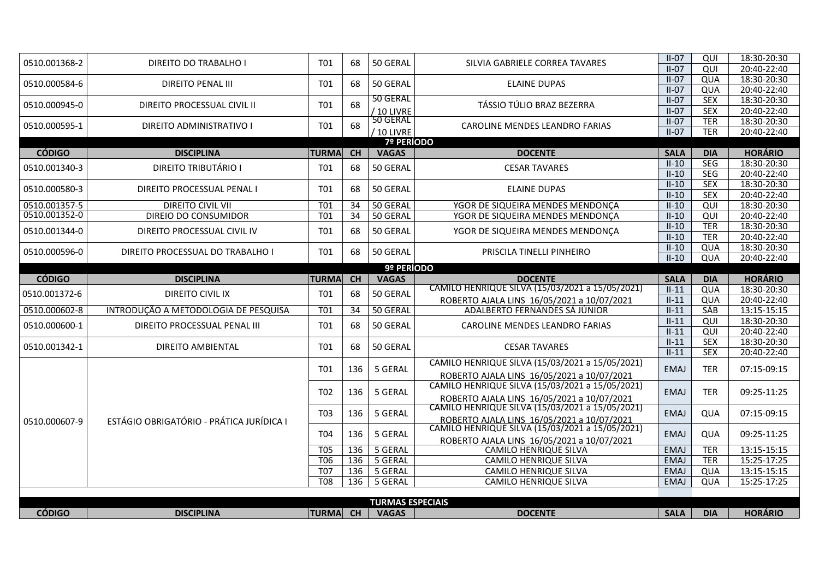| 0510.001368-2 | DIREITO DO TRABALHO I                    | T01                           | 68              | 50 GERAL                | SILVIA GABRIELE CORREA TAVARES                                                                | $II-07$                    | QUI               | 18:30-20:30                |
|---------------|------------------------------------------|-------------------------------|-----------------|-------------------------|-----------------------------------------------------------------------------------------------|----------------------------|-------------------|----------------------------|
|               |                                          |                               |                 |                         |                                                                                               | $II-07$                    | QUI               | 20:40-22:40                |
| 0510.000584-6 | DIREITO PENAL III                        | T <sub>01</sub>               | 68              | 50 GERAL                | ELAINE DUPAS                                                                                  | $II-07$                    | QUA               | 18:30-20:30                |
|               |                                          |                               |                 |                         |                                                                                               | $II-07$                    | QUA               | 20:40-22:40                |
| 0510.000945-0 | DIREITO PROCESSUAL CIVIL II              | <b>T01</b>                    | 68              | 50 GERAL                | TÁSSIO TÚLIO BRAZ BEZERRA                                                                     | $II-07$                    | <b>SEX</b>        | 18:30-20:30                |
|               |                                          |                               |                 | / 10 LIVRE              |                                                                                               | $II-07$                    | <b>SEX</b>        | 20:40-22:40                |
| 0510.000595-1 | DIREITO ADMINISTRATIVO I                 | T01                           | 68              | 50 GERAL                | CAROLINE MENDES LEANDRO FARIAS                                                                | $II-07$                    | <b>TER</b>        | 18:30-20:30                |
|               |                                          |                               |                 | / 10 LIVRE              |                                                                                               | $II-07$                    | <b>TER</b>        | 20:40-22:40                |
|               |                                          |                               |                 | <b>7º PERÍODO</b>       |                                                                                               |                            |                   |                            |
| <b>CÓDIGO</b> | <b>DISCIPLINA</b>                        | <b>TURMA</b>                  | CH              | <b>VAGAS</b>            | <b>DOCENTE</b>                                                                                | <b>SALA</b>                | <b>DIA</b>        | <b>HORÁRIO</b>             |
| 0510.001340-3 | <b>DIREITO TRIBUTÁRIO I</b>              | T01                           | 68              | 50 GERAL                | <b>CESAR TAVARES</b>                                                                          | $II-10$                    | <b>SEG</b>        | 18:30-20:30                |
|               |                                          |                               |                 |                         |                                                                                               | $II-10$                    | SEG               | 20:40-22:40                |
| 0510.000580-3 | DIREITO PROCESSUAL PENAL I               | T <sub>01</sub>               | 68              | 50 GERAL                | <b>ELAINE DUPAS</b>                                                                           | $II-10$                    | <b>SEX</b>        | 18:30-20:30                |
|               |                                          |                               |                 |                         |                                                                                               | $II-10$                    | <b>SEX</b>        | 20:40-22:40                |
| 0510.001357-5 | <b>DIREITO CIVIL VII</b>                 | T01                           | 34              | 50 GERAL                | YGOR DE SIQUEIRA MENDES MENDONCA                                                              | $II-10$                    | QUI               | 18:30-20:30                |
| 0510.001352-0 | DIREIO DO CONSUMIDOR                     | T01                           | 34              | 50 GERAL                | YGOR DE SIQUEIRA MENDES MENDONCA                                                              | $II-10$                    | QUI               | 20:40-22:40                |
| 0510.001344-0 | DIREITO PROCESSUAL CIVIL IV              | <b>T01</b>                    | 68              | 50 GERAL                | YGOR DE SIQUEIRA MENDES MENDONÇA                                                              | $II-10$                    | <b>TER</b>        | 18:30-20:30                |
|               |                                          |                               |                 |                         |                                                                                               | $II-10$                    | <b>TER</b>        | 20:40-22:40                |
| 0510.000596-0 | DIREITO PROCESSUAL DO TRABALHO I         | T01                           | 68              | 50 GERAL                | PRISCILA TINELLI PINHEIRO                                                                     | $II-10$                    | QUA               | 18:30-20:30                |
|               |                                          |                               |                 |                         |                                                                                               | $II-10$                    | QUA               | 20:40-22:40                |
|               |                                          |                               |                 | 9º PERÍODO              |                                                                                               |                            |                   |                            |
| <b>CÓDIGO</b> | <b>DISCIPLINA</b>                        | <b>TURMA</b>                  | $\overline{CH}$ | <b>VAGAS</b>            | <b>DOCENTE</b>                                                                                | <b>SALA</b>                | <b>DIA</b>        | <b>HORÁRIO</b>             |
| 0510.001372-6 | DIREITO CIVIL IX                         | T01                           | 68              | 50 GERAL                | CAMILO HENRIQUE SILVA (15/03/2021 a 15/05/2021)                                               | $II-11$                    | QUA               | 18:30-20:30                |
|               |                                          |                               |                 |                         | ROBERTO AJALA LINS 16/05/2021 a 10/07/2021                                                    | $II-11$                    | QUA               | 20:40-22:40                |
|               |                                          |                               |                 |                         |                                                                                               |                            |                   |                            |
| 0510.000602-8 | INTRODUÇÃO A METODOLOGIA DE PESQUISA     | T01                           | 34              | 50 GERAL                | ADALBERTO FERNANDES SÁ JÚNIOR                                                                 | $II-11$                    | SÁB               | 13:15-15:15                |
|               |                                          |                               |                 |                         |                                                                                               | $II-11$                    | QUI               | 18:30-20:30                |
| 0510.000600-1 | DIREITO PROCESSUAL PENAL III             | T01                           | 68              | 50 GERAL                | CAROLINE MENDES LEANDRO FARIAS                                                                | $II-11$                    | QUI               | 20:40-22:40                |
|               |                                          |                               |                 |                         |                                                                                               | $II-11$                    | <b>SEX</b>        | 18:30-20:30                |
| 0510.001342-1 | DIREITO AMBIENTAL                        | T <sub>01</sub>               | 68              | 50 GERAL                | <b>CESAR TAVARES</b>                                                                          | $II-11$                    | <b>SEX</b>        | 20:40-22:40                |
|               |                                          |                               |                 |                         | CAMILO HENRIQUE SILVA (15/03/2021 a 15/05/2021)                                               |                            |                   |                            |
|               |                                          | T01                           | 136             | 5 GERAL                 | ROBERTO AJALA LINS 16/05/2021 a 10/07/2021                                                    | <b>EMAJ</b>                | <b>TER</b>        | 07:15-09:15                |
|               |                                          |                               |                 |                         | CAMILO HENRIQUE SILVA (15/03/2021 a 15/05/2021)                                               |                            |                   |                            |
|               |                                          | T <sub>02</sub>               | 136             | 5 GERAL                 |                                                                                               | <b>EMAJ</b>                | <b>TER</b>        | 09:25-11:25                |
|               |                                          |                               |                 |                         | ROBERTO AJALA LINS 16/05/2021 a 10/07/2021<br>CAMILO HENRIQUE SILVA (15/03/2021 a 15/05/2021) |                            |                   |                            |
|               |                                          | T03                           | 136             | 5 GERAL                 |                                                                                               | <b>EMAJ</b>                | QUA               | 07:15-09:15                |
| 0510.000607-9 | ESTÁGIO OBRIGATÓRIO - PRÁTICA JURÍDICA I |                               |                 |                         | ROBERTO AJALA LINS 16/05/2021 a 10/07/2021<br>CAMILO HENRIQUE SILVA (15/03/2021 a 15/05/2021) |                            |                   |                            |
|               |                                          | T <sub>04</sub>               | 136             | 5 GERAL                 |                                                                                               | <b>EMAJ</b>                | QUA               | 09:25-11:25                |
|               |                                          | <b>T05</b>                    | 136             | 5 GERAL                 | ROBERTO AJALA LINS 16/05/2021 a 10/07/2021<br>CAMILO HENRIQUE SILVA                           | <b>EMAJ</b>                | <b>TER</b>        | 13:15-15:15                |
|               |                                          |                               |                 |                         |                                                                                               |                            |                   |                            |
|               |                                          | T <sub>06</sub><br><b>T07</b> | 136<br>136      | 5 GERAL<br>5 GERAL      | CAMILO HENRIQUE SILVA<br>CAMILO HENRIQUE SILVA                                                | <b>EMAJ</b><br><b>EMAJ</b> | <b>TER</b><br>QUA | 15:25-17:25<br>13:15-15:15 |
|               |                                          | <b>T08</b>                    | 136             | 5 GERAL                 | CAMILO HENRIQUE SILVA                                                                         | <b>EMAJ</b>                | QUA               | 15:25-17:25                |
|               |                                          |                               |                 |                         |                                                                                               |                            |                   |                            |
|               |                                          |                               |                 | <b>TURMAS ESPECIAIS</b> |                                                                                               |                            |                   | <b>HORÁRIO</b>             |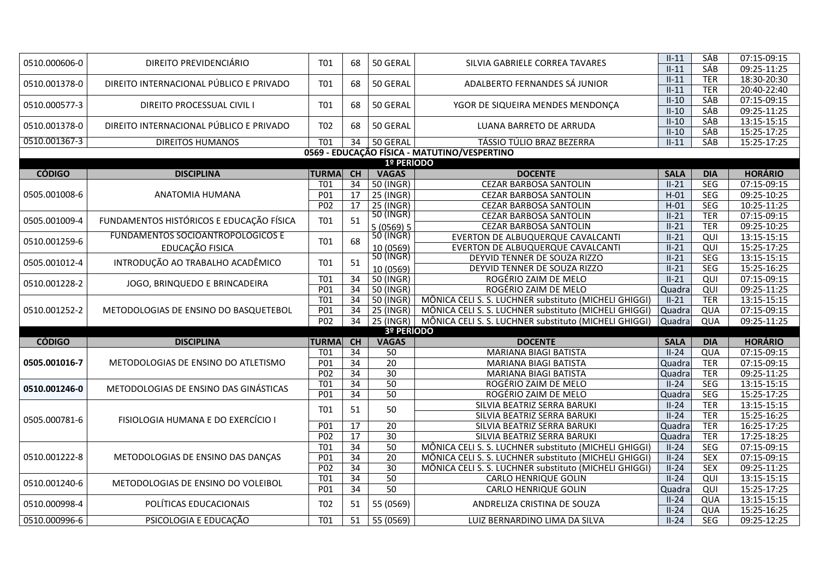| 0510.000606-0 | DIREITO PREVIDENCIÁRIO                   | <b>T01</b>          | 68              | 50 GERAL                  | SILVIA GABRIELE CORREA TAVARES                        | $II-11$                | SÁB               | 07:15-09:15                |
|---------------|------------------------------------------|---------------------|-----------------|---------------------------|-------------------------------------------------------|------------------------|-------------------|----------------------------|
|               |                                          |                     |                 |                           |                                                       | $II-11$                | SÁB               | 09:25-11:25                |
| 0510.001378-0 | DIREITO INTERNACIONAL PÚBLICO E PRIVADO  | T <sub>01</sub>     | 68              | 50 GERAL                  | ADALBERTO FERNANDES SÁ JUNIOR                         | $II-11$                | <b>TER</b>        | 18:30-20:30                |
|               |                                          |                     |                 |                           |                                                       | $II-11$                | <b>TER</b>        | 20:40-22:40                |
| 0510.000577-3 | DIREITO PROCESSUAL CIVIL I               | <b>T01</b>          | 68              | 50 GERAL                  | YGOR DE SIQUEIRA MENDES MENDONÇA                      | $II-10$                | <b>SÁB</b>        | 07:15-09:15                |
|               |                                          |                     |                 |                           |                                                       | $II-10$                | <b>SÁB</b>        | 09:25-11:25                |
| 0510.001378-0 | DIREITO INTERNACIONAL PÚBLICO E PRIVADO  | T02                 | 68              | 50 GERAL                  | LUANA BARRETO DE ARRUDA                               | $II-10$                | <b>SÁB</b>        | 13:15-15:15                |
|               |                                          |                     |                 |                           |                                                       | $II-10$                | SÁB               | 15:25-17:25                |
| 0510.001367-3 | <b>DIREITOS HUMANOS</b>                  | $\overline{101}$    | 34              | 50 GERAL                  | TÁSSIO TÚLIO BRAZ BEZERRA                             | $II-11$                | SÁB               | 15:25-17:25                |
|               |                                          |                     |                 |                           | 0569 - EDUCAÇÃO FÍSICA - MATUTINO/VESPERTINO          |                        |                   |                            |
| <b>CÓDIGO</b> | <b>DISCIPLINA</b>                        |                     | CH              | 1º PERÍODO                |                                                       |                        | <b>DIA</b>        | <b>HORÁRIO</b>             |
|               |                                          | <b>TURMA</b><br>T01 | 34              | <b>VAGAS</b><br>50 (INGR) | <b>DOCENTE</b><br><b>CEZAR BARBOSA SANTOLIN</b>       | <b>SALA</b><br>$II-21$ | SEG               | 07:15-09:15                |
| 0505.001008-6 | ANATOMIA HUMANA                          | P01                 | 17              | 25 (INGR)                 | <b>CEZAR BARBOSA SANTOLIN</b>                         | $H-01$                 | <b>SEG</b>        | 09:25-10:25                |
|               |                                          | P <sub>02</sub>     | 17              | 25 (INGR)                 | CEZAR BARBOSA SANTOLIN                                | $H-01$                 | SEG               | 10:25-11:25                |
|               |                                          |                     |                 | 50 (INGR)                 | <b>CEZAR BARBOSA SANTOLIN</b>                         | $II-21$                | <b>TER</b>        | 07:15-09:15                |
| 0505.001009-4 | FUNDAMENTOS HISTÓRICOS E EDUCAÇÃO FÍSICA | <b>T01</b>          | 51              | 5(0569)5                  | CEZAR BARBOSA SANTOLIN                                | $II-21$                | <b>TER</b>        | 09:25-10:25                |
|               | <b>FUNDAMENTOS SOCIOANTROPOLÓGICOS E</b> |                     |                 | 50 (INGR)                 | EVERTON DE ALBUQUERQUE CAVALCANTI                     | $II-21$                | QUI               | 13:15-15:15                |
| 0510.001259-6 | EDUCAÇÃO FISICA                          | <b>T01</b>          | 68              | 10 (0569)                 | EVERTON DE ALBUQUERQUE CAVALCANTI                     | $II-21$                | QUI               | 15:25-17:25                |
|               |                                          |                     |                 | 50 (INGR)                 | DEYVID TENNER DE SOUZA RIZZO                          | $II-21$                | SEG               | 13:15-15:15                |
| 0505.001012-4 | INTRODUÇÃO AO TRABALHO ACADÊMICO         | <b>T01</b>          | 51              | 10 (0569)                 | DEYVID TENNER DE SOUZA RIZZO                          | $II-21$                | <b>SEG</b>        | 15:25-16:25                |
|               |                                          | T01                 | $\overline{34}$ | 50 (INGR)                 | ROGÉRIO ZAIM DE MELO                                  | $II-21$                | QUI               | 07:15-09:15                |
| 0510.001228-2 | JOGO, BRINQUEDO E BRINCADEIRA            | P <sub>01</sub>     | $\overline{34}$ | 50 (INGR)                 | ROGÉRIO ZAIM DE MELO                                  | Quadra                 | QUI               | 09:25-11:25                |
|               |                                          | <b>T01</b>          | 34              | 50 (INGR)                 | MÔNICA CELI S. S. LUCHNER substituto (MICHELI GHIGGI) | $II-21$                | <b>TER</b>        | 13:15-15:15                |
| 0510.001252-2 | METODOLOGIAS DE ENSINO DO BASQUETEBOL    | P01                 | 34              | 25 (INGR)                 | MÔNICA CELI S. S. LUCHNER substituto (MICHELI GHIGGI) | Quadra                 | QUA               | 07:15-09:15                |
|               |                                          | P <sub>02</sub>     | $\overline{34}$ | 25 (INGR)                 | MÔNICA CELI S. S. LUCHNER substituto (MICHELI GHIGGI) | Quadra                 | QUA               | 09:25-11:25                |
|               |                                          |                     |                 | 3º PERÍODO                |                                                       |                        |                   |                            |
| <b>CÓDIGO</b> | <b>DISCIPLINA</b>                        | <b>TURMA</b>        | CH              | <b>VAGAS</b>              | <b>DOCENTE</b>                                        | <b>SALA</b>            | <b>DIA</b>        | <b>HORÁRIO</b>             |
|               |                                          | T <sub>01</sub>     | 34              | 50                        | <b>MARIANA BIAGI BATISTA</b>                          | $II-24$                | QUA               | 07:15-09:15                |
| 0505.001016-7 | METODOLOGIAS DE ENSINO DO ATLETISMO      | P01                 | 34              | $\overline{20}$           | MARIANA BIAGI BATISTA                                 | Quadra                 | <b>TER</b>        | 07:15-09:15                |
|               |                                          | P02                 | 34              | 30                        | MARIANA BIAGI BATISTA                                 | Quadra                 | <b>TER</b>        | 09:25-11:25                |
| 0510.001246-0 | METODOLOGIAS DE ENSINO DAS GINÁSTICAS    | <b>T01</b>          | 34              | 50                        | ROGÉRIO ZAIM DE MELO                                  | $II-24$                | <b>SEG</b>        | 13:15-15:15                |
|               |                                          | P01                 | 34              | $\overline{50}$           | ROGÉRIO ZAIM DE MELO                                  | Quadra                 | SEG               | 15:25-17:25                |
|               |                                          | T01                 | 51              | 50                        | SILVIA BEATRIZ SERRA BARUKI                           | $II-24$                | <b>TER</b>        | 13:15-15:15                |
| 0505.000781-6 | FISIOLOGIA HUMANA E DO EXERCÍCIO I       |                     |                 |                           | SILVIA BEATRIZ SERRA BARUKI                           | $II-24$                | <b>TER</b>        | 15:25-16:25                |
|               |                                          | P01                 | 17              | $\overline{20}$           | SILVIA BEATRIZ SERRA BARUKI                           | Quadra                 | <b>TER</b>        | 16:25-17:25                |
|               |                                          | P02                 | 17              | 30                        | SILVIA BEATRIZ SERRA BARUKI                           | Quadra                 | <b>TER</b>        | 17:25-18:25                |
|               |                                          | <b>T01</b>          | 34              | 50                        | MÔNICA CELI S. S. LUCHNER substituto (MICHELI GHIGGI) | $II-24$                | <b>SEG</b>        | 07:15-09:15                |
| 0510.001222-8 | METODOLOGIAS DE ENSINO DAS DANÇAS        | P01                 | $\overline{34}$ | $\overline{20}$           | MÔNICA CELI S. S. LUCHNER substituto (MICHELI GHIGGI) | $II-24$                | <b>SEX</b>        | 07:15-09:15                |
|               |                                          |                     |                 |                           |                                                       |                        |                   | 09:25-11:25                |
|               |                                          | P <sub>02</sub>     | $\overline{34}$ | 30                        | MÔNICA CELI S. S. LUCHNER substituto (MICHELI GHIGGI) | $II-24$                | <b>SEX</b>        |                            |
| 0510.001240-6 |                                          | <b>T01</b>          | 34              | 50                        | CARLO HENRIQUE GOLIN                                  | $II-24$                | QUI               | 13:15-15:15                |
|               | METODOLOGIAS DE ENSINO DO VOLEIBOL       | P01                 | $\overline{34}$ | 50                        | CARLO HENRIQUE GOLIN                                  | Quadra                 | QUI               | 15:25-17:25                |
| 0510.000998-4 | POLÍTICAS EDUCACIONAIS                   | T <sub>02</sub>     | 51              |                           | ANDRELIZA CRISTINA DE SOUZA                           | $II-24$                | QUA               | 13:15-15:15                |
| 0510.000996-6 | PSICOLOGIA E EDUCAÇÃO                    | $\overline{101}$    | $\overline{51}$ | 55 (0569)<br>55(0569)     | LUIZ BERNARDINO LIMA DA SILVA                         | $II-24$<br>$II-24$     | QUA<br><b>SEG</b> | 15:25-16:25<br>09:25-12:25 |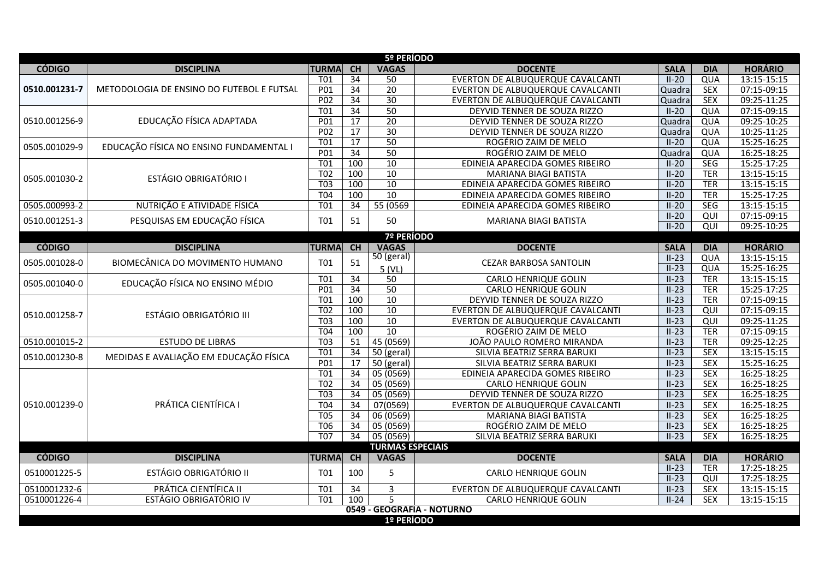|               |                                           |                  |                 | 5º PERÍODO              |                                   |             |                 |                |  |  |  |
|---------------|-------------------------------------------|------------------|-----------------|-------------------------|-----------------------------------|-------------|-----------------|----------------|--|--|--|
| <b>CÓDIGO</b> | <b>DISCIPLINA</b>                         | <b>TURMA</b>     | CH              | <b>VAGAS</b>            | <b>DOCENTE</b>                    | <b>SALA</b> | <b>DIA</b>      | <b>HORÁRIO</b> |  |  |  |
|               |                                           | <b>T01</b>       | 34              | 50                      | EVERTON DE ALBUQUERQUE CAVALCANTI | $II-20$     | QUA             | 13:15-15:15    |  |  |  |
| 0510.001231-7 | METODOLOGIA DE ENSINO DO FUTEBOL E FUTSAL | P01              | 34              | $\overline{20}$         | EVERTON DE ALBUQUERQUE CAVALCANTI | Quadra      | <b>SEX</b>      | 07:15-09:15    |  |  |  |
|               |                                           | P <sub>02</sub>  | $\overline{34}$ | $\overline{30}$         | EVERTON DE ALBUQUERQUE CAVALCANTI | Quadra      | <b>SEX</b>      | 09:25-11:25    |  |  |  |
|               |                                           | T <sub>01</sub>  | 34              | $\overline{50}$         | DEYVID TENNER DE SOUZA RIZZO      | $II-20$     | QUA             | 07:15-09:15    |  |  |  |
| 0510.001256-9 | EDUCAÇÃO FÍSICA ADAPTADA                  | P01              | $\overline{17}$ | $\overline{20}$         | DEYVID TENNER DE SOUZA RIZZO      | Quadra      | QUA             | 09:25-10:25    |  |  |  |
|               |                                           | P <sub>02</sub>  | $\overline{17}$ | 30                      | DEYVID TENNER DE SOUZA RIZZO      | Quadra      | QUA             | 10:25-11:25    |  |  |  |
| 0505.001029-9 | EDUCAÇÃO FÍSICA NO ENSINO FUNDAMENTAL I   | <b>T01</b>       | 17              | $\overline{50}$         | ROGÉRIO ZAIM DE MELO              | $II-20$     | QUA             | 15:25-16:25    |  |  |  |
|               |                                           | P <sub>01</sub>  | $\overline{34}$ | $\overline{50}$         | ROGÉRIO ZAIM DE MELO              | Quadra      | QUA             | 16:25-18:25    |  |  |  |
|               |                                           | T <sub>01</sub>  | 100             | $\overline{10}$         | EDINEIA APARECIDA GOMES RIBEIRO   | $II-20$     | SEG             | 15:25-17:25    |  |  |  |
| 0505.001030-2 | <b>ESTÁGIO OBRIGATÓRIO I</b>              | $\overline{TO2}$ | 100             | 10                      | MARIANA BIAGI BATISTA             | $II-20$     | <b>TER</b>      | 13:15-15:15    |  |  |  |
|               |                                           | <b>T03</b>       | 100             | 10                      | EDINEIA APARECIDA GOMES RIBEIRO   | $II-20$     | <b>TER</b>      | 13:15-15:15    |  |  |  |
|               |                                           | <b>T04</b>       | 100             | 10                      | EDINEIA APARECIDA GOMES RIBEIRO   | $II-20$     | <b>TER</b>      | 15:25-17:25    |  |  |  |
| 0505.000993-2 | NUTRIÇÃO E ATIVIDADE FÍSICA               | T01              | 34              | 55 (0569)               | EDINEIA APARECIDA GOMES RIBEIRO   | $II-20$     | <b>SEG</b>      | 13:15-15:15    |  |  |  |
| 0510.001251-3 | PESQUISAS EM EDUCAÇÃO FÍSICA              | T01              | 51              | 50                      | <b>MARIANA BIAGI BATISTA</b>      | $II-20$     | QUI             | 07:15-09:15    |  |  |  |
|               |                                           |                  |                 |                         |                                   | $II-20$     | $\overline{QU}$ | 09:25-10:25    |  |  |  |
|               |                                           |                  |                 | <b>7º PERÍODO</b>       |                                   |             |                 |                |  |  |  |
| <b>CÓDIGO</b> | <b>DISCIPLINA</b>                         | <b>TURMA</b>     | CH              | <b>VAGAS</b>            | <b>DOCENTE</b>                    | <b>SALA</b> | <b>DIA</b>      | <b>HORÁRIO</b> |  |  |  |
| 0505.001028-0 | BIOMECÂNICA DO MOVIMENTO HUMANO           | <b>T01</b>       | 51              | 50 (geral)              | <b>CEZAR BARBOSA SANTOLIN</b>     | $II-23$     | QUA             | 13:15-15:15    |  |  |  |
|               |                                           |                  |                 | 5(VL)                   |                                   | $II-23$     | QUA             | 15:25-16:25    |  |  |  |
| 0505.001040-0 | EDUCAÇÃO FÍSICA NO ENSINO MÉDIO           | $\overline{101}$ | $\overline{34}$ | $\overline{50}$         | <b>CARLO HENRIQUE GOLIN</b>       | $II-23$     | <b>TER</b>      | 13:15-15:15    |  |  |  |
|               |                                           | P <sub>01</sub>  | 34              | 50                      | CARLO HENRIQUE GOLIN              | $II-23$     | <b>TER</b>      | 15:25-17:25    |  |  |  |
|               |                                           | <b>T01</b>       | 100             | 10                      | DEYVID TENNER DE SOUZA RIZZO      | $II-23$     | <b>TER</b>      | 07:15-09:15    |  |  |  |
| 0510.001258-7 | <b>ESTÁGIO OBRIGATÓRIO III</b>            | T02              | 100             | 10                      | EVERTON DE ALBUQUERQUE CAVALCANTI | $II-23$     | QUI             | 07:15-09:15    |  |  |  |
|               |                                           | T03              | 100             | 10                      | EVERTON DE ALBUQUERQUE CAVALCANTI | $II-23$     | QUI             | 09:25-11:25    |  |  |  |
|               |                                           | <b>T04</b>       | 100             | $\overline{10}$         | ROGÉRIO ZAIM DE MELO              | $II-23$     | <b>TER</b>      | 07:15-09:15    |  |  |  |
| 0510.001015-2 | <b>ESTUDO DE LIBRAS</b>                   | $\overline{103}$ | $\overline{51}$ | 45(0569)                | JOÃO PAULO ROMERO MIRANDA         | $II-23$     | <b>TER</b>      | 09:25-12:25    |  |  |  |
| 0510.001230-8 | MEDIDAS E AVALIAÇÃO EM EDUCAÇÃO FÍSICA    | T <sub>01</sub>  | 34              | $50$ (geral)            | SILVIA BEATRIZ SERRA BARUKI       | $II-23$     | <b>SEX</b>      | 13:15-15:15    |  |  |  |
|               |                                           | P <sub>01</sub>  | 17              | 50 (geral)              | SILVIA BEATRIZ SERRA BARUKI       | $II-23$     | <b>SEX</b>      | 15:25-16:25    |  |  |  |
|               |                                           | <b>T01</b>       | $\overline{34}$ | 05(0569)                | EDINEIA APARECIDA GOMES RIBEIRO   | $II-23$     | <b>SEX</b>      | 16:25-18:25    |  |  |  |
|               |                                           | T02              | 34              | 05 (0569)               | CARLO HENRIQUE GOLIN              | $II-23$     | <b>SEX</b>      | 16:25-18:25    |  |  |  |
|               |                                           | T03              | 34              | 05 (0569)               | DEYVID TENNER DE SOUZA RIZZO      | $II-23$     | <b>SEX</b>      | 16:25-18:25    |  |  |  |
| 0510.001239-0 | PRÁTICA CIENTÍFICA I                      | T <sub>04</sub>  | $\overline{34}$ | 07(0569)                | EVERTON DE ALBUQUERQUE CAVALCANTI | $II-23$     | <b>SEX</b>      | 16:25-18:25    |  |  |  |
|               |                                           | <b>T05</b>       | 34              | 06 (0569)               | MARIANA BIAGI BATISTA             | $II-23$     | <b>SEX</b>      | 16:25-18:25    |  |  |  |
|               |                                           | T <sub>06</sub>  | $\overline{34}$ | 05 (0569)               | ROGÉRIO ZAIM DE MELO              | $II-23$     | <b>SEX</b>      | 16:25-18:25    |  |  |  |
|               |                                           | <b>T07</b>       | 34              | 05 (0569)               | SILVIA BEATRIZ SERRA BARUKI       | $II-23$     | <b>SEX</b>      | 16:25-18:25    |  |  |  |
|               |                                           |                  |                 | <b>TURMAS ESPECIAIS</b> |                                   |             |                 |                |  |  |  |
| <b>CÓDIGO</b> | <b>DISCIPLINA</b>                         | <b>TURMA</b>     | CH              | <b>VAGAS</b>            | <b>DOCENTE</b>                    | <b>SALA</b> | <b>DIA</b>      | <b>HORÁRIO</b> |  |  |  |
| 0510001225-5  | ESTÁGIO OBRIGATÓRIO II                    | <b>T01</b>       | 100             | 5                       | <b>CARLO HENRIQUE GOLIN</b>       | $II-23$     | <b>TER</b>      | 17:25-18:25    |  |  |  |
|               |                                           |                  |                 |                         |                                   | $II-23$     | QUI             | 17:25-18:25    |  |  |  |
| 0510001232-6  | PRÁTICA CIENTÍFICA II                     | <b>T01</b>       | 34              | 3                       | EVERTON DE ALBUQUERQUE CAVALCANTI | $II-23$     | <b>SEX</b>      | 13:15-15:15    |  |  |  |
| 0510001226-4  | ESTÁGIO OBRIGATÓRIO IV                    | <b>T01</b>       | 100             | 5                       | <b>CARLO HENRIQUE GOLIN</b>       | $II-24$     | <b>SEX</b>      | 13:15-15:15    |  |  |  |
|               |                                           |                  |                 |                         | 0549 - GEOGRAFIA - NOTURNO        |             |                 |                |  |  |  |
|               | 1º PERÍODO                                |                  |                 |                         |                                   |             |                 |                |  |  |  |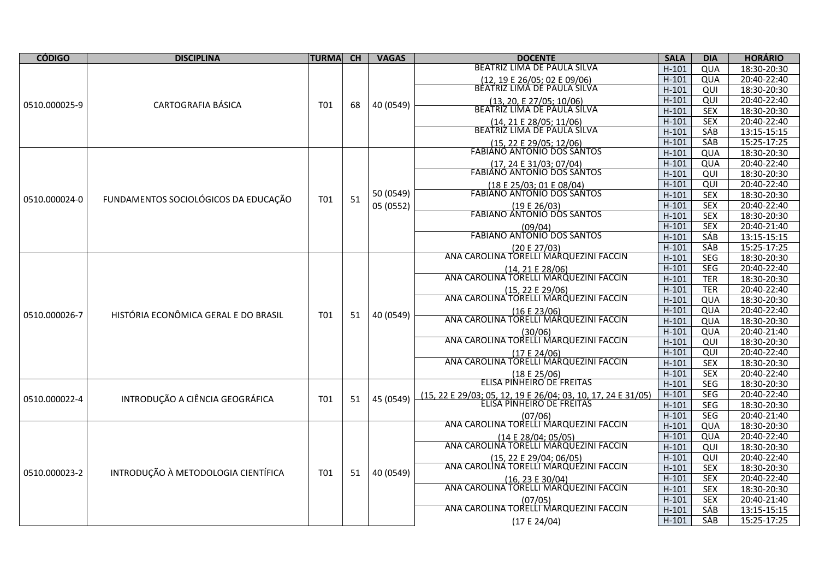| <b>CÓDIGO</b> | <b>DISCIPLINA</b>                    | <b>TURMA</b> | <b>CH</b> | <b>VAGAS</b> | <b>DOCENTE</b>                                               | <b>SALA</b> | <b>DIA</b> | <b>HORÁRIO</b> |
|---------------|--------------------------------------|--------------|-----------|--------------|--------------------------------------------------------------|-------------|------------|----------------|
|               |                                      |              |           |              | BEATRIZ LIMA DE PAULA SILVA                                  | $H-101$     | QUA        | 18:30-20:30    |
|               |                                      |              |           |              | (12, 19 E 26/05; 02 E 09/06)                                 | $H-101$     | QUA        | 20:40-22:40    |
|               |                                      |              |           |              | BEATRIZ LIMA DE PAULA SILVA                                  | $H-101$     | QUI        | 18:30-20:30    |
| 0510.000025-9 | CARTOGRAFIA BÁSICA                   | T01          | 68        | 40 (0549)    | (13, 20, E 27/05; 10/06)                                     | $H-101$     | QUI        | 20:40-22:40    |
|               |                                      |              |           |              | BEATRIZ LIMA DE PAULA SILVA                                  | $H-101$     | <b>SEX</b> | 18:30-20:30    |
|               |                                      |              |           |              | (14, 21 E 28/05; 11/06)<br>BEATRIZ LIMA DE PAULA SILVA       | $H-101$     | <b>SEX</b> | 20:40-22:40    |
|               |                                      |              |           |              |                                                              | $H-101$     | SÁB        | 13:15-15:15    |
|               |                                      |              |           |              | (15, 22 E 29/05; 12/06)<br>FABIANO ANTONIO DOS SANTOS        | $H-101$     | SÁB        | 15:25-17:25    |
|               |                                      |              |           |              |                                                              | $H-101$     | QUA        | 18:30-20:30    |
|               |                                      |              |           |              | (17, 24 E 31/03; 07/04)                                      | $H-101$     | QUA        | 20:40-22:40    |
|               |                                      |              |           |              | <b>FABIANO ANTONIO DOS SANTOS</b>                            | $H-101$     | QUI        | 18:30-20:30    |
|               |                                      |              |           |              | (18 E 25/03; 01 E 08/04)<br>FABIANO ANTONIO DOS SANTOS       | $H-101$     | QUI        | 20:40-22:40    |
| 0510.000024-0 | FUNDAMENTOS SOCIOLÓGICOS DA EDUCAÇÃO | T01          | 51        | 50 (0549)    |                                                              | $H-101$     | <b>SEX</b> | 18:30-20:30    |
|               |                                      |              |           | 05 (0552)    | (19 E 26/03)<br>FABIANO ANTONIO DOS SANTOS                   | $H-101$     | <b>SEX</b> | 20:40-22:40    |
|               |                                      |              |           |              |                                                              | $H-101$     | <b>SEX</b> | 18:30-20:30    |
|               |                                      |              |           |              | (09/04)                                                      | $H-101$     | <b>SEX</b> | 20:40-21:40    |
|               |                                      |              |           |              | <b>FABIANO ANTONIO DOS SANTOS</b>                            | $H-101$     | <b>SÁB</b> | 13:15-15:15    |
|               |                                      |              |           |              | (20 E 27/03)                                                 | $H-101$     | SÁB        | 15:25-17:25    |
|               |                                      |              |           |              | ANA CAROLINA TORELLI MARQUEZINI FACCIN                       | $H-101$     | <b>SEG</b> | 18:30-20:30    |
|               |                                      |              |           |              | (14, 21 E 28/06)                                             | $H-101$     | <b>SEG</b> | 20:40-22:40    |
|               |                                      |              |           |              | ANA CAROLINA TORELLI MARQUEZINI FACCIN                       | $H-101$     | <b>TER</b> | 18:30-20:30    |
|               |                                      |              |           |              | (15, 22 E 29/06)<br>ANA CAROLINA TORELLI MARQUEZINI FACCIN   | $H-101$     | <b>TER</b> | 20:40-22:40    |
|               |                                      |              |           |              |                                                              | $H-101$     | QUA        | 18:30-20:30    |
| 0510.000026-7 | HISTÓRIA ECONÔMICA GERAL E DO BRASIL | T01          | 51        | 40 (0549)    | (16 E 23/06)<br>ANA CAROLINA TORELLI MARQUEZINI FACCIN       | $H-101$     | QUA        | 20:40-22:40    |
|               |                                      |              |           |              |                                                              | $H-101$     | QUA        | 18:30-20:30    |
|               |                                      |              |           |              | (30/06)                                                      | $H-101$     | QUA        | 20:40-21:40    |
|               |                                      |              |           |              | ANA CAROLINA TORELLI MARQUEZINI FACCIN                       | $H-101$     | QUI        | 18:30-20:30    |
|               |                                      |              |           |              | (17 E 24/06)<br>ANA CAROLINA TORELLI MARQUEZINI FACCIN       | $H-101$     | QUI        | 20:40-22:40    |
|               |                                      |              |           |              |                                                              | $H-101$     | <b>SEX</b> | 18:30-20:30    |
|               |                                      |              |           |              | (18 E 25/06)<br>ELISA PINHEIRO DE FREITAS                    | $H-101$     | <b>SEX</b> | 20:40-22:40    |
|               |                                      |              |           |              |                                                              | $H-101$     | <b>SEG</b> | 18:30-20:30    |
| 0510.000022-4 | INTRODUÇÃO A CIÊNCIA GEOGRÁFICA      | <b>T01</b>   | 51        | 45 (0549)    | (15, 22 E 29/03; 05, 12, 19 E 26/04; 03, 10, 17, 24 E 31/05) | $H-101$     | <b>SEG</b> | 20:40-22:40    |
|               |                                      |              |           |              | ELISA PINHEIRO DE FRÉITAS                                    | $H-101$     | <b>SEG</b> | 18:30-20:30    |
|               |                                      |              |           |              | (07/06)                                                      | $H-101$     | <b>SEG</b> | 20:40-21:40    |
|               |                                      |              |           |              | ANA CAROLINA TORELLI MARQUEZINI FACCIN                       | $H-101$     | QUA        | 18:30-20:30    |
|               |                                      |              |           |              | (14 E 28/04; 05/05)                                          | $H-101$     | QUA        | 20:40-22:40    |
|               |                                      |              |           |              | ANA CAROLINA TORELLI MARQUEZINI FACCIN                       | $H-101$     | QUI        | 18:30-20:30    |
|               |                                      |              |           |              | $(15, 22 \tE 29/04; 06/05)$                                  | $H-101$     | QUI        | 20:40-22:40    |
| 0510.000023-2 | INTRODUÇÃO À METODOLOGIA CIENTÍFICA  | T01          | 51        | 40 (0549)    | ANA CAROLINA TORELLI MARQUEZINI FACCIN                       | $H-101$     | <b>SEX</b> | 18:30-20:30    |
|               |                                      |              |           |              | (16, 23 E 30/04)<br>ANA CAROLINA TORELLI MARQUEZINI FACCIN   | $H-101$     | <b>SEX</b> | 20:40-22:40    |
|               |                                      |              |           |              |                                                              | $H-101$     | <b>SEX</b> | 18:30-20:30    |
|               |                                      |              |           |              | (07/05)                                                      | $H-101$     | <b>SEX</b> | 20:40-21:40    |
|               |                                      |              |           |              | ANA CAROLINA TORELLI MARQUEZINI FACCIN                       | $H-101$     | SÁB        | 13:15-15:15    |
|               |                                      |              |           |              | (17 E 24/04)                                                 | $H-101$     | SÁB        | 15:25-17:25    |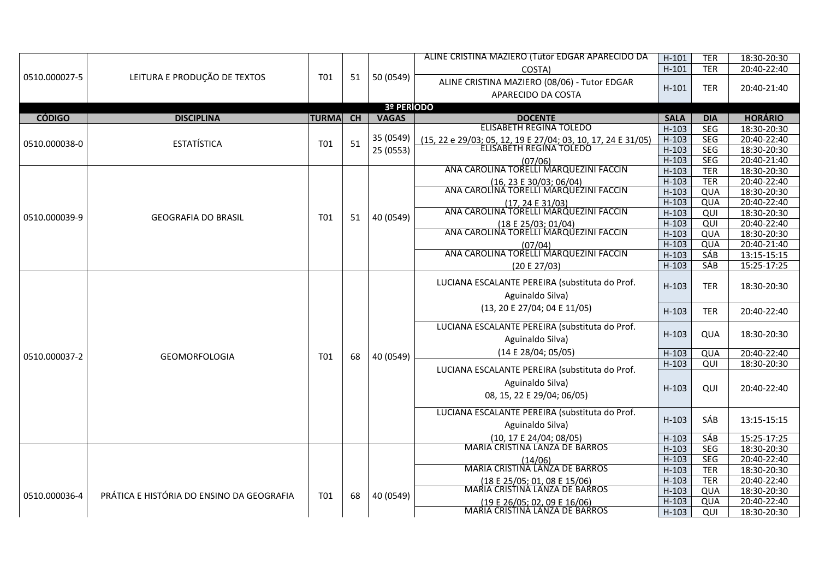|               |                                           |              |    |              | ALINE CRISTINA MAZIERO (Tutor EDGAR APARECIDO DA                                        | $H-101$            | <b>TER</b>               | 18:30-20:30                |
|---------------|-------------------------------------------|--------------|----|--------------|-----------------------------------------------------------------------------------------|--------------------|--------------------------|----------------------------|
|               |                                           |              |    |              | COSTA)                                                                                  | $H-101$            | <b>TER</b>               | 20:40-22:40                |
| 0510.000027-5 | LEITURA E PRODUÇÃO DE TEXTOS              | T01          | 51 | 50 (0549)    | ALINE CRISTINA MAZIERO (08/06) - Tutor EDGAR                                            |                    |                          |                            |
|               |                                           |              |    |              |                                                                                         | $H-101$            | <b>TER</b>               | 20:40-21:40                |
|               |                                           |              |    |              | APARECIDO DA COSTA                                                                      |                    |                          |                            |
|               |                                           |              |    | 3º PERÍODO   |                                                                                         |                    |                          |                            |
| <b>CÓDIGO</b> | <b>DISCIPLINA</b>                         | <b>TURMA</b> | CH | <b>VAGAS</b> | <b>DOCENTE</b><br><b>ELISABETH REGINA TOLEDO</b>                                        | <b>SALA</b>        | <b>DIA</b>               | <b>HORÁRIO</b>             |
|               |                                           |              |    | 35 (0549)    |                                                                                         | $H-103$            | <b>SEG</b>               | 18:30-20:30                |
| 0510.000038-0 | <b>ESTATÍSTICA</b>                        | T01          | 51 |              | (15, 22 e 29/03; 05, 12, 19 E 27/04; 03, 10, 17, 24 E 31/05)<br>ELISABETH REGINA TOLEDO | $H-103$            | <b>SEG</b>               | 20:40-22:40                |
|               |                                           |              |    | 25 (0553)    |                                                                                         | $H-103$<br>$H-103$ | <b>SEG</b>               | 18:30-20:30                |
|               |                                           |              |    |              | (07/06)<br>ANA CAROLINA TORELLI MARQUEZINI FACCIN                                       | $H-103$            | <b>SEG</b><br><b>TER</b> | 20:40-21:40<br>18:30-20:30 |
|               |                                           |              |    |              |                                                                                         | $H-103$            | <b>TER</b>               | 20:40-22:40                |
|               |                                           |              |    |              | (16, 23 E 30/03; 06/04)<br>ANA CAROLINA TORELLI MARQUEZINI FACCIN                       | $H-103$            | QUA                      | 18:30-20:30                |
|               |                                           |              |    |              |                                                                                         | $H-103$            | QUA                      | 20:40-22:40                |
|               |                                           |              |    |              | $(17, 24 \tE 31/03)$<br>ANA CAROLINA TORELLI MARQUEZINI FACCIN                          | $H-103$            | QUI                      | 18:30-20:30                |
| 0510.000039-9 | <b>GEOGRAFIA DO BRASIL</b>                | T01          | 51 | 40 (0549)    | (18 E 25/03; 01/04)                                                                     | $H-103$            | QUI                      | 20:40-22:40                |
|               |                                           |              |    |              | ANA CAROLINA TORELLI MARQUEZINI FACCIN                                                  | $H-103$            | QUA                      | 18:30-20:30                |
|               |                                           |              |    |              |                                                                                         | $H-103$            | QUA                      | 20:40-21:40                |
|               |                                           |              |    |              | (07/04)<br>ANA CAROLINA TORELLI MARQUEZINI FACCIN                                       | $H-103$            | <b>SÁB</b>               | 13:15-15:15                |
|               |                                           |              |    |              | (20 E 27/03)                                                                            | $H-103$            | <b>SÁB</b>               | 15:25-17:25                |
|               |                                           |              |    |              |                                                                                         |                    |                          |                            |
|               |                                           |              |    |              | LUCIANA ESCALANTE PEREIRA (substituta do Prof.                                          | $H-103$            | <b>TER</b>               | 18:30-20:30                |
|               |                                           |              |    |              | Aguinaldo Silva)                                                                        |                    |                          |                            |
|               |                                           |              |    |              | (13, 20 E 27/04; 04 E 11/05)                                                            | $H-103$            | <b>TER</b>               | 20:40-22:40                |
|               |                                           |              |    |              |                                                                                         |                    |                          |                            |
|               |                                           |              |    |              | LUCIANA ESCALANTE PEREIRA (substituta do Prof.                                          |                    |                          |                            |
|               |                                           |              |    |              | Aguinaldo Silva)                                                                        | $H-103$            | QUA                      | 18:30-20:30                |
|               |                                           |              |    |              | (14 E 28/04; 05/05)                                                                     | $H-103$            | QUA                      | 20:40-22:40                |
| 0510.000037-2 | <b>GEOMORFOLOGIA</b>                      | <b>T01</b>   | 68 | 40 (0549)    |                                                                                         | $H-103$            | QUI                      | 18:30-20:30                |
|               |                                           |              |    |              | LUCIANA ESCALANTE PEREIRA (substituta do Prof.                                          |                    |                          |                            |
|               |                                           |              |    |              | Aguinaldo Silva)                                                                        | $H-103$            | QUI                      | 20:40-22:40                |
|               |                                           |              |    |              | 08, 15, 22 E 29/04; 06/05)                                                              |                    |                          |                            |
|               |                                           |              |    |              |                                                                                         |                    |                          |                            |
|               |                                           |              |    |              | LUCIANA ESCALANTE PEREIRA (substituta do Prof.                                          | $H-103$            | SÁB                      | 13:15-15:15                |
|               |                                           |              |    |              | Aguinaldo Silva)                                                                        |                    |                          |                            |
|               |                                           |              |    |              | (10, 17 E 24/04; 08/05)                                                                 | $H-103$            | <b>SÁB</b>               | 15:25-17:25                |
|               |                                           |              |    |              | MARIA CRISTINA LANZA DE BARROS                                                          | $H-103$            | SEG                      | 18:30-20:30                |
|               |                                           |              |    |              | (14/06)<br>MARIA CRISTINA LANZA DE BARROS                                               | $H-103$            | <b>SEG</b>               | 20:40-22:40                |
|               |                                           |              |    |              |                                                                                         | $H-103$            | <b>TER</b>               | 18:30-20:30                |
|               |                                           |              |    |              | (18 E 25/05; 01, 08 E 15/06)<br>MARIA CRISTINA LANZA DE BARROS                          | $H-103$            | <b>TER</b>               | 20:40-22:40                |
|               | PRÁTICA E HISTÓRIA DO ENSINO DA GEOGRAFIA | T01          | 68 | 40 (0549)    |                                                                                         | $H-103$            | QUA                      | 18:30-20:30                |
| 0510.000036-4 |                                           |              |    |              | (19 E 26/05; 02, 09 E 16/06)                                                            | $H-103$            | QUA                      | 20:40-22:40                |
|               |                                           |              |    |              | MARIA CRISTINA LANZA DE BARROS                                                          | $H-103$            | QUI                      | 18:30-20:30                |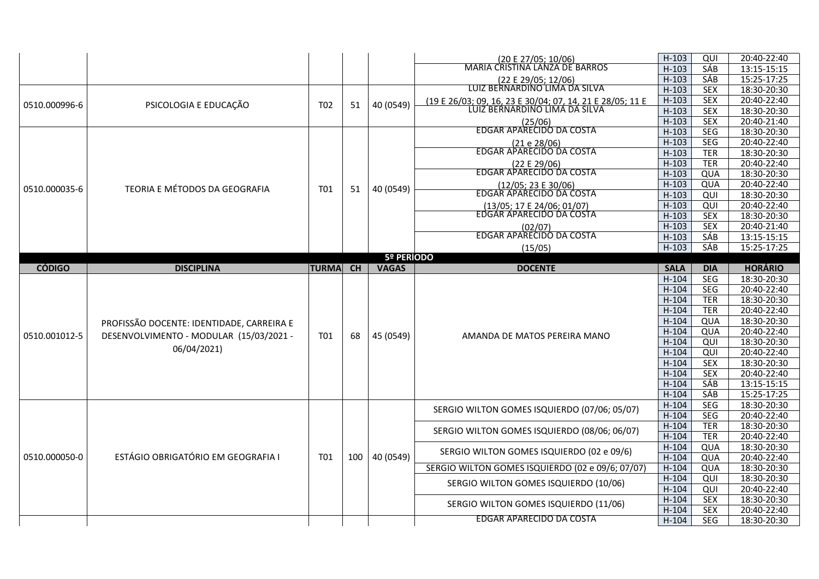|               |                                           |                 |     |              | (20 E 27/05; 10/06)<br>MARIA CRISTINA LANZA DE BARROS     | $H-103$     | QUI        | 20:40-22:40    |
|---------------|-------------------------------------------|-----------------|-----|--------------|-----------------------------------------------------------|-------------|------------|----------------|
|               |                                           |                 |     |              |                                                           | $H-103$     | SÁB        | 13:15-15:15    |
|               |                                           |                 |     |              | (22 E 29/05; 12/06)                                       | $H-103$     | SÁB        | 15:25-17:25    |
|               |                                           |                 |     |              | LUIZ BERNARDINO LIMA DA SILVA                             | $H-103$     | <b>SEX</b> | 18:30-20:30    |
| 0510.000996-6 | PSICOLOGIA E EDUCAÇÃO                     | T <sub>02</sub> | 51  | 40 (0549)    | (19 E 26/03; 09, 16, 23 E 30/04; 07, 14, 21 E 28/05; 11 E | $H-103$     | <b>SEX</b> | 20:40-22:40    |
|               |                                           |                 |     |              | LUIZ BERNARDINO LIMA DA SILVA                             | $H-103$     | <b>SEX</b> | 18:30-20:30    |
|               |                                           |                 |     |              | (25/06)<br>EDGAR APARECIDO DA COSTA                       | $H-103$     | <b>SEX</b> | 20:40-21:40    |
|               |                                           |                 |     |              |                                                           | $H-103$     | SEG        | 18:30-20:30    |
|               |                                           |                 |     |              | (21 e 28/06)                                              | $H-103$     | SEG        | 20:40-22:40    |
|               |                                           |                 |     |              | EDGAR APARECIDO DA COSTA                                  | $H-103$     | <b>TER</b> | 18:30-20:30    |
|               |                                           |                 |     |              | (22 E 29/06)                                              | $H-103$     | <b>TER</b> | 20:40-22:40    |
|               |                                           |                 |     |              | EDGAR APARECIDO DA COSTA                                  | $H-103$     | QUA        | 18:30-20:30    |
|               |                                           |                 |     |              |                                                           | $H-103$     | QUA        | 20:40-22:40    |
| 0510.000035-6 | TEORIA E MÉTODOS DA GEOGRAFIA             | T01             | 51  | 40 (0549)    | (12/05; 23 E 30/06)<br>EDGAR APARECIDO DA COSTA           | $H-103$     | QUI        | 18:30-20:30    |
|               |                                           |                 |     |              | (13/05; 17 E 24/06; 01/07)                                | $H-103$     | QUI        | 20:40-22:40    |
|               |                                           |                 |     |              | EDGAR APARECIDO DA COSTA                                  | $H-103$     | <b>SEX</b> | 18:30-20:30    |
|               |                                           |                 |     |              | (02/07)                                                   | $H-103$     | <b>SEX</b> | 20:40-21:40    |
|               |                                           |                 |     |              | EDGAR APARECIDO DA COSTA                                  | $H-103$     | SÁB        | 13:15-15:15    |
|               |                                           |                 |     |              | (15/05)                                                   | $H-103$     | SAB        | 15:25-17:25    |
|               |                                           |                 |     | 5º PERÍODO   |                                                           |             |            |                |
| <b>CÓDIGO</b> | <b>DISCIPLINA</b>                         | <b>TURMA</b>    | CH  | <b>VAGAS</b> | <b>DOCENTE</b>                                            | <b>SALA</b> | <b>DIA</b> | <b>HORÁRIO</b> |
|               |                                           |                 |     |              |                                                           | $H-104$     | SEG        | 18:30-20:30    |
|               |                                           |                 |     |              |                                                           | $H-104$     | SEG        | 20:40-22:40    |
|               |                                           |                 |     |              |                                                           | $H-104$     | <b>TER</b> | 18:30-20:30    |
|               |                                           |                 |     |              |                                                           | $H-104$     | <b>TER</b> | 20:40-22:40    |
|               | PROFISSÃO DOCENTE: IDENTIDADE, CARREIRA E |                 |     |              |                                                           | $H-104$     | QUA        | 18:30-20:30    |
|               |                                           |                 |     |              |                                                           | $H-104$     | QUA        | 20:40-22:40    |
| 0510.001012-5 | DESENVOLVIMENTO - MODULAR (15/03/2021 -   | T01             | 68  | 45 (0549)    | AMANDA DE MATOS PEREIRA MANO                              | $H-104$     | QUI        | 18:30-20:30    |
|               | 06/04/2021)                               |                 |     |              |                                                           | $H-104$     | QUI        | 20:40-22:40    |
|               |                                           |                 |     |              |                                                           | $H-104$     | <b>SEX</b> | 18:30-20:30    |
|               |                                           |                 |     |              |                                                           | $H-104$     | <b>SEX</b> | 20:40-22:40    |
|               |                                           |                 |     |              |                                                           | $H-104$     | SÁB        | 13:15-15:15    |
|               |                                           |                 |     |              |                                                           | $H-104$     | SÁB        | 15:25-17:25    |
|               |                                           |                 |     |              |                                                           | $H-104$     | <b>SEG</b> | 18:30-20:30    |
|               |                                           |                 |     |              | SERGIO WILTON GOMES ISQUIERDO (07/06; 05/07)              | $H-104$     | SEG        | 20:40-22:40    |
|               |                                           |                 |     |              |                                                           | $H-104$     | <b>TER</b> | 18:30-20:30    |
|               |                                           |                 |     |              | SERGIO WILTON GOMES ISQUIERDO (08/06; 06/07)              | $H-104$     | <b>TER</b> | 20:40-22:40    |
|               |                                           |                 |     |              |                                                           | $H-104$     | QUA        | 18:30-20:30    |
| 0510.000050-0 | ESTÁGIO OBRIGATÓRIO EM GEOGRAFIA I        | <b>T01</b>      | 100 | 40 (0549)    | SERGIO WILTON GOMES ISQUIERDO (02 e 09/6)                 | $H-104$     | QUA        | 20:40-22:40    |
|               |                                           |                 |     |              | SERGIO WILTON GOMES ISQUIERDO (02 e 09/6; 07/07)          | $H-104$     | QUA        | 18:30-20:30    |
|               |                                           |                 |     |              |                                                           | $H-104$     | QUI        | 18:30-20:30    |
|               |                                           |                 |     |              | SERGIO WILTON GOMES ISQUIERDO (10/06)                     | $H-104$     | QUI        | 20:40-22:40    |
|               |                                           |                 |     |              |                                                           | $H-104$     | <b>SEX</b> | 18:30-20:30    |
|               |                                           |                 |     |              | SERGIO WILTON GOMES ISQUIERDO (11/06)                     | $H-104$     | <b>SEX</b> | 20:40-22:40    |
|               |                                           |                 |     |              | <b>EDGAR APARECIDO DA COSTA</b>                           | $H-104$     | <b>SEG</b> | 18:30-20:30    |
|               |                                           |                 |     |              |                                                           |             |            |                |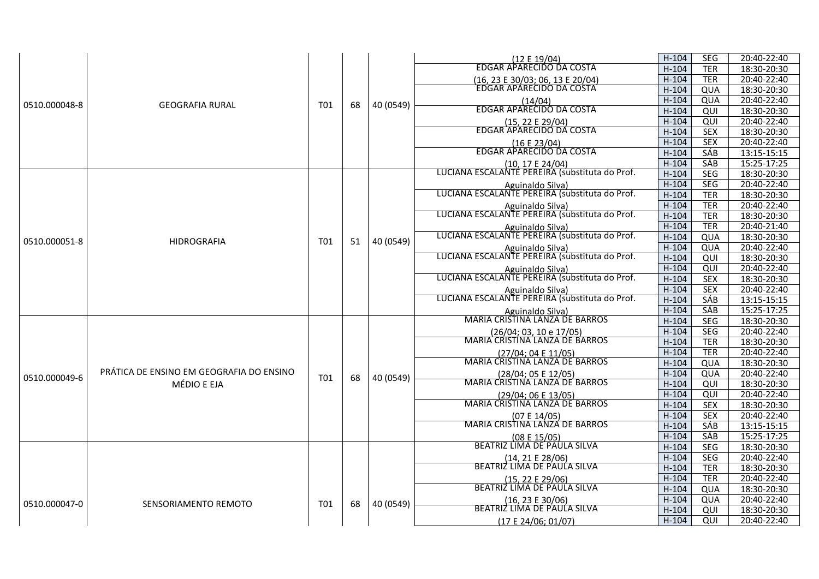|               |                                          |                 |    |           |                                                                    | $H-104$ | <b>SEG</b> | 20:40-22:40 |
|---------------|------------------------------------------|-----------------|----|-----------|--------------------------------------------------------------------|---------|------------|-------------|
|               |                                          |                 |    |           | (12 E 19/04)<br>EDGAR APARECIDO DA COSTA                           | $H-104$ | <b>TER</b> | 18:30-20:30 |
|               |                                          |                 |    |           | (16, 23 E 30/03; 06, 13 E 20/04)                                   | $H-104$ | <b>TER</b> | 20:40-22:40 |
|               |                                          |                 |    |           | EDGAR APARECIDO DA COSTA                                           | $H-104$ | QUA        | 18:30-20:30 |
|               |                                          |                 |    |           | (14/04)                                                            | $H-104$ | QUA        | 20:40-22:40 |
| 0510.000048-8 | <b>GEOGRAFIA RURAL</b>                   | T <sub>01</sub> | 68 | 40 (0549) | EDGAR APARECIDO DA COSTA                                           | $H-104$ | QUI        | 18:30-20:30 |
|               |                                          |                 |    |           |                                                                    | $H-104$ | QUI        | 20:40-22:40 |
|               |                                          |                 |    |           | (15, 22 E 29/04)<br>EDGAR APARECIDO DA COSTA                       | $H-104$ | <b>SEX</b> | 18:30-20:30 |
|               |                                          |                 |    |           | (16 E 23/04)                                                       | $H-104$ | <b>SEX</b> | 20:40-22:40 |
|               |                                          |                 |    |           | EDGAR APARECIDO DA COSTA                                           | $H-104$ | <b>SÁB</b> | 13:15-15:15 |
|               |                                          |                 |    |           | (10. 17 E 24/04)                                                   | $H-104$ | SÁB        | 15:25-17:25 |
|               |                                          |                 |    |           | LUCIANA ESCALANTÉ PEREIRA (substituta do Prof.                     | $H-104$ | <b>SEG</b> | 18:30-20:30 |
|               |                                          |                 |    |           | Aguinaldo Silva)<br>LUCIANA ESCALANTE PEREIRA (substituta do Prof. | $H-104$ | <b>SEG</b> | 20:40-22:40 |
|               |                                          |                 |    |           |                                                                    | $H-104$ | <b>TER</b> | 18:30-20:30 |
|               |                                          |                 |    |           | Aguinaldo Silva)                                                   | $H-104$ | <b>TER</b> | 20:40-22:40 |
|               |                                          |                 |    |           | LUCIANA ESCALANTE PEREIRA (substituta do Prof.                     | $H-104$ | <b>TER</b> | 18:30-20:30 |
|               |                                          |                 |    |           | Aguinaldo Silva)                                                   | $H-104$ | <b>TER</b> | 20:40-21:40 |
| 0510.000051-8 | <b>HIDROGRAFIA</b>                       | T01             | 51 | 40 (0549) | LUCIANA ESCALANTE PEREIRA (substituta do Prof.                     | $H-104$ | QUA        | 18:30-20:30 |
|               |                                          |                 |    |           | Aguinaldo Silva)<br>LUCIANA ESCALANTE PEREIRA (substituta do Prof. | $H-104$ | QUA        | 20:40-22:40 |
|               |                                          |                 |    |           |                                                                    | $H-104$ | QUI        | 18:30-20:30 |
|               |                                          |                 |    |           | Aguinaldo Silva)                                                   | $H-104$ | QUI        | 20:40-22:40 |
|               |                                          |                 |    |           | LUCIANA ESCALANTE PEREIRA (substituta do Prof.                     | $H-104$ | <b>SEX</b> | 18:30-20:30 |
|               |                                          |                 |    |           | Aguinaldo Silva)                                                   | $H-104$ | <b>SEX</b> | 20:40-22:40 |
|               |                                          |                 |    |           | LUCIANA ESCALANTE PEREIRA (substituta do Prof.                     | $H-104$ | SÁB        | 13:15-15:15 |
|               |                                          |                 |    |           | Aguinaldo Silva)<br>MARIA CRISTINA LANZA DE BARROS                 | $H-104$ | SÁB        | 15:25-17:25 |
|               |                                          |                 |    |           |                                                                    | $H-104$ | <b>SEG</b> | 18:30-20:30 |
|               |                                          |                 |    |           | (26/04; 03, 10 e 17/05)                                            | $H-104$ | SEG        | 20:40-22:40 |
|               |                                          |                 |    |           | MARIA CRISTINA LANZA DE BARROS                                     | $H-104$ | <b>TER</b> | 18:30-20:30 |
|               |                                          |                 |    |           | (27/04; 04 E 11/05)                                                | $H-104$ | <b>TER</b> | 20:40-22:40 |
|               |                                          |                 |    |           | MARIA CRISTINA LANZA DE BARROS                                     | $H-104$ | QUA        | 18:30-20:30 |
| 0510.000049-6 | PRÁTICA DE ENSINO EM GEOGRAFIA DO ENSINO | T <sub>01</sub> | 68 | 40 (0549) | (28/04; 05 E 12/05)                                                | $H-104$ | QUA        | 20:40-22:40 |
|               | MÉDIO E EJA                              |                 |    |           | <b>MARIA CRISTINA LANZA DE BARROS</b>                              | $H-104$ | QUI        | 18:30-20:30 |
|               |                                          |                 |    |           | (29/04; 06 E 13/05)                                                | $H-104$ | QUI        | 20:40-22:40 |
|               |                                          |                 |    |           | MARIA CRISTINA LANZA DE BARROS                                     | $H-104$ | <b>SEX</b> | 18:30-20:30 |
|               |                                          |                 |    |           | (07E14/05)                                                         | $H-104$ | <b>SEX</b> | 20:40-22:40 |
|               |                                          |                 |    |           | MARIA CRISTINA LANZA DE BARROS                                     | $H-104$ | SÁB        | 13:15-15:15 |
|               |                                          |                 |    |           | (08E15/05)                                                         | $H-104$ | SÁB        | 15:25-17:25 |
|               |                                          |                 |    |           | BEATRIZ LIMA DE PAULA SILVA                                        | $H-104$ | <b>SEG</b> | 18:30-20:30 |
|               |                                          |                 |    |           | $(14, 21 \tE 28/06)$                                               | $H-104$ | SEG        | 20:40-22:40 |
|               |                                          |                 |    |           | BEATRIZ LIMA DE PAULA SILVA                                        | $H-104$ | <b>TER</b> | 18:30-20:30 |
|               |                                          |                 |    |           | (15, 22 E 29/06)<br>BEATRIZ LIMA DE PAULA SILVA                    | $H-104$ | <b>TER</b> | 20:40-22:40 |
|               |                                          |                 |    |           |                                                                    | $H-104$ | QUA        | 18:30-20:30 |
| 0510.000047-0 | SENSORIAMENTO REMOTO                     | T01             | 68 | 40 (0549) | (16, 23 E 30/06)                                                   | $H-104$ | QUA        | 20:40-22:40 |
|               |                                          |                 |    |           | BEATRIZ LIMA DE PAULA SILVA                                        | $H-104$ | QUI        | 18:30-20:30 |
|               |                                          |                 |    |           | (17 E 24/06; 01/07)                                                | $H-104$ | QUI        | 20:40-22:40 |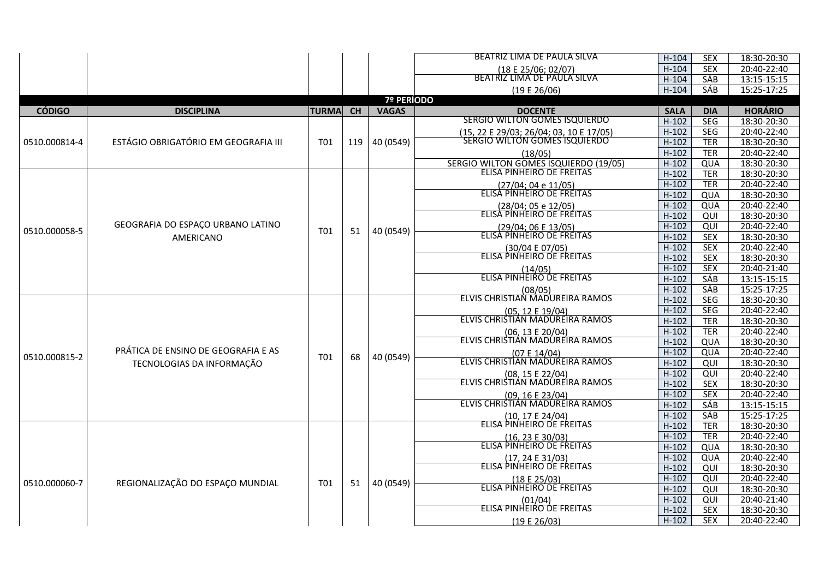|               |                                      |              |     |              | BEATRIZ LIMA DE PAULA SILVA                                              | $H-104$     | <b>SEX</b> | 18:30-20:30    |
|---------------|--------------------------------------|--------------|-----|--------------|--------------------------------------------------------------------------|-------------|------------|----------------|
|               |                                      |              |     |              |                                                                          | $H-104$     | <b>SEX</b> | 20:40-22:40    |
|               |                                      |              |     |              | (18 E 25/06; 02/07)<br>BEATRIZ LIMA DE PAULA SILVA                       | $H-104$     | SÁB        | 13:15-15:15    |
|               |                                      |              |     |              | (19E26/06)                                                               | $H-104$     | SÁB        | 15:25-17:25    |
|               |                                      |              |     | 7º PERÍODO   |                                                                          |             |            |                |
| <b>CÓDIGO</b> | <b>DISCIPLINA</b>                    | <b>TURMA</b> | CH  | <b>VAGAS</b> | <b>DOCENTE</b>                                                           | <b>SALA</b> | <b>DIA</b> | <b>HORÁRIO</b> |
|               |                                      |              |     |              | SERGIO WILTON GOMES ISQUIERDO                                            | $H-102$     | <b>SEG</b> | 18:30-20:30    |
|               |                                      |              |     |              | (15, 22 E 29/03; 26/04; 03, 10 E 17/05)<br>SERGIO WILTON GOMES ISQUIERDO | $H-102$     | SEG        | 20:40-22:40    |
| 0510.000814-4 | ESTÁGIO OBRIGATÓRIO EM GEOGRAFIA III | <b>T01</b>   | 119 | 40 (0549)    |                                                                          | $H-102$     | <b>TER</b> | 18:30-20:30    |
|               |                                      |              |     |              | (18/05)                                                                  | $H-102$     | <b>TER</b> | 20:40-22:40    |
|               |                                      |              |     |              | SERGIO WILTON GOMES ISQUIERDO (19/05)                                    | $H-102$     | QUA        | 18:30-20:30    |
|               |                                      |              |     |              | <b>ELISA PINHEIRO DE FREITAS</b>                                         | $H-102$     | <b>TER</b> | 18:30-20:30    |
|               |                                      |              |     |              | (27/04; 04 e 11/05)<br>ELISA PINHEIRO DE FREITAS                         | $H-102$     | <b>TER</b> | 20:40-22:40    |
|               |                                      |              |     |              |                                                                          | $H-102$     | QUA        | 18:30-20:30    |
|               |                                      |              |     |              | (28/04; 05 e 12/05)                                                      | $H-102$     | QUA        | 20:40-22:40    |
|               |                                      |              |     |              | ELISA PINHEIRO DE FRÉITAS                                                | $H-102$     | QUI        | 18:30-20:30    |
| 0510.000058-5 | GEOGRAFIA DO ESPAÇO URBANO LATINO    | T01          | 51  | 40 (0549)    | (29/04; 06 E 13/05)                                                      | $H-102$     | QUI        | 20:40-22:40    |
|               | AMERICANO                            |              |     |              | ELISA PÍNHEIRO DE FRÉITAS                                                | $H-102$     | <b>SEX</b> | 18:30-20:30    |
|               |                                      |              |     |              | (30/04 E 07/05)<br>ELISA PINHEIRO DE FREITAS                             | $H-102$     | <b>SEX</b> | 20:40-22:40    |
|               |                                      |              |     |              |                                                                          | $H-102$     | <b>SEX</b> | 18:30-20:30    |
|               |                                      |              |     |              | (14/05)                                                                  | $H-102$     | <b>SEX</b> | 20:40-21:40    |
|               |                                      |              |     |              | ELISA PINHEIRO DE FREITAS                                                | $H-102$     | SÁB        | 13:15-15:15    |
|               |                                      |              |     |              | (08/05)                                                                  | $H-102$     | SÁB        | 15:25-17:25    |
|               |                                      |              |     |              | ELVIS CHRISTIAN MADUREIRA RAMOS                                          | $H-102$     | <b>SEG</b> | 18:30-20:30    |
|               |                                      |              |     |              | (05, 12 E 19/04)<br>ELVIS CHRISTIAN MADUREIRA RAMOS                      | $H-102$     | <b>SEG</b> | 20:40-22:40    |
|               |                                      |              |     |              |                                                                          | $H-102$     | <b>TER</b> | 18:30-20:30    |
|               |                                      |              |     |              | (06, 13 E 20/04)                                                         | $H-102$     | <b>TER</b> | 20:40-22:40    |
|               |                                      |              |     |              | ELVIS CHRISTIAN MADUREIRA RAMOS                                          | $H-102$     | QUA        | 18:30-20:30    |
| 0510.000815-2 | PRÁTICA DE ENSINO DE GEOGRAFIA E AS  | T01          | 68  | 40 (0549)    | (07 E 14/04)<br>ELVIS CHRISTIAN MADUREIRA RAMOS                          | $H-102$     | QUA        | 20:40-22:40    |
|               | TECNOLOGIAS DA INFORMAÇÃO            |              |     |              |                                                                          | $H-102$     | QUI        | 18:30-20:30    |
|               |                                      |              |     |              | (08, 15 E 22/04)                                                         | $H-102$     | QUI        | 20:40-22:40    |
|               |                                      |              |     |              | ELVIS CHRISTIAN MADUREIRA RAMOS                                          | $H-102$     | <b>SEX</b> | 18:30-20:30    |
|               |                                      |              |     |              | (09, 16 E 23/04)                                                         | $H-102$     | <b>SEX</b> | 20:40-22:40    |
|               |                                      |              |     |              | ELVIS CHRISTIAN MADUREIRA RAMOS                                          | $H-102$     | SÁB        | 13:15-15:15    |
|               |                                      |              |     |              | (10, 17 E 24/04)<br>ELISA PINHEIRO DE FREITAS                            | $H-102$     | SÁB        | 15:25-17:25    |
|               |                                      |              |     |              |                                                                          | $H-102$     | <b>TER</b> | 18:30-20:30    |
|               |                                      |              |     |              | (16, 23 E 30/03)                                                         | $H-102$     | <b>TER</b> | 20:40-22:40    |
|               |                                      |              |     |              | ELISA PINHEIRO DE FREITAS                                                | $H-102$     | QUA        | 18:30-20:30    |
|               |                                      |              |     |              | (17.24 E 31/03)                                                          | $H-102$     | QUA        | 20:40-22:40    |
|               |                                      |              |     |              | ELISA PINHEIRO DE FREITAS                                                | $H-102$     | QUI        | 18:30-20:30    |
| 0510.000060-7 | REGIONALIZAÇÃO DO ESPAÇO MUNDIAL     | T01          | 51  | 40 (0549)    | (18 E 25/03)<br>ELISA PINHEIRO DE FREITAS                                | $H-102$     | QUI        | 20:40-22:40    |
|               |                                      |              |     |              |                                                                          | $H-102$     | QUI        | 18:30-20:30    |
|               |                                      |              |     |              | (01/04)<br>ELISA PINHEIRO DE FREITAS                                     | $H-102$     | QUI        | 20:40-21:40    |
|               |                                      |              |     |              |                                                                          | $H-102$     | <b>SEX</b> | 18:30-20:30    |
|               |                                      |              |     |              | (19E26/03)                                                               | $H-102$     | <b>SEX</b> | 20:40-22:40    |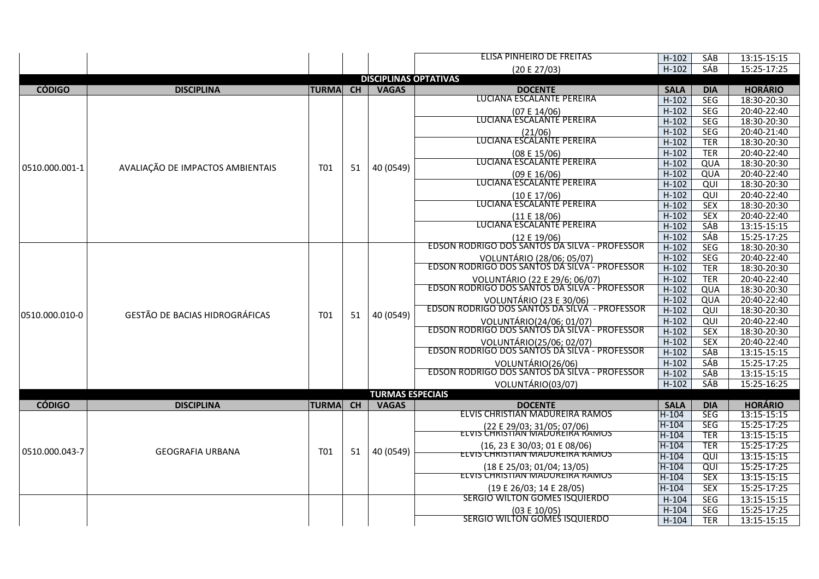|                |                                       |              |           |                              | ELISA PINHEIRO DE FREITAS                                                  | $H-102$     | SÁB             | 13:15-15:15    |
|----------------|---------------------------------------|--------------|-----------|------------------------------|----------------------------------------------------------------------------|-------------|-----------------|----------------|
|                |                                       |              |           |                              | (20 E 27/03)                                                               | $H-102$     | SÁB             | 15:25-17:25    |
|                |                                       |              |           | <b>DISCIPLINAS OPTATIVAS</b> |                                                                            |             |                 |                |
| <b>CÓDIGO</b>  | <b>DISCIPLINA</b>                     | <b>TURMA</b> | <b>CH</b> | <b>VAGAS</b>                 | <b>DOCENTE</b>                                                             | <b>SALA</b> | <b>DIA</b>      | <b>HORÁRIO</b> |
|                |                                       |              |           |                              | LUCIANA ESCALANTE PEREIRA                                                  | $H-102$     | <b>SEG</b>      | 18:30-20:30    |
|                |                                       |              |           |                              | (07 E 14/06)                                                               | $H-102$     | <b>SEG</b>      | 20:40-22:40    |
|                |                                       |              |           |                              | LUCIANA ESCALANTE PEREIRA                                                  | $H-102$     | <b>SEG</b>      | 18:30-20:30    |
|                |                                       |              |           |                              |                                                                            | $H-102$     | <b>SEG</b>      | 20:40-21:40    |
|                |                                       |              |           |                              | (21/06)<br>LUCIANA ESCALANTE PEREIRA                                       | $H-102$     | <b>TER</b>      | 18:30-20:30    |
|                |                                       |              |           |                              | (08 E 15/06)                                                               | $H-102$     | <b>TER</b>      | 20:40-22:40    |
|                |                                       |              |           |                              | LUCIANA ESCALANTE PEREIRA                                                  | $H-102$     | QUA             | 18:30-20:30    |
| 0510.000.001-1 | AVALIAÇÃO DE IMPACTOS AMBIENTAIS      | T01          | 51        | 40 (0549)                    | (09 E 16/06)                                                               | $H-102$     | QUA             | 20:40-22:40    |
|                |                                       |              |           |                              | LUCIANA ESCALANTE PEREIRA                                                  | $H-102$     | QUI             | 18:30-20:30    |
|                |                                       |              |           |                              | (10 E 17/06)                                                               | $H-102$     | QUI             | 20:40-22:40    |
|                |                                       |              |           |                              | LUCIANA ESCALANTE PEREIRA                                                  | $H-102$     | <b>SEX</b>      | 18:30-20:30    |
|                |                                       |              |           |                              | (11 E 18/06)                                                               | $H-102$     | <b>SEX</b>      | 20:40-22:40    |
|                |                                       |              |           |                              | LUCIANA ESCALANTE PEREIRA                                                  | $H-102$     | SÁB             | 13:15-15:15    |
|                |                                       |              |           |                              |                                                                            | $H-102$     | SÁB             | 15:25-17:25    |
|                |                                       |              |           |                              | (12 E 19/06)<br>EDSON RODRIGO DOS SANTOS DA SILVA - PROFESSOR              | $H-102$     | <b>SEG</b>      | 18:30-20:30    |
|                |                                       |              |           |                              |                                                                            | $H-102$     | SEG             | 20:40-22:40    |
|                |                                       |              |           |                              | VOLUNTÁRIO (28/06; 05/07)<br>EDSON RODRIGO DOS SANTOS DA SILVA - PROFESSOR | $H-102$     | <b>TER</b>      | 18:30-20:30    |
|                |                                       |              |           |                              | VOLUNTÁRIO (22 E 29/6; 06/07)                                              | $H-102$     | <b>TER</b>      | 20:40-22:40    |
|                |                                       |              |           |                              | EDSON RODRIGO DOS SANTOS DA SILVA - PROFESSOR                              | $H-102$     | QUA             | 18:30-20:30    |
|                |                                       |              |           |                              |                                                                            | $H-102$     | QUA             | 20:40-22:40    |
| 0510.000.010-0 | <b>GESTÃO DE BACIAS HIDROGRÁFICAS</b> | T01          |           | 40 (0549)                    | VOLUNTÁRIO (23 E 30/06)<br>EDSON RODRIGO DOS SANTOS DA SILVA - PROFESSOR   | $H-102$     | QUI             | 18:30-20:30    |
|                |                                       |              | 51        |                              | VOLUNTÁRIO(24/06; 01/07)                                                   | $H-102$     | QUI             | 20:40-22:40    |
|                |                                       |              |           |                              | EDSON RODRIGO DOS SANTOS DA SILVA - PROFESSOR                              | $H-102$     | <b>SEX</b>      | 18:30-20:30    |
|                |                                       |              |           |                              | VOLUNTÁRIO(25/06; 02/07)                                                   | $H-102$     | <b>SEX</b>      | 20:40-22:40    |
|                |                                       |              |           |                              | EDSON RODRIGO DOS SANTOS DA SILVA - PROFESSOR                              | $H-102$     | SÁB             | 13:15-15:15    |
|                |                                       |              |           |                              | VOLUNTÁRIO(26/06)<br>EDSON RODRIGO DOS SANTOS DA SILVA - PROFESSOR         | $H-102$     | SÁB             | 15:25-17:25    |
|                |                                       |              |           |                              |                                                                            | $H-102$     | SÁB             | 13:15-15:15    |
|                |                                       |              |           |                              | VOLUNTÁRIO(03/07)                                                          | $H-102$     | SÁB             | 15:25-16:25    |
|                |                                       |              |           | <b>TURMAS ESPECIAIS</b>      |                                                                            |             |                 |                |
| <b>CÓDIGO</b>  | <b>DISCIPLINA</b>                     | <b>TURMA</b> | CH        | <b>VAGAS</b>                 | <b>DOCENTE</b>                                                             | <b>SALA</b> | <b>DIA</b>      | <b>HORÁRIO</b> |
|                |                                       |              |           |                              | ELVIS CHRISTIAN MADUREIRA RAMOS                                            | $H-104$     | SEG             | 13:15-15:15    |
|                |                                       |              |           |                              | 22 E 29/03: 31/05: 07/06)<br>ELVIS CHRISTIAN MADUREIRA RAIVIOS             | $H-104$     | <b>SEG</b>      | 15:25-17:25    |
|                |                                       |              |           |                              |                                                                            | H-104       | <b>TER</b>      | 13:15-15:15    |
| 0510.000.043-7 | <b>GEOGRAFIA URBANA</b>               | T01          | 51        | 40 (0549)                    | (16, 23 E 30/03; 01 E 08/06)                                               | $H-104$     | <b>TER</b>      | 15:25-17:25    |
|                |                                       |              |           |                              | ELVIS CHRISTIAN MADUREIRA RAMOS                                            | $H-104$     | $\overline{Q}$  | 13:15-15:15    |
|                |                                       |              |           |                              | (18 E 25/03; 01/04; 13/05)                                                 | $H-104$     | $\overline{QU}$ | 15:25-17:25    |
|                |                                       |              |           |                              | ELVIS CHRISTIAN MADUREIRA RAMOS                                            | $H-104$     | <b>SEX</b>      | 13:15-15:15    |
|                |                                       |              |           |                              | (19 E 26/03; 14 E 28/05)                                                   | $H-104$     | <b>SEX</b>      | 15:25-17:25    |
|                |                                       |              |           |                              | SERGIO WILTON GOMES ISQUIERDO                                              | $H-104$     | <b>SEG</b>      | 13:15-15:15    |
|                |                                       |              |           |                              | (03 E 10/05)                                                               | $H-104$     | SEG             | 15:25-17:25    |
|                |                                       |              |           |                              | SERGIO WILTON GOMES ISQUIERDO                                              | $H-104$     | <b>TER</b>      | 13:15-15:15    |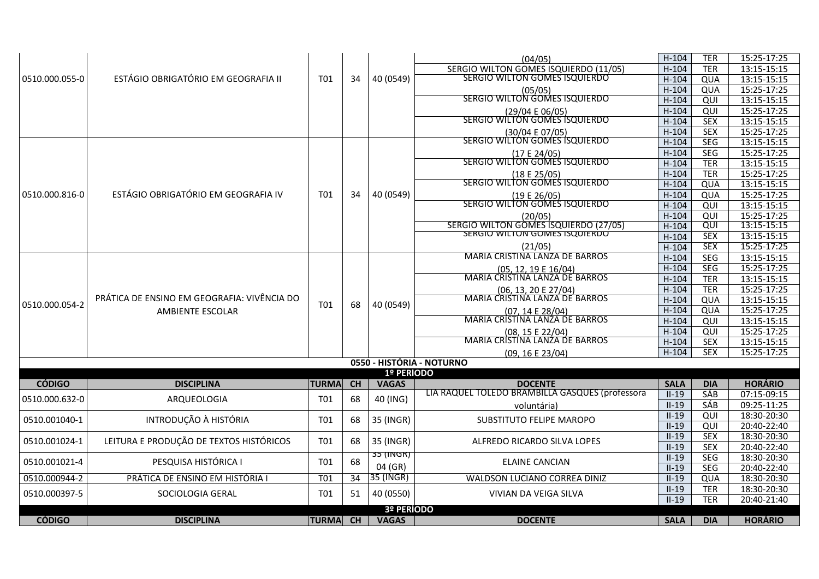|                |                                             |                 |    |              | (04/05)                                            | $H-104$     | <b>TER</b> | 15:25-17:25    |
|----------------|---------------------------------------------|-----------------|----|--------------|----------------------------------------------------|-------------|------------|----------------|
|                |                                             |                 |    |              | SERGIO WILTON GOMES ISQUIERDO (11/05)              | $H-104$     | <b>TER</b> | 13:15-15:15    |
| 0510.000.055-0 | ESTÁGIO OBRIGATÓRIO EM GEOGRAFIA II         | T01             | 34 | 40 (0549)    | SERGIO WILTON GOMES ISQUIERDO                      | $H-104$     | QUA        | 13:15-15:15    |
|                |                                             |                 |    |              | (05/05)                                            | $H-104$     | QUA        | 15:25-17:25    |
|                |                                             |                 |    |              | <b>SERGIO WILTON GOMES ISQUIERDO</b>               | $H-104$     | QUI        | 13:15-15:15    |
|                |                                             |                 |    |              | (29/04 E 06/05)                                    | $H-104$     | QUI        | 15:25-17:25    |
|                |                                             |                 |    |              | SERGIO WILTON GOMES ISQUIERDO                      | $H-104$     | <b>SEX</b> | 13:15-15:15    |
|                |                                             |                 |    |              | (30/04 E 07/05)                                    | $H-104$     | <b>SEX</b> | 15:25-17:25    |
|                |                                             |                 |    |              | SERGIO WILTON GOMES ISQUIERDO                      | $H-104$     | SEG        | 13:15-15:15    |
|                |                                             |                 |    |              | (17E24/05)                                         | $H-104$     | SEG        | 15:25-17:25    |
|                |                                             |                 |    |              | SERGIO WILTON GOMES ISQUIERDO                      | $H-104$     | <b>TER</b> | 13:15-15:15    |
|                |                                             |                 |    |              | (18E25/05)                                         | $H-104$     | <b>TER</b> | 15:25-17:25    |
|                |                                             |                 |    |              | SERGIO WILTON GOMES ISQUIERDO                      | $H-104$     | QUA        | 13:15-15:15    |
| 0510.000.816-0 | ESTÁGIO OBRIGATÓRIO EM GEOGRAFIA IV         | <b>T01</b>      | 34 | 40 (0549)    | (19 E 26/05)                                       | $H-104$     | QUA        | 15:25-17:25    |
|                |                                             |                 |    |              | SERGIO WILTON GOMES ISQUIERDO                      | $H-104$     | QUI        | 13:15-15:15    |
|                |                                             |                 |    |              | (20/05)                                            | $H-104$     | QUI        | 15:25-17:25    |
|                |                                             |                 |    |              | SERGIO WILTON GOMES ISQUIERDO (27/05)              | $H-104$     | QUI        | 13:15-15:15    |
|                |                                             |                 |    |              | SERGIO WILTON GOMES ISQUIERDO                      | $H-104$     | SEX        | 13:15-15:15    |
|                |                                             |                 |    |              | (21/05)                                            | $H-104$     | <b>SEX</b> | 15:25-17:25    |
|                |                                             |                 |    |              | <b>MARIA CRISTINA LANZA DE BARROS</b>              | $H-104$     | <b>SEG</b> | 13:15-15:15    |
|                |                                             |                 |    |              | (05, 12, 19 E 16/04)                               | $H-104$     | SEG        | 15:25-17:25    |
|                |                                             |                 |    |              | <b>MARIA CRISTINA LANZA DE BARROS</b>              | $H-104$     | <b>TER</b> | 13:15-15:15    |
|                |                                             |                 |    |              | (06, 13, 20 E 27/04)                               | $H-104$     | <b>TER</b> | 15:25-17:25    |
|                | PRÁTICA DE ENSINO EM GEOGRAFIA: VIVÊNCIA DO |                 |    |              | MARIA CRISTINA LANZA DE BARROS                     | $H-104$     | QUA        | 13:15-15:15    |
| 0510.000.054-2 | AMBIENTE ESCOLAR                            | T01             | 68 | 40 (0549)    |                                                    | $H-104$     | QUA        | 15:25-17:25    |
|                |                                             |                 |    |              | (07, 14 E 28/04)<br>MARIA CRISTINA LANZA DE BARROS | $H-104$     | QUI        | 13:15-15:15    |
|                |                                             |                 |    |              |                                                    | $H-104$     | QUI        | 15:25-17:25    |
|                |                                             |                 |    |              | (08, 15 E 22/04)<br>MARIA CRISTINA LANZA DE BARROS | $H-104$     | <b>SEX</b> | 13:15-15:15    |
|                |                                             |                 |    |              | (09, 16 E 23/04)                                   | $H-104$     | <b>SEX</b> | 15:25-17:25    |
|                |                                             |                 |    |              | 0550 - HISTÓRIA - NOTURNO                          |             |            |                |
|                |                                             |                 |    | 1º PERÍODO   |                                                    |             |            |                |
| <b>CÓDIGO</b>  | <b>DISCIPLINA</b>                           | <b>TURMA</b>    | CH | <b>VAGAS</b> | <b>DOCENTE</b>                                     | <b>SALA</b> | <b>DIA</b> | <b>HORÁRIO</b> |
|                |                                             |                 |    |              | LIA RAQUEL TOLEDO BRAMBILLA GASQUES (professora    | $II-19$     | SÁB        | 07:15-09:15    |
| 0510.000.632-0 | ARQUEOLOGIA                                 | T01             | 68 | 40 (ING)     | voluntária)                                        | $II-19$     | <b>SÁB</b> | 09:25-11:25    |
|                |                                             |                 |    |              |                                                    | $II-19$     | QUI        | 18:30-20:30    |
| 0510.001040-1  | INTRODUÇÃO À HISTÓRIA                       | T01             | 68 | 35 (INGR)    | SUBSTITUTO FELIPE MAROPO                           | $II-19$     | QUI        | 20:40-22:40    |
|                |                                             |                 |    |              |                                                    | $II-19$     | <b>SEX</b> | 18:30-20:30    |
| 0510.001024-1  | LEITURA E PRODUÇÃO DE TEXTOS HISTÓRICOS     | T <sub>01</sub> | 68 | 35 (INGR)    | ALFREDO RICARDO SILVA LOPES                        | $II-19$     | <b>SEX</b> | 20:40-22:40    |
|                |                                             |                 |    | 35 (INGR)    |                                                    | $II-19$     | SEG        | 18:30-20:30    |
| 0510.001021-4  | PESQUISA HISTÓRICA I                        | T01             | 68 | 04 (GR)      | <b>ELAINE CANCIAN</b>                              | $II-19$     | <b>SEG</b> | 20:40-22:40    |
| 0510.000944-2  | PRÁTICA DE ENSINO EM HISTÓRIA I             | <b>T01</b>      | 34 | 35 (INGR)    | WALDSON LUCIANO CORREA DINIZ                       | $II-19$     | QUA        | 18:30-20:30    |
|                |                                             |                 |    |              |                                                    | $II-19$     | <b>TER</b> | 18:30-20:30    |
| 0510.000397-5  | SOCIOLOGIA GERAL                            | T01             | 51 | 40 (0550)    | VIVIAN DA VEIGA SILVA                              | $II-19$     | <b>TER</b> | 20:40-21:40    |
|                |                                             |                 |    | 3º PERÍODO   |                                                    |             |            |                |
| <b>CÓDIGO</b>  | <b>DISCIPLINA</b>                           | TURMA CH        |    | <b>VAGAS</b> | <b>DOCENTE</b>                                     | <b>SALA</b> | <b>DIA</b> | <b>HORÁRIO</b> |
|                |                                             |                 |    |              |                                                    |             |            |                |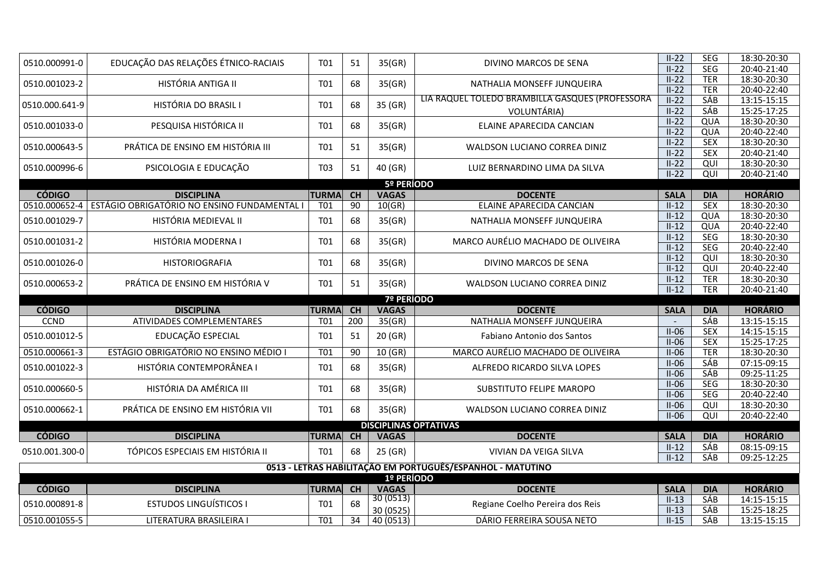| 0510.000991-0  | EDUCAÇÃO DAS RELAÇÕES ÉTNICO-RACIAIS        | T01             | 51              | 35(GR)                 | DIVINO MARCOS DE SENA                                      | $II-22$            | <b>SEG</b>               | 18:30-20:30                |
|----------------|---------------------------------------------|-----------------|-----------------|------------------------|------------------------------------------------------------|--------------------|--------------------------|----------------------------|
|                |                                             |                 |                 |                        |                                                            | $II-22$            | <b>SEG</b>               | 20:40-21:40                |
| 0510.001023-2  | HISTÓRIA ANTIGA II                          | T <sub>01</sub> | 68              | 35(GR)                 | NATHALIA MONSEFF JUNQUEIRA                                 | $II-22$            | <b>TER</b>               | 18:30-20:30                |
|                |                                             |                 |                 |                        | LIA RAQUEL TOLEDO BRAMBILLA GASQUES (PROFESSORA            | $II-22$            | <b>TER</b>               | 20:40-22:40                |
| 0510.000.641-9 | HISTÓRIA DO BRASIL I                        | <b>T01</b>      | 68              | 35 (GR)                |                                                            | $II-22$            | <b>SÁB</b><br><b>SÁB</b> | 13:15-15:15                |
|                |                                             |                 |                 |                        | VOLUNTÁRIA)                                                | $II-22$            |                          | 15:25-17:25                |
| 0510.001033-0  | PESQUISA HISTÓRICA II                       | T01             | 68              | 35(GR)                 | ELAINE APARECIDA CANCIAN                                   | $II-22$<br>$II-22$ | QUA<br>QUA               | 18:30-20:30<br>20:40-22:40 |
|                |                                             |                 |                 |                        |                                                            | $II-22$            | <b>SEX</b>               | 18:30-20:30                |
| 0510.000643-5  | PRÁTICA DE ENSINO EM HISTÓRIA III           | <b>T01</b>      | 51              | 35(GR)                 | WALDSON LUCIANO CORREA DINIZ                               | $II-22$            | <b>SEX</b>               | 20:40-21:40                |
|                |                                             |                 |                 |                        |                                                            | $II-22$            | QUI                      | 18:30-20:30                |
| 0510.000996-6  | PSICOLOGIA E EDUCAÇÃO                       | T03             | 51              | 40 (GR)                | LUIZ BERNARDINO LIMA DA SILVA                              | $II-22$            | QUI                      | 20:40-21:40                |
|                |                                             |                 |                 | 5º PERÍODO             |                                                            |                    |                          |                            |
| <b>CÓDIGO</b>  | <b>DISCIPLINA</b>                           | <b>TURMA</b>    | <b>CH</b>       | <b>VAGAS</b>           | <b>DOCENTE</b>                                             | <b>SALA</b>        | <b>DIA</b>               | <b>HORÁRIO</b>             |
| 0510.000652-4  | ESTÁGIO OBRIGATÓRIO NO ENSINO FUNDAMENTAL I | T01             | 90              | 10(GR)                 | ELAINE APARECIDA CANCIAN                                   | $II-12$            | <b>SEX</b>               | 18:30-20:30                |
| 0510.001029-7  | HISTÓRIA MEDIEVAL II                        | T01             | 68              | 35(GR)                 | NATHALIA MONSEFF JUNQUEIRA                                 | $II-12$            | QUA                      | 18:30-20:30                |
|                |                                             |                 |                 |                        |                                                            | $II-12$            | QUA                      | 20:40-22:40                |
| 0510.001031-2  | HISTÓRIA MODERNA I                          | <b>T01</b>      | 68              | 35(GR)                 | MARCO AURÉLIO MACHADO DE OLIVEIRA                          | $II-12$            | <b>SEG</b>               | 18:30-20:30                |
|                |                                             |                 |                 |                        |                                                            | $II-12$            | <b>SEG</b>               | 20:40-22:40                |
| 0510.001026-0  | <b>HISTORIOGRAFIA</b>                       | T01             | 68              | 35(GR)                 | DIVINO MARCOS DE SENA                                      | $II-12$            | QUI                      | 18:30-20:30                |
|                |                                             |                 |                 |                        |                                                            | $II-12$            | QUI                      | 20:40-22:40                |
| 0510.000653-2  | PRÁTICA DE ENSINO EM HISTÓRIA V             | T <sub>01</sub> | 51              | 35(GR)                 | WALDSON LUCIANO CORREA DINIZ                               | $II-12$            | <b>TER</b>               | 18:30-20:30                |
|                |                                             |                 |                 |                        |                                                            | $II-12$            | <b>TER</b>               | 20:40-21:40                |
|                |                                             |                 |                 |                        |                                                            |                    |                          |                            |
|                |                                             |                 |                 | <b>7º PERÍODO</b>      |                                                            |                    |                          |                            |
| <b>CÓDIGO</b>  | <b>DISCIPLINA</b>                           | <b>TURMA</b>    | CH              | <b>VAGAS</b>           | <b>DOCENTE</b>                                             | <b>SALA</b>        | <b>DIA</b>               | <b>HORÁRIO</b>             |
| <b>CCND</b>    | ATIVIDADES COMPLEMENTARES                   | T01             | 200             | 35(GR)                 | NATHALIA MONSEFF JUNQUEIRA                                 |                    | SÁB                      | 13:15-15:15                |
| 0510.001012-5  | EDUCAÇÃO ESPECIAL                           | T01             | 51              | 20 (GR)                | Fabiano Antonio dos Santos                                 | $II-06$            | <b>SEX</b>               | 14:15-15:15                |
|                |                                             |                 |                 |                        |                                                            | $II-06$            | <b>SEX</b>               | 15:25-17:25                |
| 0510.000661-3  | ESTÁGIO OBRIGATÓRIO NO ENSINO MÉDIO I       | T <sub>01</sub> | 90              | 10 (GR)                | MARCO AURÉLIO MACHADO DE OLIVEIRA                          | $II-06$            | <b>TER</b>               | 18:30-20:30                |
| 0510.001022-3  | HISTÓRIA CONTEMPORÂNEA I                    | <b>T01</b>      | 68              | 35(GR)                 | ALFREDO RICARDO SILVA LOPES                                | $II-06$            | SÁB                      | 07:15-09:15                |
|                |                                             |                 |                 |                        |                                                            | $II-06$            | <b>SÁB</b>               | 09:25-11:25                |
| 0510.000660-5  | HISTÓRIA DA AMÉRICA III                     | <b>T01</b>      | 68              | 35(GR)                 | SUBSTITUTO FELIPE MAROPO                                   | $II-06$<br>$II-06$ | SEG<br><b>SEG</b>        | 18:30-20:30                |
|                |                                             |                 |                 |                        |                                                            | $II-06$            | QUI                      | 20:40-22:40<br>18:30-20:30 |
| 0510.000662-1  | PRÁTICA DE ENSINO EM HISTÓRIA VII           | <b>T01</b>      | 68              | 35(GR)                 | WALDSON LUCIANO CORREA DINIZ                               | $II-06$            | QUI                      | 20:40-22:40                |
|                |                                             |                 |                 |                        | <b>DISCIPLINAS OPTATIVAS</b>                               |                    |                          |                            |
| <b>CÓDIGO</b>  | <b>DISCIPLINA</b>                           | <b>TURMA</b>    | CH              | <b>VAGAS</b>           | <b>DOCENTE</b>                                             | <b>SALA</b>        | <b>DIA</b>               | <b>HORÁRIO</b>             |
| 0510.001.300-0 | TÓPICOS ESPECIAIS EM HISTÓRIA II            | <b>T01</b>      | 68              |                        | VIVIAN DA VEIGA SILVA                                      | $II-12$            | SÁB                      | 08:15-09:15                |
|                |                                             |                 |                 | 25(GR)                 |                                                            | $II-12$            | SÁB                      | 09:25-12:25                |
|                |                                             |                 |                 |                        | 0513 - LETRAS HABILITAÇÃO EM PORTUGUÊS/ESPANHOL - MATUTINO |                    |                          |                            |
|                |                                             |                 |                 | 1º PERÍODO             |                                                            |                    |                          |                            |
| <b>CÓDIGO</b>  | <b>DISCIPLINA</b>                           | <b>TURMA</b>    | <b>CH</b>       | <b>VAGAS</b>           | <b>DOCENTE</b>                                             | <b>SALA</b>        | <b>DIA</b>               | <b>HORÁRIO</b>             |
| 0510.000891-8  | <b>ESTUDOS LINGUÍSTICOS I</b>               | T01             | 68              | 30(0513)               | Regiane Coelho Pereira dos Reis                            | $II-13$            | SÁB                      | 14:15-15:15                |
| 0510.001055-5  | LITERATURA BRASILEIRA I                     | T <sub>01</sub> | $\overline{34}$ | 30 (0525)<br>40 (0513) | DÁRIO FERREIRA SOUSA NETO                                  | $II-13$<br>$II-15$ | SÁB<br><b>SÁB</b>        | 15:25-18:25<br>13:15-15:15 |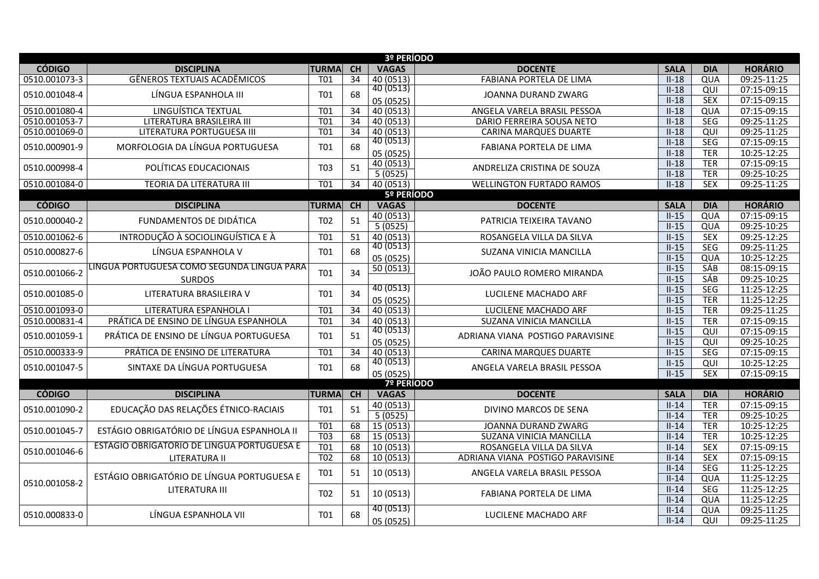|               |                                            |                  |                 | 3º PERÍODO             |                                  |             |                |                |  |  |  |
|---------------|--------------------------------------------|------------------|-----------------|------------------------|----------------------------------|-------------|----------------|----------------|--|--|--|
| <b>CÓDIGO</b> | <b>DISCIPLINA</b>                          | <b>TURMA</b>     | <b>CH</b>       | <b>VAGAS</b>           | <b>DOCENTE</b>                   | <b>SALA</b> | <b>DIA</b>     | <b>HORÁRIO</b> |  |  |  |
| 0510.001073-3 | <b>GÊNEROS TEXTUAIS ACADÊMICOS</b>         | T <sub>01</sub>  | 34              | 40 (0513)              | <b>FABIANA PORTELA DE LIMA</b>   | $II-18$     | QUA            | 09:25-11:25    |  |  |  |
| 0510.001048-4 | LÍNGUA ESPANHOLA III                       | <b>T01</b>       | 68              | $\overline{40}$ (0513) | JOANNA DURAND ZWARG              | $II-18$     | QUI            | 07:15-09:15    |  |  |  |
|               |                                            |                  |                 | 05 (0525)              |                                  | $II-18$     | <b>SEX</b>     | 07:15-09:15    |  |  |  |
| 0510.001080-4 | LINGUÍSTICA TEXTUAL                        | T <sub>01</sub>  | $\overline{34}$ | 40 (0513)              | ANGELA VARELA BRASIL PESSOA      | $II-18$     | QUA            | 07:15-09:15    |  |  |  |
| 0510.001053-7 | LITERATURA BRASILEIRA III                  | <b>T01</b>       | $\overline{34}$ | 40 (0513)              | DÁRIO FERREIRA SOUSA NETO        | $II-18$     | <b>SEG</b>     | 09:25-11:25    |  |  |  |
| 0510.001069-0 | LITERATURA PORTUGUESA III                  | T <sub>01</sub>  | $\overline{34}$ | 40 (0513)              | <b>CARINA MARQUES DUARTE</b>     | $II-18$     | QUI            | 09:25-11:25    |  |  |  |
| 0510.000901-9 | MORFOLOGIA DA LÍNGUA PORTUGUESA            | T01              | 68              | 40 (0513)              | FABIANA PORTELA DE LIMA          | $II-18$     | <b>SEG</b>     | 07:15-09:15    |  |  |  |
|               |                                            |                  |                 | 05 (0525)              |                                  | $II-18$     | <b>TER</b>     | 10:25-12:25    |  |  |  |
| 0510.000998-4 | POLÍTICAS EDUCACIONAIS                     | T <sub>0</sub> 3 | 51              | 40 (0513)              | ANDRELIZA CRISTINA DE SOUZA      | $II-18$     | <b>TER</b>     | 07:15-09:15    |  |  |  |
|               |                                            |                  |                 | 5(0525)                |                                  | $II-18$     | <b>TER</b>     | 09:25-10:25    |  |  |  |
| 0510.001084-0 | TEORIA DA LITERATURA III                   | <b>T01</b>       | 34              | 40 (0513)              | <b>WELLINGTON FURTADO RAMOS</b>  | $II-18$     | <b>SEX</b>     | 09:25-11:25    |  |  |  |
| 5º PERÍODO    |                                            |                  |                 |                        |                                  |             |                |                |  |  |  |
| <b>CÓDIGO</b> | <b>DISCIPLINA</b>                          | <b>TURMA</b>     | <b>CH</b>       | <b>VAGAS</b>           | <b>DOCENTE</b>                   | <b>SALA</b> | <b>DIA</b>     | <b>HORÁRIO</b> |  |  |  |
| 0510.000040-2 | FUNDAMENTOS DE DIDÁTICA                    | T <sub>02</sub>  | 51              | 40 (0513)              | PATRICIA TEIXEIRA TAVANO         | $II-15$     | QUA            | 07:15-09:15    |  |  |  |
|               |                                            |                  |                 | 5(0525)                |                                  | $II-15$     | QUA            | 09:25-10:25    |  |  |  |
| 0510.001062-6 | INTRODUÇÃO À SOCIOLINGUÍSTICA E À          | T <sub>01</sub>  | 51              | 40 (0513)              | ROSANGELA VILLA DA SILVA         | $II-15$     | <b>SEX</b>     | 09:25-12:25    |  |  |  |
| 0510.000827-6 | LÍNGUA ESPANHOLA V                         | <b>T01</b>       | 68              | 40(0513)               | SUZANA VINICIA MANCILLA          | $II-15$     | <b>SEG</b>     | 09:25-11:25    |  |  |  |
|               |                                            |                  |                 | 05 (0525)              |                                  | $II-15$     | QUA            | 10:25-12:25    |  |  |  |
| 0510.001066-2 | LÍNGUA PORTUGUESA COMO SEGUNDA LÍNGUA PARA | <b>T01</b>       | 34              | 50 (0513)              | JOÃO PAULO ROMERO MIRANDA        | $II-15$     | <b>SÁB</b>     | 08:15-09:15    |  |  |  |
|               | <b>SURDOS</b>                              |                  |                 |                        |                                  | $II-15$     | <b>SÁB</b>     | 09:25-10:25    |  |  |  |
| 0510.001085-0 | LITERATURA BRASILEIRA V                    | T01              | 34              | 40 (0513)              | LUCILENE MACHADO ARF             | $II-15$     | <b>SEG</b>     | 11:25-12:25    |  |  |  |
|               |                                            |                  |                 | 05 (0525)              |                                  | $II-15$     | <b>TER</b>     | 11:25-12:25    |  |  |  |
| 0510.001093-0 | LITERATURA ESPANHOLA I                     | T01              | $\overline{34}$ | 40 (0513)              | LUCILENE MACHADO ARF             | $II-15$     | <b>TER</b>     | 09:25-11:25    |  |  |  |
| 0510.000831-4 | PRÁTICA DE ENSINO DE LÍNGUA ESPANHOLA      | <b>T01</b>       | 34              | 40 (0513)              | SUZANA VINICIA MANCILLA          | $II-15$     | <b>TER</b>     | 07:15-09:15    |  |  |  |
| 0510.001059-1 | PRÁTICA DE ENSINO DE LÍNGUA PORTUGUESA     | <b>T01</b>       | 51              | 40(0513)               | ADRIANA VIANA POSTIGO PARAVISINE | $II-15$     | QUI            | 07:15-09:15    |  |  |  |
|               |                                            |                  |                 | 05 (0525)              |                                  | $II-15$     | $\overline{Q}$ | 09:25-10:25    |  |  |  |
| 0510.000333-9 | PRÁTICA DE ENSINO DE LITERATURA            | T <sub>01</sub>  | 34              | 40 (0513)              | <b>CARINA MARQUES DUARTE</b>     | $II-15$     | <b>SEG</b>     | 07:15-09:15    |  |  |  |
| 0510.001047-5 | SINTAXE DA LÍNGUA PORTUGUESA               | <b>T01</b>       | 68              | 40 (0513)              | ANGELA VARELA BRASIL PESSOA      | $II-15$     | QUI            | 10:25-12:25    |  |  |  |
|               |                                            |                  |                 | 05 (0525)              |                                  | $II-15$     | <b>SEX</b>     | 07:15-09:15    |  |  |  |
|               |                                            |                  |                 | <b>7º PERÍODO</b>      |                                  |             |                |                |  |  |  |
| <b>CÓDIGO</b> | <b>DISCIPLINA</b>                          | <b>TURMA</b>     | <b>CH</b>       | <b>VAGAS</b>           | <b>DOCENTE</b>                   | <b>SALA</b> | <b>DIA</b>     | <b>HORÁRIO</b> |  |  |  |
| 0510.001090-2 | EDUCAÇÃO DAS RELAÇÕES ÉTNICO-RACIAIS       | <b>T01</b>       | 51              | 40 (0513)              | DIVINO MARCOS DE SENA            | $II-14$     | <b>TER</b>     | 07:15-09:15    |  |  |  |
|               |                                            |                  |                 | 5(0525)                |                                  | $II-14$     | <b>TER</b>     | 09:25-10:25    |  |  |  |
| 0510.001045-7 | ESTÁGIO OBRIGATÓRIO DE LÍNGUA ESPANHOLA II | T01              | 68              | 15 (0513)              | JOANNA DURAND ZWARG              | $II-14$     | <b>TER</b>     | 10:25-12:25    |  |  |  |
|               |                                            | T <sub>03</sub>  | 68              | 15(0513)               | SUZANA VINICIA MANCILLA          | $II-14$     | <b>TER</b>     | 10:25-12:25    |  |  |  |
| 0510.001046-6 | ESTÁGIO OBRIGATÓRIO DE LÍNGUA PORTUGUESA E | T <sub>01</sub>  | 68              | 10 (0513)              | ROSANGELA VILLA DA SILVA         | $II-14$     | <b>SEX</b>     | 07:15-09:15    |  |  |  |
|               | LITERATURA II                              | T <sub>02</sub>  | 68              | 10 (0513)              | ADRIANA VIANA POSTIGO PARAVISINE | $II-14$     | <b>SEX</b>     | 07:15-09:15    |  |  |  |
|               | ESTÁGIO OBRIGATÓRIO DE LÍNGUA PORTUGUESA E | T01              | 51              | 10 (0513)              | ANGELA VARELA BRASIL PESSOA      | $II-14$     | SEG            | 11:25-12:25    |  |  |  |
| 0510.001058-2 |                                            |                  |                 |                        |                                  | $II-14$     | QUA            | 11:25-12:25    |  |  |  |
|               | LITERATURA III                             | T <sub>02</sub>  | 51              | 10 (0513)              | FABIANA PORTELA DE LIMA          | $II-14$     | <b>SEG</b>     | 11:25-12:25    |  |  |  |
|               |                                            |                  |                 |                        |                                  | $II-14$     | QUA            | 11:25-12:25    |  |  |  |
| 0510.000833-0 | LÍNGUA ESPANHOLA VII                       | <b>T01</b>       | 68              | 40 (0513)              | LUCILENE MACHADO ARF             | $II-14$     | QUA            | 09:25-11:25    |  |  |  |
|               |                                            |                  |                 | 05 (0525)              |                                  | $II-14$     | QUI            | 09:25-11:25    |  |  |  |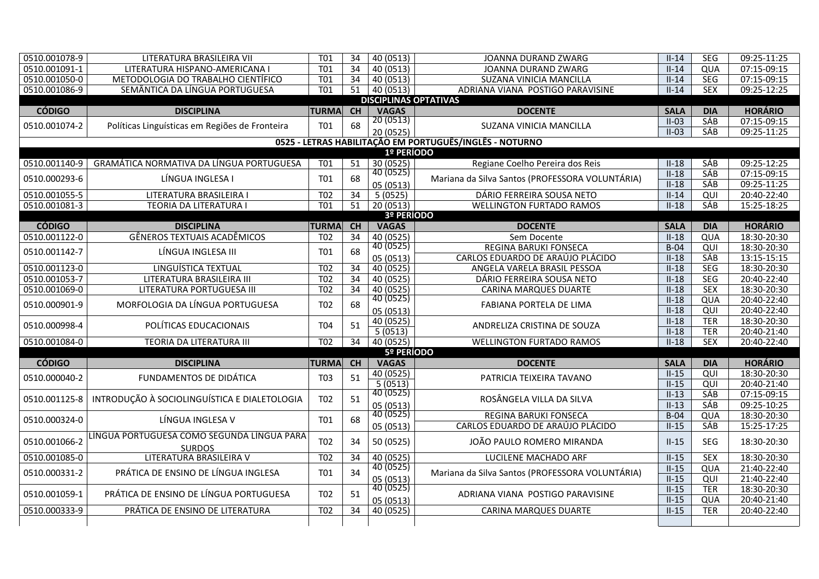| 0510.001078-9 | LITERATURA BRASILEIRA VII                      | <b>T01</b>       | 34              | 40 (0513)                    | JOANNA DURAND ZWARG                                     | $II-14$     | <b>SEG</b> | 09:25-11:25    |  |  |  |
|---------------|------------------------------------------------|------------------|-----------------|------------------------------|---------------------------------------------------------|-------------|------------|----------------|--|--|--|
| 0510.001091-1 | LITERATURA HISPANO-AMERICANA I                 | <b>T01</b>       | 34              | 40 (0513)                    | JOANNA DURAND ZWARG                                     | $II-14$     | QUA        | 07:15-09:15    |  |  |  |
| 0510.001050-0 | METODOLOGIA DO TRABALHO CIENTÍFICO             | T01              | 34              | 40 (0513)                    | SUZANA VINICIA MANCILLA                                 | $II-14$     | SEG        | 07:15-09:15    |  |  |  |
| 0510.001086-9 | SEMÂNTICA DA LÍNGUA PORTUGUESA                 | T01              | 51              | 40 (0513)                    | ADRIANA VIANA POSTIGO PARAVISINE                        | $II-14$     | <b>SEX</b> | 09:25-12:25    |  |  |  |
|               |                                                |                  |                 | <b>DISCIPLINAS OPTATIVAS</b> |                                                         |             |            |                |  |  |  |
| <b>CÓDIGO</b> | <b>DISCIPLINA</b>                              | <b>TURMA</b>     | <b>CH</b>       | <b>VAGAS</b>                 | <b>DOCENTE</b>                                          | <b>SALA</b> | <b>DIA</b> | <b>HORÁRIO</b> |  |  |  |
| 0510.001074-2 | Políticas Linguísticas em Regiões de Fronteira | T01              | 68              | 20(0513)                     | SUZANA VINICIA MANCILLA                                 | $II-03$     | <b>SÁB</b> | 07:15-09:15    |  |  |  |
|               |                                                |                  |                 | 20 (0525)                    |                                                         | $II-03$     | <b>SÁB</b> | 09:25-11:25    |  |  |  |
|               |                                                |                  |                 |                              | 0525 - LETRAS HABILITAÇÃO EM PORTUGUÊS/INGLÊS - NOTURNO |             |            |                |  |  |  |
|               |                                                |                  |                 | 1º PERÍODO                   |                                                         |             |            |                |  |  |  |
| 0510.001140-9 | GRAMÁTICA NORMATIVA DA LÍNGUA PORTUGUESA       | T01              | 51              | 30(0525)                     | Regiane Coelho Pereira dos Reis                         | $II-18$     | <b>SÁB</b> | 09:25-12:25    |  |  |  |
| 0510.000293-6 | LÍNGUA INGLESA I                               | T01              | 68              | 40(0525)                     | Mariana da Silva Santos (PROFESSORA VOLUNTÁRIA)         | $II-18$     | <b>SÁB</b> | 07:15-09:15    |  |  |  |
|               |                                                |                  |                 | 05 (0513)                    |                                                         | $II-18$     | SÁB        | 09:25-11:25    |  |  |  |
| 0510.001055-5 | LITERATURA BRASILEIRA I                        | T02              | 34              | 5(0525)                      | DÁRIO FERREIRA SOUSA NETO                               | $II-14$     | QUI        | 20:40-22:40    |  |  |  |
| 0510.001081-3 | TEORIA DA LITERATURA I                         | T <sub>01</sub>  | 51              | 20(0513)                     | <b>WELLINGTON FURTADO RAMOS</b>                         | $II-18$     | <b>SÁB</b> | 15:25-18:25    |  |  |  |
| 3º PERÍODO    |                                                |                  |                 |                              |                                                         |             |            |                |  |  |  |
| <b>CÓDIGO</b> | <b>DISCIPLINA</b>                              | <b>TURMA</b>     | CH              | <b>VAGAS</b>                 | <b>DOCENTE</b>                                          | <b>SALA</b> | <b>DIA</b> | <b>HORÁRIO</b> |  |  |  |
| 0510.001122-0 | <b>GÊNEROS TEXTUAIS ACADÊMICOS</b>             | T <sub>02</sub>  | 34              | 40(0525)                     | Sem Docente                                             | $II-18$     | QUA        | 18:30-20:30    |  |  |  |
| 0510.001142-7 | LÍNGUA INGLESA III                             | <b>T01</b>       | 68              | $\overline{40}$ (0525)       | REGINA BARUKI FONSECA                                   | $B-04$      | QUI        | 18:30-20:30    |  |  |  |
|               |                                                |                  |                 | 05 (0513)                    | CARLOS EDUARDO DE ARAÚJO PLÁCIDO                        | $II-18$     | SÁB        | 13:15-15:15    |  |  |  |
| 0510.001123-0 | LINGUÍSTICA TEXTUAL                            | T02              | $\overline{34}$ | 40 (0525)                    | ANGELA VARELA BRASIL PESSOA                             | $II-18$     | SEG        | 18:30-20:30    |  |  |  |
| 0510.001053-7 | LITERATURA BRASILEIRA III                      | $\overline{102}$ | $\overline{34}$ | 40 (0525)                    | DÁRIO FERREIRA SOUSA NETO                               | $II-18$     | <b>SEG</b> | 20:40-22:40    |  |  |  |
| 0510.001069-0 | LITERATURA PORTUGUESA III                      | T <sub>02</sub>  | 34              | 40 (0525)                    | <b>CARINA MARQUES DUARTE</b>                            | $II-18$     | <b>SEX</b> | 18:30-20:30    |  |  |  |
| 0510.000901-9 | MORFOLOGIA DA LÍNGUA PORTUGUESA                | T <sub>02</sub>  | 68              | 40(0525)                     | FABIANA PORTELA DE LIMA                                 | $II-18$     | QUA        | 20:40-22:40    |  |  |  |
|               |                                                |                  |                 | 05 (0513)                    |                                                         | $II-18$     | QUI        | 20:40-22:40    |  |  |  |
| 0510.000998-4 | POLÍTICAS EDUCACIONAIS                         | T04              | 51              | 40 (0525)                    | ANDRELIZA CRISTINA DE SOUZA                             | $II-18$     | <b>TER</b> | 18:30-20:30    |  |  |  |
|               |                                                |                  |                 | 5(0513)                      |                                                         | $II-18$     | <b>TER</b> | 20:40-21:40    |  |  |  |
| 0510.001084-0 | <b>TEORIA DA LITERATURA III</b>                | $\overline{102}$ | $\overline{34}$ | 40 (0525)                    | <b>WELLINGTON FURTADO RAMOS</b>                         | $II-18$     | <b>SEX</b> | 20:40-22:40    |  |  |  |
|               |                                                |                  |                 | 5º PERÍODO                   |                                                         |             |            |                |  |  |  |
| <b>CÓDIGO</b> | <b>DISCIPLINA</b>                              | <b>TURMA</b>     | <b>CH</b>       | <b>VAGAS</b>                 | <b>DOCENTE</b>                                          | <b>SALA</b> | <b>DIA</b> | <b>HORÁRIO</b> |  |  |  |
| 0510.000040-2 | FUNDAMENTOS DE DIDÁTICA                        | T03              | 51              | 40 (0525)                    | PATRICIA TEIXEIRA TAVANO                                | $II-15$     | QUI        | 18:30-20:30    |  |  |  |
|               |                                                |                  |                 | 5(0513)                      |                                                         | $II-15$     | QUI        | 20:40-21:40    |  |  |  |
| 0510.001125-8 | INTRODUÇÃO À SOCIOLINGUÍSTICA E DIALETOLOGIA   | T <sub>02</sub>  | 51              | $\overline{40}$ (0525)       | ROSÂNGELA VILLA DA SILVA                                | $II-13$     | <b>SÁB</b> | 07:15-09:15    |  |  |  |
|               |                                                |                  |                 | 05 (0513)                    |                                                         | $II-13$     | <b>SÁB</b> | 09:25-10:25    |  |  |  |
| 0510.000324-0 | LÍNGUA INGLESA V                               | T <sub>01</sub>  | 68              | 40(0525)                     | <b>REGINA BARUKI FONSECA</b>                            | $B-04$      | QUA        | 18:30-20:30    |  |  |  |
|               |                                                |                  |                 | 05 (0513)                    | CARLOS EDUARDO DE ARAÚJO PLÁCIDO                        | $II-15$     | <b>SÁB</b> | 15:25-17:25    |  |  |  |
| 0510.001066-2 | LÍNGUA PORTUGUESA COMO SEGUNDA LÍNGUA PARA     | T <sub>02</sub>  | 34              | 50 (0525)                    | JOÃO PAULO ROMERO MIRANDA                               | $II-15$     | <b>SEG</b> | 18:30-20:30    |  |  |  |
|               | <b>SURDOS</b>                                  |                  |                 |                              |                                                         |             |            |                |  |  |  |
| 0510.001085-0 | LITERATURA BRASILEIRA V                        | <b>T02</b>       | $\overline{34}$ | 40(0525)                     | LUCILENE MACHADO ARF                                    | $II-15$     | <b>SEX</b> | 18:30-20:30    |  |  |  |
| 0510.000331-2 | PRÁTICA DE ENSINO DE LÍNGUA INGLESA            | T01              | 34              | 40(0525)                     | Mariana da Silva Santos (PROFESSORA VOLUNTÁRIA)         | $II-15$     | QUA        | 21:40-22:40    |  |  |  |
|               |                                                |                  |                 | 05 (0513)<br>40 (0525)       |                                                         | $II-15$     | QUI        | 21:40-22:40    |  |  |  |
| 0510.001059-1 | PRÁTICA DE ENSINO DE LÍNGUA PORTUGUESA         | T <sub>02</sub>  | 51              |                              | ADRIANA VIANA POSTIGO PARAVISINE                        | $II-15$     | <b>TER</b> | 18:30-20:30    |  |  |  |
|               |                                                |                  |                 | 05 (0513)                    |                                                         | $II-15$     | QUA        | 20:40-21:40    |  |  |  |
| 0510.000333-9 | PRÁTICA DE ENSINO DE LITERATURA                | T <sub>02</sub>  | 34              | 40 (0525)                    | <b>CARINA MARQUES DUARTE</b>                            | $II-15$     | <b>TER</b> | 20:40-22:40    |  |  |  |
|               |                                                |                  |                 |                              |                                                         |             |            |                |  |  |  |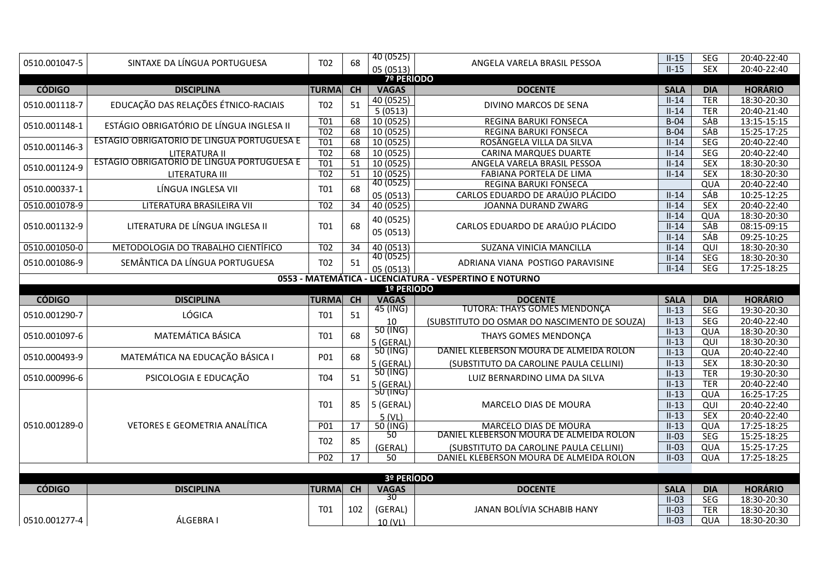| 0510.001047-5                                                         | SINTAXE DA LÍNGUA PORTUGUESA               | T <sub>02</sub>  | 68              | 40 (0525)               | ANGELA VARELA BRASIL PESSOA                  | $II-15$            | <b>SEG</b>               | 20:40-22:40                  |  |  |  |
|-----------------------------------------------------------------------|--------------------------------------------|------------------|-----------------|-------------------------|----------------------------------------------|--------------------|--------------------------|------------------------------|--|--|--|
|                                                                       |                                            |                  |                 | 05 (0513)               |                                              | $II-15$            | <b>SEX</b>               | 20:40-22:40                  |  |  |  |
|                                                                       |                                            |                  |                 | <b>7º PERÍODO</b>       |                                              |                    |                          |                              |  |  |  |
| <b>CÓDIGO</b>                                                         | <b>DISCIPLINA</b>                          | <b>TURMA</b>     | <b>CH</b>       | <b>VAGAS</b>            | <b>DOCENTE</b>                               | <b>SALA</b>        | <b>DIA</b>               | <b>HORÁRIO</b>               |  |  |  |
| 0510.001118-7                                                         | EDUCAÇÃO DAS RELAÇÕES ÉTNICO-RACIAIS       | T <sub>02</sub>  | 51              | 40 (0525)               | DIVINO MARCOS DE SENA                        | $II-14$            | <b>TER</b>               | 18:30-20:30                  |  |  |  |
|                                                                       |                                            | <b>T01</b>       | 68              | 5(0513)<br>10 (0525)    | REGINA BARUKI FONSECA                        | $II-14$<br>$B-04$  | <b>TER</b><br><b>SÁB</b> | 20:40-21:40<br>$13:15-15:15$ |  |  |  |
| 0510.001148-1                                                         | ESTÁGIO OBRIGATÓRIO DE LÍNGUA INGLESA II   | $\overline{TO2}$ | 68              | 10 (0525)               | REGINA BARUKI FONSECA                        | $B-04$             | SÁB                      | 15:25-17:25                  |  |  |  |
|                                                                       | ESTÁGIO OBRIGATÓRIO DE LÍNGUA PORTUGUESA E | T01              | 68              | 10 (0525)               | ROSÂNGELA VILLA DA SILVA                     | $II-14$            | SEG                      | 20:40-22:40                  |  |  |  |
| 0510.001146-3                                                         | LITERATURA II                              | T <sub>02</sub>  | 68              | 10(0525)                | <b>CARINA MARQUES DUARTE</b>                 | $II-14$            | <b>SEG</b>               | 20:40-22:40                  |  |  |  |
|                                                                       | ESTÁGIO OBRIGATÓRIO DE LÍNGUA PORTUGUESA E | $\overline{101}$ | $\overline{51}$ | $\overline{10(0525)}$   | ANGELA VARELA BRASIL PESSOA                  | $II-14$            | <b>SEX</b>               | 18:30-20:30                  |  |  |  |
| 0510.001124-9                                                         | LITERATURA III                             | T <sub>02</sub>  | 51              | 10(0525)                | FABIANA PORTELA DE LIMA                      | $II-14$            | <b>SEX</b>               | 18:30-20:30                  |  |  |  |
| 0510.000337-1                                                         | LÍNGUA INGLESA VII                         |                  | 68              | 40(0525)                | REGINA BARUKI FONSECA                        |                    | QUA                      | 20:40-22:40                  |  |  |  |
|                                                                       |                                            | T01              |                 | 05 (0513)               | CARLOS EDUARDO DE ARAÚJO PLÁCIDO             | $II-14$            | SÁB                      | 10:25-12:25                  |  |  |  |
| 0510.001078-9                                                         | LITERATURA BRASILEIRA VII                  | T <sub>02</sub>  | $\overline{34}$ | 40 (0525)               | JOANNA DURAND ZWARG                          | $II-14$            | <b>SEX</b>               | 20:40-22:40                  |  |  |  |
|                                                                       |                                            |                  |                 | 40 (0525)               |                                              | $II-14$            | QUA                      | 18:30-20:30                  |  |  |  |
| 0510.001132-9                                                         | LITERATURA DE LÍNGUA INGLESA II            | T01              | 68              | 05 (0513)               | CARLOS EDUARDO DE ARAÚJO PLÁCIDO             | $II-14$            | <b>SÁB</b>               | 08:15-09:15                  |  |  |  |
|                                                                       |                                            |                  |                 |                         |                                              | $II-14$            | <b>SÁB</b>               | 09:25-10:25                  |  |  |  |
| 0510.001050-0                                                         | METODOLOGIA DO TRABALHO CIENTÍFICO         | T02              | 34              | 40(0513)                | SUZANA VINICIA MANCILLA                      | $II-14$            | QUI                      | 18:30-20:30                  |  |  |  |
| 0510.001086-9                                                         | SEMÂNTICA DA LÍNGUA PORTUGUESA             | T <sub>02</sub>  | 51              | 40(0525)                | ADRIANA VIANA POSTIGO PARAVISINE             | $II-14$            | <b>SEG</b>               | 18:30-20:30                  |  |  |  |
|                                                                       |                                            |                  |                 | 05 (0513)               |                                              | $II-14$            | <b>SEG</b>               | 17:25-18:25                  |  |  |  |
| 0553 - MATEMÁTICA - LICENCIATURA - VESPERTINO E NOTURNO<br>1º PERÍODO |                                            |                  |                 |                         |                                              |                    |                          |                              |  |  |  |
| <b>CÓDIGO</b>                                                         | <b>DISCIPLINA</b>                          | <b>TURMA</b>     | <b>CH</b>       | <b>VAGAS</b>            | <b>DOCENTE</b>                               | <b>SALA</b>        | <b>DIA</b>               | <b>HORÁRIO</b>               |  |  |  |
|                                                                       |                                            |                  |                 |                         |                                              |                    |                          |                              |  |  |  |
|                                                                       |                                            |                  |                 |                         |                                              |                    |                          |                              |  |  |  |
| 0510.001290-7                                                         | LÓGICA                                     | T01              | 51              | 45 (ING)                | <b>TUTORA: THAYS GOMES MENDONÇA</b>          | $II-13$            | <b>SEG</b>               | 19:30-20:30                  |  |  |  |
|                                                                       |                                            |                  |                 | 10                      | (SUBSTITUTO DO OSMAR DO NASCIMENTO DE SOUZA) | $II-13$            | <b>SEG</b>               | 20:40-22:40                  |  |  |  |
| 0510.001097-6                                                         | MATEMÁTICA BÁSICA                          | T01              | 68              | 50 (ING)                | THAYS GOMES MENDONÇA                         | $II-13$            | QUA                      | 18:30-20:30                  |  |  |  |
|                                                                       |                                            |                  |                 | 5 (GERAL)<br>$50$ (ING) | DANIEL KLEBERSON MOURA DE ALMEIDA ROLON      | $II-13$            | QUI                      | 18:30-20:30                  |  |  |  |
| 0510.000493-9                                                         | MATEMÁTICA NA EDUCAÇÃO BÁSICA I            | P01              | 68              |                         |                                              | $II-13$<br>$II-13$ | QUA<br><b>SEX</b>        | 20:40-22:40<br>18:30-20:30   |  |  |  |
|                                                                       |                                            |                  |                 | 5 (GERAL)<br>$50$ (ING) | (SUBSTITUTO DA CAROLINE PAULA CELLINI)       | $II-13$            | <b>TER</b>               | 19:30-20:30                  |  |  |  |
| 0510.000996-6                                                         | PSICOLOGIA E EDUCAÇÃO                      | T04              | 51              | 5 (GERAL)               | LUIZ BERNARDINO LIMA DA SILVA                | $II-13$            | <b>TER</b>               | 20:40-22:40                  |  |  |  |
|                                                                       |                                            |                  |                 | 50 (TNG)                |                                              | $II-13$            | QUA                      | 16:25-17:25                  |  |  |  |
|                                                                       |                                            | T01              | 85              | 5 (GERAL)               | MARCELO DIAS DE MOURA                        | $II-13$            | QUI                      | 20:40-22:40                  |  |  |  |
|                                                                       |                                            |                  |                 | 5(VL)                   |                                              | $II-13$            | <b>SEX</b>               | 20:40-22:40                  |  |  |  |
| 0510.001289-0                                                         | VETORES E GEOMETRIA ANALÍTICA              | <b>P01</b>       | 17              | 50 (ING)                | MARCELO DIAS DE MOURA                        | $II-13$            | QUA                      | 17:25-18:25                  |  |  |  |
|                                                                       |                                            |                  |                 | 50                      | DANIEL KLEBERSON MOURA DE ALMEIDA ROLON      | $II-03$            | <b>SEG</b>               | 15:25-18:25                  |  |  |  |
|                                                                       |                                            | T <sub>02</sub>  | 85              | (GERAL)                 | (SUBSTITUTO DA CAROLINE PAULA CELLINI)       | $II-03$            | QUA                      | 15:25-17:25                  |  |  |  |
|                                                                       |                                            | P02              | $\overline{17}$ | 50                      | DANIEL KLEBERSON MOURA DE ALMEIDA ROLON      | $II-03$            | QUA                      | 17:25-18:25                  |  |  |  |
|                                                                       |                                            |                  |                 |                         |                                              |                    |                          |                              |  |  |  |
|                                                                       |                                            |                  |                 | 3º PERÍODO              |                                              |                    |                          |                              |  |  |  |
| <b>CÓDIGO</b>                                                         | <b>DISCIPLINA</b>                          | <b>TURMA</b>     | CH              | <b>VAGAS</b><br>30      | <b>DOCENTE</b>                               | <b>SALA</b>        | <b>DIA</b>               | <b>HORÁRIO</b>               |  |  |  |
|                                                                       |                                            | <b>T01</b>       | 102             | (GERAL)                 | JANAN BOLÍVIA SCHABIB HANY                   | $II-03$            | SEG<br><b>TER</b>        | 18:30-20:30                  |  |  |  |
|                                                                       |                                            |                  |                 |                         |                                              |                    |                          |                              |  |  |  |
|                                                                       |                                            |                  |                 |                         |                                              | $II-03$            |                          | 18:30-20:30                  |  |  |  |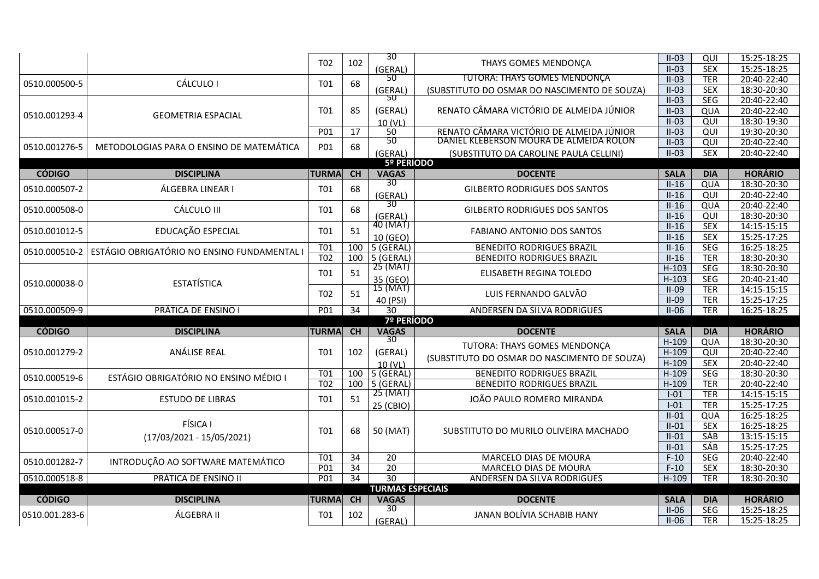|                |                                             |                  |                 | 30                           |                                              | $II-03$     | QUI        | 15:25-18:25    |  |  |  |
|----------------|---------------------------------------------|------------------|-----------------|------------------------------|----------------------------------------------|-------------|------------|----------------|--|--|--|
|                |                                             | T <sub>02</sub>  | 102             | (GERAL)                      | THAYS GOMES MENDONÇA                         | $II-03$     | <b>SEX</b> | 15:25-18:25    |  |  |  |
|                |                                             |                  |                 | 50                           | <b>TUTORA: THAYS GOMES MENDONÇA</b>          | $II-03$     | <b>TER</b> | 20:40-22:40    |  |  |  |
| 0510.000500-5  | CÁLCULO I                                   | T01              | 68              | (GERAL)                      | (SUBSTITUTO DO OSMAR DO NASCIMENTO DE SOUZA) | $II-03$     | <b>SEX</b> | 18:30-20:30    |  |  |  |
|                |                                             |                  |                 | 50                           |                                              | $II-03$     | <b>SEG</b> | 20:40-22:40    |  |  |  |
|                |                                             | T01              | 85              | (GERAL)                      | RENATO CÂMARA VICTÓRIO DE ALMEIDA JÚNIOR     | $II-03$     | QUA        | 20:40-22:40    |  |  |  |
| 0510.001293-4  | <b>GEOMETRIA ESPACIAL</b>                   |                  |                 |                              |                                              | $II-03$     | QUI        | 18:30-19:30    |  |  |  |
|                |                                             | P01              | 17              | 10 (VL)<br>50                | RENATO CÂMARA VICTÓRIO DE ALMEIDA JÚNIOR     | $II-03$     | QUI        | 19:30-20:30    |  |  |  |
|                |                                             |                  |                 | 50                           | DANIEL KLEBERSON MOURA DE ALMEIDA ROLON      | $II-03$     | QUI        | 20:40-22:40    |  |  |  |
| 0510.001276-5  | METODOLOGIAS PARA O ENSINO DE MATEMÁTICA    | P01              | 68              | (GERAL)                      | (SUBSTITUTO DA CAROLINE PAULA CELLINI)       | $II-03$     | <b>SEX</b> | 20:40-22:40    |  |  |  |
|                |                                             |                  |                 | 5º PERÍODO                   |                                              |             |            |                |  |  |  |
| <b>CÓDIGO</b>  | <b>DISCIPLINA</b>                           | <b>TURMA</b>     | CH              | <b>VAGAS</b>                 | <b>DOCENTE</b>                               | <b>SALA</b> | <b>DIA</b> | <b>HORÁRIO</b> |  |  |  |
|                |                                             |                  |                 | $\overline{30}$              |                                              | $II-16$     | QUA        | 18:30-20:30    |  |  |  |
| 0510.000507-2  | ÁLGEBRA LINEAR I                            | T01              | 68              | (GERAL)                      | <b>GILBERTO RODRIGUES DOS SANTOS</b>         | $II-16$     | QUI        | 20:40-22:40    |  |  |  |
|                |                                             |                  |                 | 30                           |                                              | $II-16$     | QUA        | 20:40-22:40    |  |  |  |
| 0510.000508-0  | CÁLCULO III                                 | T01              | 68              | (GERAL)                      | <b>GILBERTO RODRIGUES DOS SANTOS</b>         | $II-16$     | QUI        | 18:30-20:30    |  |  |  |
|                |                                             |                  |                 | $\overline{40}$ (MAT)        |                                              | $II-16$     | <b>SEX</b> | 14:15-15:15    |  |  |  |
| 0510.001012-5  | EDUCAÇÃO ESPECIAL                           | <b>T01</b>       | 51              | 10 (GEO)                     | <b>FABIANO ANTONIO DOS SANTOS</b>            | $II-16$     | <b>SEX</b> | 15:25-17:25    |  |  |  |
|                |                                             | <b>T01</b>       | 100             | 5 (GERAL)                    | <b>BENEDITO RODRIGUES BRAZIL</b>             | $II-16$     | <b>SEG</b> | 16:25-18:25    |  |  |  |
| 0510.000510-2  | ESTÁGIO OBRIGATÓRIO NO ENSINO FUNDAMENTAL I | $\overline{TO2}$ | 100             | $\sqrt{5}$ (GERAL)           | <b>BENEDITO RODRIGUES BRAZIL</b>             | $II-16$     | <b>TER</b> | 18:30-20:30    |  |  |  |
|                |                                             |                  |                 | 25 (MAT)                     |                                              | $H-103$     | <b>SEG</b> | 18:30-20:30    |  |  |  |
|                |                                             | T01              | 51              | 35 (GEO)                     | ELISABETH REGINA TOLEDO                      | $H-103$     | <b>SEG</b> | 20:40-21:40    |  |  |  |
| 0510.000038-0  | <b>ESTATÍSTICA</b>                          |                  |                 | 15 (MAT)                     |                                              | $II-09$     | <b>TER</b> | 14:15-15:15    |  |  |  |
|                |                                             | T <sub>02</sub>  | 51              | 40 (PSI)                     | LUIS FERNANDO GALVÃO                         | $II-09$     | <b>TER</b> | 15:25-17:25    |  |  |  |
| 0510.000509-9  | PRÁTICA DE ENSINO I                         | P01              | $\overline{34}$ | $\overline{30}$              | ANDERSEN DA SILVA RODRIGUES                  | $II-06$     | <b>TER</b> | 16:25-18:25    |  |  |  |
|                |                                             |                  |                 | <b>7º PERÍODO</b>            |                                              |             |            |                |  |  |  |
| <b>CÓDIGO</b>  | <b>DISCIPLINA</b>                           | <b>TURMA</b>     | <b>CH</b>       | <b>VAGAS</b>                 | <b>DOCENTE</b>                               | <b>SALA</b> | <b>DIA</b> | <b>HORÁRIO</b> |  |  |  |
|                |                                             |                  |                 | 30                           | TUTORA: THAYS GOMES MENDONÇA                 | $H-109$     | QUA        | 18:30-20:30    |  |  |  |
| 0510.001279-2  | ANÁLISE REAL                                | T <sub>01</sub>  | 102             | (GERAL)                      | (SUBSTITUTO DO OSMAR DO NASCIMENTO DE SOUZA) | $H-109$     | QUI        | 20:40-22:40    |  |  |  |
|                |                                             |                  |                 | 10 (VL)                      |                                              | $H-109$     | <b>SEX</b> | 20:40-22:40    |  |  |  |
| 0510.000519-6  | ESTÁGIO OBRIGATÓRIO NO ENSINO MÉDIO I       | T01              | 100             | 5 (GERAL)                    | <b>BENEDITO RODRIGUES BRAZIL</b>             | $H-109$     | <b>SEG</b> | 18:30-20:30    |  |  |  |
|                |                                             | T <sub>02</sub>  |                 | $\overline{100}$   5 (GERAL) | <b>BENEDITO RODRIGUES BRAZIL</b>             | $H-109$     | <b>TER</b> | 20:40-22:40    |  |  |  |
| 0510.001015-2  | <b>ESTUDO DE LIBRAS</b>                     | T01              | 51              | 25 (MAT)                     | JOÃO PAULO ROMERO MIRANDA                    | $I-01$      | <b>TER</b> | 14:15-15:15    |  |  |  |
|                |                                             |                  |                 | 25 (CBIO)                    |                                              | $I-01$      | <b>TER</b> | 15:25-17:25    |  |  |  |
|                |                                             |                  |                 |                              |                                              | $II-01$     | QUA        | 16:25-18:25    |  |  |  |
| 0510.000517-0  | FÍSICA I                                    | T01              | 68              | 50 (MAT)                     | SUBSTITUTO DO MURILO OLIVEIRA MACHADO        | $II-01$     | <b>SEX</b> | 16:25-18:25    |  |  |  |
|                | $(17/03/2021 - 15/05/2021)$                 |                  |                 |                              |                                              | $II-01$     | SÁB        | 13:15-15:15    |  |  |  |
|                |                                             |                  |                 |                              |                                              | $II-01$     | <b>SÁB</b> | 15:25-17:25    |  |  |  |
| 0510.001282-7  | INTRODUÇÃO AO SOFTWARE MATEMÁTICO           | T01              | 34              | 20                           | MARCELO DIAS DE MOURA                        | $F-10$      | <b>SEG</b> | 20:40-22:40    |  |  |  |
|                |                                             | P <sub>01</sub>  | $\overline{34}$ | $\overline{20}$              | MARCELO DIAS DE MOURA                        | $F-10$      | <b>SEX</b> | 18:30-20:30    |  |  |  |
| 0510.000518-8  | PRÁTICA DE ENSINO II                        | P01              | 34              | $\overline{30}$              | ANDERSEN DA SILVA RODRIGUES                  | $H-109$     | <b>TER</b> | 18:30-20:30    |  |  |  |
|                | <b>TURMAS ESPECIAIS</b>                     |                  |                 |                              |                                              |             |            |                |  |  |  |
| <b>CÓDIGO</b>  | <b>DISCIPLINA</b>                           | <b>TURMA</b>     | CH              | <b>VAGAS</b>                 | <b>DOCENTE</b>                               | <b>SALA</b> | <b>DIA</b> | <b>HORÁRIO</b> |  |  |  |
| 0510.001.283-6 | ÁLGEBRA II                                  | T01              | 102             | 30                           | JANAN BOLÍVIA SCHABIB HANY                   | $II-06$     | <b>SEG</b> | 15:25-18:25    |  |  |  |
|                |                                             |                  |                 | (GERAL)                      |                                              | $II-06$     | <b>TER</b> | 15:25-18:25    |  |  |  |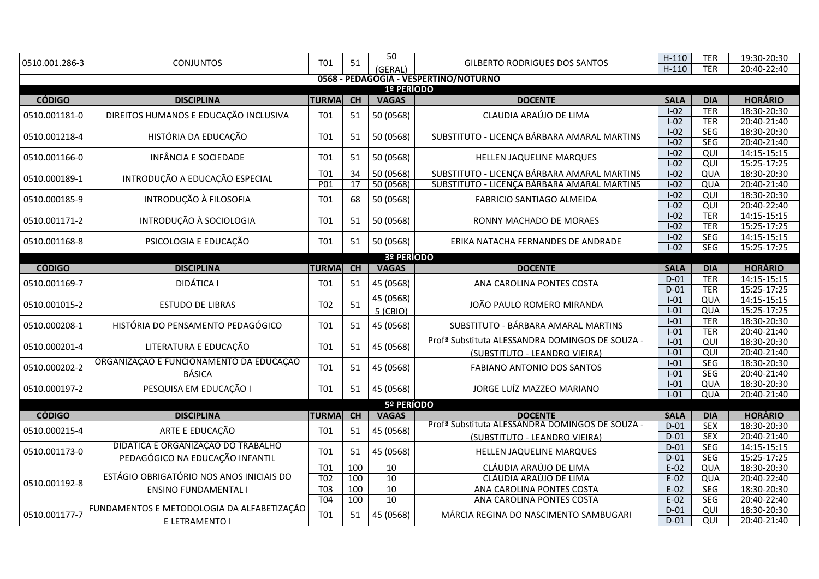| 0510.001.286-3 | <b>CONJUNTOS</b>                           | T01                                | 51              | 50                    | <b>GILBERTO RODRIGUES DOS SANTOS</b>                                                       | $H-110$<br>$H-110$ | <b>TER</b><br><b>TER</b> | 19:30-20:30<br>20:40-22:40 |  |  |  |
|----------------|--------------------------------------------|------------------------------------|-----------------|-----------------------|--------------------------------------------------------------------------------------------|--------------------|--------------------------|----------------------------|--|--|--|
|                |                                            |                                    |                 | (GERAL)               | 0568 - PEDAGOGIA - VESPERTINO/NOTURNO                                                      |                    |                          |                            |  |  |  |
|                |                                            |                                    |                 | 1º PERÍODO            |                                                                                            |                    |                          |                            |  |  |  |
| <b>CÓDIGO</b>  | <b>DISCIPLINA</b>                          | <b>TURMA</b>                       | $\overline{CH}$ | <b>VAGAS</b>          | <b>DOCENTE</b>                                                                             | <b>SALA</b>        | <b>DIA</b>               | <b>HORÁRIO</b>             |  |  |  |
| 0510.001181-0  | DIREITOS HUMANOS E EDUCAÇÃO INCLUSIVA      | <b>T01</b>                         | 51              | 50 (0568)             | CLAUDIA ARAÚJO DE LIMA                                                                     | $I-02$             | <b>TER</b>               | 18:30-20:30                |  |  |  |
|                |                                            |                                    |                 |                       |                                                                                            | $I-02$             | <b>TER</b>               | 20:40-21:40                |  |  |  |
| 0510.001218-4  | HISTÓRIA DA EDUCAÇÃO                       | T01                                | 51              | 50 (0568)             | SUBSTITUTO - LICENÇA BÁRBARA AMARAL MARTINS                                                | $I-02$             | <b>SEG</b>               | 18:30-20:30                |  |  |  |
|                |                                            |                                    |                 |                       |                                                                                            | $I-02$             | <b>SEG</b>               | 20:40-21:40                |  |  |  |
| 0510.001166-0  | <b>INFÂNCIA E SOCIEDADE</b>                | T01                                | 51              | 50 (0568)             | HELLEN JAQUELINE MARQUES                                                                   | $I-02$             | QUI                      | 14:15-15:15                |  |  |  |
|                |                                            | T <sub>01</sub>                    | 34              | 50(0568)              |                                                                                            | $I-02$<br>$I-02$   | $\overline{Q}$           | 15:25-17:25                |  |  |  |
| 0510.000189-1  | INTRODUÇÃO A EDUCAÇÃO ESPECIAL             | P <sub>01</sub>                    | 17              | 50 (0568)             | SUBSTITUTO - LICENÇA BÁRBARA AMARAL MARTINS<br>SUBSTITUTO - LICENÇA BÁRBARA AMARAL MARTINS | $I-02$             | QUA<br>QUA               | 18:30-20:30<br>20:40-21:40 |  |  |  |
|                |                                            |                                    |                 |                       |                                                                                            | $I-02$             | QUI                      | 18:30-20:30                |  |  |  |
| 0510.000185-9  | INTRODUÇÃO À FILOSOFIA                     | T01                                | 68              | 50 (0568)             | FABRICIO SANTIAGO ALMEIDA                                                                  | $I-02$             | QUI                      | 20:40-22:40                |  |  |  |
|                |                                            |                                    |                 |                       |                                                                                            | $I-02$             | <b>TER</b>               | 14:15-15:15                |  |  |  |
| 0510.001171-2  | INTRODUÇÃO À SOCIOLOGIA                    | T01                                | 51              | 50 (0568)             | RONNY MACHADO DE MORAES                                                                    | $I-02$             | <b>TER</b>               | 15:25-17:25                |  |  |  |
|                |                                            |                                    |                 |                       |                                                                                            | $I-02$             | <b>SEG</b>               | 14:15-15:15                |  |  |  |
| 0510.001168-8  | PSICOLOGIA E EDUCAÇÃO                      | T01                                | 51              | 50 (0568)             | ERIKA NATACHA FERNANDES DE ANDRADE                                                         | $I-02$             | <b>SEG</b>               | 15:25-17:25                |  |  |  |
| 3º PERÍODO     |                                            |                                    |                 |                       |                                                                                            |                    |                          |                            |  |  |  |
| <b>CÓDIGO</b>  | <b>DISCIPLINA</b>                          | <b>TURMA</b>                       | CH              | <b>VAGAS</b>          | <b>DOCENTE</b>                                                                             | <b>SALA</b>        | <b>DIA</b>               | <b>HORÁRIO</b>             |  |  |  |
| 0510.001169-7  | <b>DIDÁTICA I</b>                          | T01                                | 51              | 45 (0568)             | ANA CAROLINA PONTES COSTA                                                                  | $D-01$             | <b>TER</b>               | 14:15-15:15                |  |  |  |
|                |                                            |                                    |                 |                       |                                                                                            | $D-01$             | <b>TER</b>               | 15:25-17:25                |  |  |  |
| 0510.001015-2  | <b>ESTUDO DE LIBRAS</b>                    | T02                                | 51              | 45 (0568)             | JOÃO PAULO ROMERO MIRANDA                                                                  | $I-01$             | QUA                      | 14:15-15:15                |  |  |  |
|                |                                            |                                    |                 | 5 (CBIO)              |                                                                                            | $I-01$             | QUA                      | 15:25-17:25                |  |  |  |
| 0510.000208-1  | HISTÓRIA DO PENSAMENTO PEDAGÓGICO          | T01                                | 51              | 45 (0568)             | SUBSTITUTO - BÁRBARA AMARAL MARTINS                                                        | $I-01$<br>$I-01$   | <b>TER</b><br><b>TER</b> | 18:30-20:30<br>20:40-21:40 |  |  |  |
|                |                                            |                                    |                 |                       | Prof <sup>a</sup> Substituta ALESSANDRA DOMINGOS DE SOUZA -                                | $1-01$             | $\overline{Q}$           | 18:30-20:30                |  |  |  |
| 0510.000201-4  | LITERATURA E EDUCAÇÃO                      | T01                                | 51              | 45 (0568)             | (SUBSTITUTO - LEANDRO VIEIRA)                                                              | $I-01$             | QUI                      | 20:40-21:40                |  |  |  |
|                | ORGANIZAÇÃO E FUNCIONAMENTO DA EDUCAÇÃO    |                                    |                 |                       |                                                                                            | $I-01$             | <b>SEG</b>               | 18:30-20:30                |  |  |  |
| 0510.000202-2  | <b>BÁSICA</b>                              | T01                                | 51              | 45 (0568)             | FABIANO ANTONIO DOS SANTOS                                                                 | $I-01$             | <b>SEG</b>               | 20:40-21:40                |  |  |  |
|                |                                            |                                    |                 |                       |                                                                                            | $I-01$             | QUA                      | 18:30-20:30                |  |  |  |
| 0510.000197-2  | PESQUISA EM EDUCAÇÃO I                     | T01                                | 51              | 45 (0568)             | JORGE LUÍZ MAZZEO MARIANO                                                                  | $I-01$             | QUA                      | 20:40-21:40                |  |  |  |
|                |                                            |                                    |                 | 5º PERÍODO            |                                                                                            |                    |                          |                            |  |  |  |
| <b>CÓDIGO</b>  | <b>DISCIPLINA</b>                          | <b>TURMA</b>                       | CH              | <b>VAGAS</b>          | <b>DOCENTE</b>                                                                             | <b>SALA</b>        | <b>DIA</b>               | <b>HORÁRIO</b>             |  |  |  |
| 0510.000215-4  | ARTE E EDUCAÇÃO                            | T01                                | 51              | 45 (0568)             | Prof <sup>a</sup> Substituta ALESSANDRA DOMINGOS DE SOUZA -                                | $D-01$             | <b>SEX</b>               | 18:30-20:30                |  |  |  |
|                |                                            |                                    |                 |                       | (SUBSTITUTO - LEANDRO VIEIRA)                                                              | $D-01$             | <b>SEX</b>               | 20:40-21:40                |  |  |  |
| 0510.001173-0  | DIDÁTICA E ORGANIZAÇÃO DO TRABALHO         | T01                                | 51              | 45 (0568)             | HELLEN JAQUELINE MARQUES                                                                   | $D-01$             | <b>SEG</b>               | 14:15-15:15                |  |  |  |
|                | PEDAGÓGICO NA EDUCAÇÃO INFANTIL            |                                    |                 |                       |                                                                                            | $D-01$             | <b>SEG</b>               | 15:25-17:25                |  |  |  |
|                | ESTÁGIO OBRIGATÓRIO NOS ANOS INICIAIS DO   | T <sub>01</sub>                    | 100             | 10                    | CLÁUDIA ARAÚJO DE LIMA                                                                     | $E-02$             | QUA                      | 18:30-20:30                |  |  |  |
| 0510.001192-8  |                                            | T <sub>02</sub><br>T <sub>03</sub> | 100<br>100      | $\overline{10}$<br>10 | CLÁUDIA ARAÚJO DE LIMA<br>ANA CAROLINA PONTES COSTA                                        | $E-02$<br>$E-02$   | QUA<br><b>SEG</b>        | 20:40-22:40<br>18:30-20:30 |  |  |  |
|                | <b>ENSINO FUNDAMENTAL I</b>                | T <sub>04</sub>                    | 100             | 10                    | ANA CAROLINA PONTES COSTA                                                                  | $E-02$             | <b>SEG</b>               | 20:40-22:40                |  |  |  |
|                | FUNDAMENTOS E METODOLOGIA DA ALFABETIZAÇÃO |                                    |                 |                       |                                                                                            | $D-01$             | QUI                      | 18:30-20:30                |  |  |  |
| 0510.001177-7  | E LETRAMENTO I                             | T01                                | 51              | 45 (0568)             | MÁRCIA REGINA DO NASCIMENTO SAMBUGARI                                                      | $D-01$             | QUI                      | 20:40-21:40                |  |  |  |
|                |                                            |                                    |                 |                       |                                                                                            |                    |                          |                            |  |  |  |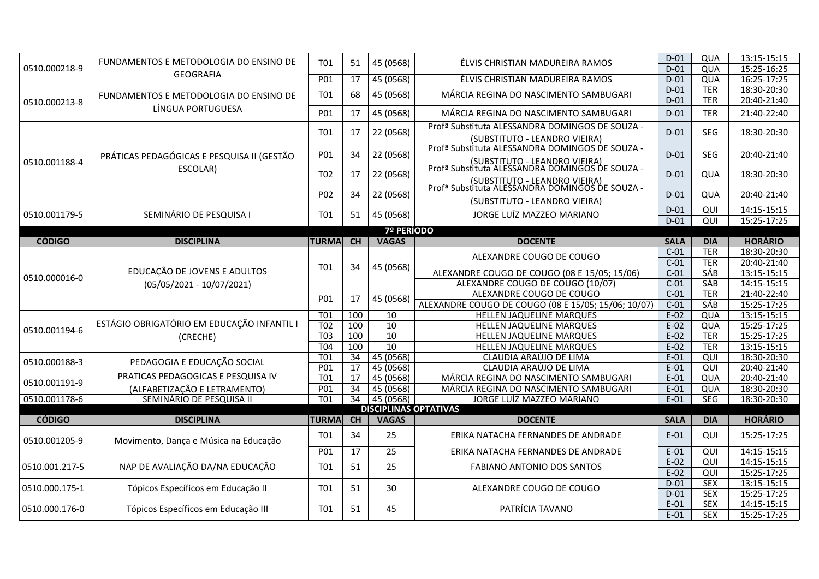|                | FUNDAMENTOS E METODOLOGIA DO ENSINO DE     | T01              | 51              | 45 (0568)       | ÉLVIS CHRISTIAN MADUREIRA RAMOS                                                                                                                 | $D-01$           | QUA                      | 13:15-15:15                |  |  |  |  |
|----------------|--------------------------------------------|------------------|-----------------|-----------------|-------------------------------------------------------------------------------------------------------------------------------------------------|------------------|--------------------------|----------------------------|--|--|--|--|
| 0510.000218-9  | <b>GEOGRAFIA</b>                           |                  |                 |                 |                                                                                                                                                 | $D-01$           | QUA                      | 15:25-16:25                |  |  |  |  |
|                |                                            | P01              | 17              | 45 (0568)       | ÉLVIS CHRISTIAN MADUREIRA RAMOS                                                                                                                 | $D-01$           | QUA                      | 16:25-17:25                |  |  |  |  |
|                | FUNDAMENTOS E METODOLOGIA DO ENSINO DE     | T01              | 68              | 45 (0568)       | MÁRCIA REGINA DO NASCIMENTO SAMBUGARI                                                                                                           | $D-01$           | <b>TER</b>               | 18:30-20:30                |  |  |  |  |
| 0510.000213-8  | LÍNGUA PORTUGUESA                          |                  |                 |                 |                                                                                                                                                 | $D-01$           | <b>TER</b>               | 20:40-21:40                |  |  |  |  |
|                |                                            | P01              | 17              | 45 (0568)       | MÁRCIA REGINA DO NASCIMENTO SAMBUGARI                                                                                                           | $D-01$           | <b>TER</b>               | 21:40-22:40                |  |  |  |  |
|                |                                            | T01              | 17              | 22 (0568)       | Prof <sup>a</sup> Substituta ALESSANDRA DOMINGOS DE SOUZA -<br>(SUBSTITUTO - LEANDRO VIEIRA)                                                    | $D-01$           | <b>SEG</b>               | 18:30-20:30                |  |  |  |  |
| 0510.001188-4  | PRÁTICAS PEDAGÓGICAS E PESQUISA II (GESTÃO | P01              | 34              | 22 (0568)       | Prof <sup>a</sup> Substituta ALESSANDRA DOMINGOS DE SOUZA -<br>(SUBSTITUTO - LEANDRO VIEIRA)<br>Profª Substituta ALESSANDRA DOMINGOS DE SOUZA - | $D-01$           | <b>SEG</b>               | 20:40-21:40                |  |  |  |  |
|                | ESCOLAR)                                   | T <sub>02</sub>  | 17              | 22 (0568)       | (SUBSTITUTO - LEANDRO VIEIRA)<br>Profª Substituta ALESSANDRA DOMINGOS DE SOUZA -                                                                | $D-01$           | QUA                      | 18:30-20:30                |  |  |  |  |
|                |                                            | P02              | 34              | 22 (0568)       | (SUBSTITUTO - LEANDRO VIEIRA)                                                                                                                   | $D-01$           | QUA                      | 20:40-21:40                |  |  |  |  |
| 0510.001179-5  | SEMINÁRIO DE PESQUISA I                    | T01              | 51              | 45 (0568)       | JORGE LUÍZ MAZZEO MARIANO                                                                                                                       | $D-01$           | QUI                      | 14:15-15:15                |  |  |  |  |
|                |                                            |                  |                 |                 |                                                                                                                                                 | $D-01$           | $\overline{QUI}$         | 15:25-17:25                |  |  |  |  |
| 7º PERÍODO     |                                            |                  |                 |                 |                                                                                                                                                 |                  |                          |                            |  |  |  |  |
| <b>CÓDIGO</b>  | <b>DISCIPLINA</b>                          | <b>TURMA</b>     | <b>CH</b>       | <b>VAGAS</b>    | <b>DOCENTE</b>                                                                                                                                  | <b>SALA</b>      | <b>DIA</b>               | <b>HORÁRIO</b>             |  |  |  |  |
| 0510.000016-0  |                                            |                  |                 |                 | ALEXANDRE COUGO DE COUGO                                                                                                                        | $C-01$<br>$C-01$ | <b>TER</b><br><b>TER</b> | 18:30-20:30<br>20:40-21:40 |  |  |  |  |
|                | EDUCAÇÃO DE JOVENS E ADULTOS               | <b>T01</b>       | 34              | 45 (0568)       | ALEXANDRE COUGO DE COUGO (08 E 15/05; 15/06)                                                                                                    | $C-01$           | <b>SÁB</b>               | 13:15-15:15                |  |  |  |  |
|                |                                            |                  |                 |                 | ALEXANDRE COUGO DE COUGO (10/07)                                                                                                                | $C-01$           | <b>SÁB</b>               | 14:15-15:15                |  |  |  |  |
|                | $(05/05/2021 - 10/07/2021)$                |                  |                 |                 | ALEXANDRE COUGO DE COUGO                                                                                                                        | $C-01$           | <b>TER</b>               | 21:40-22:40                |  |  |  |  |
|                |                                            | P01              | 17              | 45 (0568)       | ALEXANDRE COUGO DE COUGO (08 E 15/05; 15/06; 10/07)                                                                                             | $C-01$           | SÁB                      | 15:25-17:25                |  |  |  |  |
|                |                                            | T01              | 100             | 10              | HELLEN JAQUELINE MARQUES                                                                                                                        | $E-02$           | QUA                      | 13:15-15:15                |  |  |  |  |
|                | ESTÁGIO OBRIGATÓRIO EM EDUCAÇÃO INFANTIL I | $\overline{102}$ | 100             | $\overline{10}$ | HELLEN JAQUELINE MARQUES                                                                                                                        | $E-02$           | QUA                      | 15:25-17:25                |  |  |  |  |
| 0510.001194-6  | (CRECHE)                                   | $\overline{TO3}$ | 100             | $\overline{10}$ | HELLEN JAQUELINE MARQUES                                                                                                                        | $E-02$           | <b>TER</b>               | 15:25-17:25                |  |  |  |  |
|                |                                            | <b>T04</b>       | 100             | $\overline{10}$ | HELLEN JAQUELINE MARQUES                                                                                                                        | $E-02$           | <b>TER</b>               | 13:15-15:15                |  |  |  |  |
|                |                                            | <b>T01</b>       | 34              | 45 (0568)       | CLAUDIA ARAÚJO DE LIMA                                                                                                                          | $E-01$           | QUI                      | 18:30-20:30                |  |  |  |  |
| 0510.000188-3  | PEDAGOGIA E EDUCAÇÃO SOCIAL                | P01              | 17              | 45 (0568)       | CLAUDIA ARAÚJO DE LIMA                                                                                                                          | $E-01$           | QUI                      | 20:40-21:40                |  |  |  |  |
|                | PRÁTICAS PEDAGÓGICAS E PESQUISA IV         | T01              | 17              | 45 (0568)       | MÁRCIA REGINA DO NASCIMENTO SAMBUGARI                                                                                                           | $E-01$           | QUA                      | 20:40-21:40                |  |  |  |  |
| 0510.001191-9  | (ALFABETIZAÇÃO E LETRAMENTO)               | P <sub>01</sub>  | $\overline{34}$ | 45 (0568)       | MÁRCIA REGINA DO NASCIMENTO SAMBUGARI                                                                                                           | $E-01$           | QUA                      | 18:30-20:30                |  |  |  |  |
| 0510.001178-6  | SEMINÁRIO DE PESQUISA II                   | T <sub>01</sub>  | $\overline{34}$ | 45 (0568)       | JORGE LUÍZ MAZZEO MARIANO                                                                                                                       | $E-01$           | <b>SEG</b>               | 18:30-20:30                |  |  |  |  |
|                |                                            |                  |                 |                 | <b>DISCIPLINAS OPTATIVAS</b>                                                                                                                    |                  |                          |                            |  |  |  |  |
| <b>CÓDIGO</b>  | <b>DISCIPLINA</b>                          | <b>TURMA</b>     | <b>CH</b>       | <b>VAGAS</b>    | <b>DOCENTE</b>                                                                                                                                  | <b>SALA</b>      | <b>DIA</b>               | <b>HORÁRIO</b>             |  |  |  |  |
| 0510.001205-9  | Movimento, Dança e Música na Educação      | T01              | 34              | 25              | ERIKA NATACHA FERNANDES DE ANDRADE                                                                                                              | $E-01$           | QUI                      | 15:25-17:25                |  |  |  |  |
|                |                                            | P01              | 17              | $\overline{25}$ | ERIKA NATACHA FERNANDES DE ANDRADE                                                                                                              | $E-01$           | $\overline{Q}$           | 14:15-15:15                |  |  |  |  |
| 0510.001.217-5 | NAP DE AVALIAÇÃO DA/NA EDUCAÇÃO            | T01              | 51              | 25              | <b>FABIANO ANTONIO DOS SANTOS</b>                                                                                                               | $E-02$           | QUI                      | 14:15-15:15                |  |  |  |  |
|                |                                            |                  |                 |                 |                                                                                                                                                 | $E-02$           | QUI                      | 15:25-17:25                |  |  |  |  |
| 0510.000.175-1 | Tópicos Específicos em Educação II         | T01              | 51              | 30              | ALEXANDRE COUGO DE COUGO                                                                                                                        | $D-01$           | <b>SEX</b>               | 13:15-15:15                |  |  |  |  |
|                |                                            |                  |                 |                 |                                                                                                                                                 | $D-01$           | <b>SEX</b>               | 15:25-17:25                |  |  |  |  |
| 0510.000.176-0 | Tópicos Específicos em Educação III        | <b>T01</b>       | 51              | 45              | PATRÍCIA TAVANO                                                                                                                                 | $E-01$           | <b>SEX</b>               | 14:15-15:15                |  |  |  |  |
|                |                                            |                  |                 |                 |                                                                                                                                                 | $E-01$           | <b>SEX</b>               | 15:25-17:25                |  |  |  |  |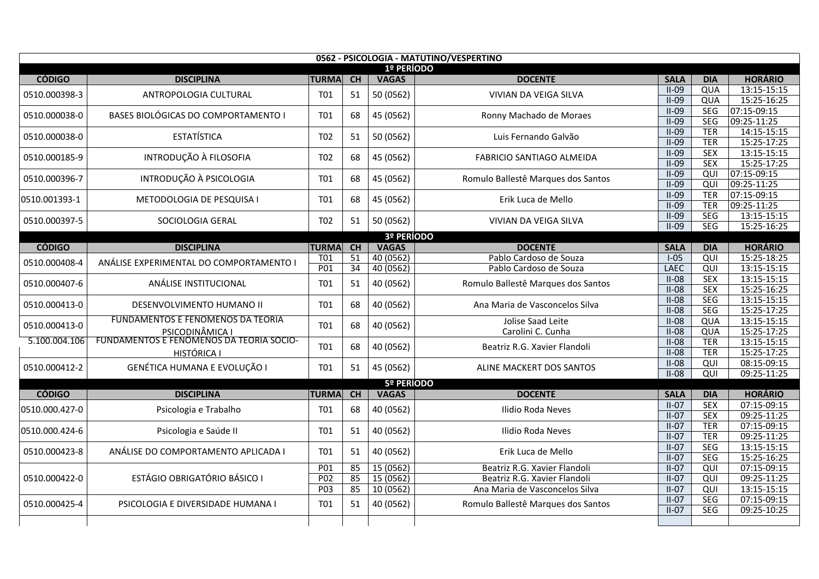| 0562 - PSICOLOGIA - MATUTINO/VESPERTINO |                                          |                 |           |              |                                    |                        |                   |                               |  |  |  |  |
|-----------------------------------------|------------------------------------------|-----------------|-----------|--------------|------------------------------------|------------------------|-------------------|-------------------------------|--|--|--|--|
|                                         |                                          |                 |           | 1º PERÍODO   |                                    |                        |                   |                               |  |  |  |  |
| <b>CÓDIGO</b>                           | <b>DISCIPLINA</b>                        | <b>TURMA</b>    | CH        | <b>VAGAS</b> | <b>DOCENTE</b>                     | <b>SALA</b><br>$II-09$ | <b>DIA</b><br>QUA | <b>HORÁRIO</b><br>13:15-15:15 |  |  |  |  |
| 0510.000398-3                           | ANTROPOLOGIA CULTURAL                    | <b>T01</b>      | 51        | 50 (0562)    | VIVIAN DA VEIGA SILVA              | $II-09$                | QUA               | 15:25-16:25                   |  |  |  |  |
|                                         |                                          |                 |           |              |                                    | $II-09$                | <b>SEG</b>        | 07:15-09:15                   |  |  |  |  |
| 0510.000038-0                           | BASES BIOLÓGICAS DO COMPORTAMENTO I      | <b>T01</b>      | 68        | 45 (0562)    | Ronny Machado de Moraes            | $II-09$                | <b>SEG</b>        | 09:25-11:25                   |  |  |  |  |
|                                         |                                          |                 |           |              |                                    | $II-09$                | <b>TER</b>        | 14:15-15:15                   |  |  |  |  |
| 0510.000038-0                           | <b>ESTATÍSTICA</b>                       | T <sub>02</sub> | 51        | 50 (0562)    | Luis Fernando Galvão               | $II-09$                | <b>TER</b>        | 15:25-17:25                   |  |  |  |  |
| 0510.000185-9                           | INTRODUÇÃO À FILOSOFIA                   | T02             | 68        | 45 (0562)    | <b>FABRICIO SANTIAGO ALMEIDA</b>   | $II-09$                | <b>SEX</b>        | 13:15-15:15                   |  |  |  |  |
|                                         |                                          |                 |           |              |                                    | $II-09$                | <b>SEX</b>        | 15:25-17:25                   |  |  |  |  |
| 0510.000396-7                           | INTRODUÇÃO À PSICOLOGIA                  | T <sub>01</sub> | 68        | 45 (0562)    | Romulo Ballestê Marques dos Santos | $II-09$                | QUI               | $07:15 - 09:15$               |  |  |  |  |
|                                         |                                          |                 |           |              |                                    | $II-09$                | QUI               | 09:25-11:25                   |  |  |  |  |
| 0510.001393-1                           | METODOLOGIA DE PESQUISA I                | <b>T01</b>      | 68        | 45 (0562)    | Erik Luca de Mello                 | $II-09$                | <b>TER</b>        | 07:15-09:15                   |  |  |  |  |
|                                         |                                          |                 |           |              |                                    | $II-09$                | <b>TER</b>        | 09:25-11:25                   |  |  |  |  |
| 0510.000397-5                           | SOCIOLOGIA GERAL                         | T02             | 51        | 50 (0562)    | VIVIAN DA VEIGA SILVA              | $II-09$                | SEG               | 13:15-15:15<br>15:25-16:25    |  |  |  |  |
|                                         |                                          |                 |           | 3º PERÍODO   |                                    | $II-09$                | <b>SEG</b>        |                               |  |  |  |  |
| <b>CÓDIGO</b>                           | <b>DISCIPLINA</b>                        | <b>TURMA</b>    | CH        | <b>VAGAS</b> | <b>DOCENTE</b>                     | <b>SALA</b>            | <b>DIA</b>        | <b>HORÁRIO</b>                |  |  |  |  |
|                                         |                                          | <b>T01</b>      | 51        | 40 (0562)    | Pablo Cardoso de Souza             | $I-05$                 | QUI               | 15:25-18:25                   |  |  |  |  |
| 0510.000408-4                           | ANÁLISE EXPERIMENTAL DO COMPORTAMENTO I  | P <sub>01</sub> | 34        | 40 (0562)    | Pablo Cardoso de Souza             | <b>LAEC</b>            | QUI               | 13:15-15:15                   |  |  |  |  |
|                                         | ANÁLISE INSTITUCIONAL                    |                 |           |              |                                    | $II-08$                | <b>SEX</b>        | 13:15-15:15                   |  |  |  |  |
| 0510.000407-6                           |                                          | T01             | 51        | 40 (0562)    | Romulo Ballestê Marques dos Santos | $II-08$                | <b>SEX</b>        | 15:25-16:25                   |  |  |  |  |
| 0510.000413-0                           | DESENVOLVIMENTO HUMANO II                | <b>T01</b>      | 68        | 40 (0562)    | Ana Maria de Vasconcelos Silva     | $II-08$                | <b>SEG</b>        | 13:15-15:15                   |  |  |  |  |
|                                         |                                          |                 |           |              |                                    | $II-08$                | <b>SEG</b>        | 15:25-17:25                   |  |  |  |  |
| 0510.000413-0                           | <b>FUNDAMENTOS E FENOMENOS DA TEORIA</b> | <b>T01</b>      | 68        | 40 (0562)    | Jolise Saad Leite                  | $II-08$                | QUA               | 13:15-15:15                   |  |  |  |  |
|                                         | PSICODINÂMICA I                          |                 |           |              | Carolini C. Cunha                  | $II-08$                | QUA               | 15:25-17:25                   |  |  |  |  |
| 5.100.004.106                           | FUNDAMENTOS E FENOMENOS DA TEORIA SOCIO- | <b>T01</b>      | 68        | 40 (0562)    | Beatriz R.G. Xavier Flandoli       | $II-08$                | <b>TER</b>        | 13:15-15:15                   |  |  |  |  |
|                                         | HISTÓRICA I                              |                 |           |              |                                    | $II-08$                | <b>TER</b>        | 15:25-17:25                   |  |  |  |  |
| 0510.000412-2                           | GENÉTICA HUMANA E EVOLUÇÃO I             | T01             | 51        | 45 (0562)    | ALINE MACKERT DOS SANTOS           | $II-08$<br>$II-08$     | QUI<br>QUI        | 08:15-09:15<br>09:25-11:25    |  |  |  |  |
|                                         |                                          |                 |           | 5º PERÍODO   |                                    |                        |                   |                               |  |  |  |  |
| <b>CÓDIGO</b>                           | <b>DISCIPLINA</b>                        | <b>TURMA</b>    | <b>CH</b> | <b>VAGAS</b> | <b>DOCENTE</b>                     | <b>SALA</b>            | <b>DIA</b>        | <b>HORÁRIO</b>                |  |  |  |  |
|                                         |                                          |                 |           |              |                                    | $II-07$                | <b>SEX</b>        | 07:15-09:15                   |  |  |  |  |
| 0510.000.427-0                          | Psicologia e Trabalho                    | <b>T01</b>      | 68        | 40 (0562)    | Ilidio Roda Neves                  | $II-07$                | <b>SEX</b>        | 09:25-11:25                   |  |  |  |  |
| 0510.000.424-6                          |                                          | <b>T01</b>      | 51        | 40 (0562)    | Ilidio Roda Neves                  | $II-07$                | <b>TER</b>        | 07:15-09:15                   |  |  |  |  |
|                                         | Psicologia e Saúde II                    |                 |           |              |                                    | $II-07$                | <b>TER</b>        | 09:25-11:25                   |  |  |  |  |
| 0510.000423-8                           | ANÁLISE DO COMPORTAMENTO APLICADA I      | <b>T01</b>      | 51        | 40 (0562)    | Erik Luca de Mello                 | $II-07$                | SEG               | 13:15-15:15                   |  |  |  |  |
|                                         |                                          |                 |           |              |                                    | $II-07$                | SEG               | 15:25-16:25                   |  |  |  |  |
|                                         |                                          | P01             | 85        | 15(0562)     | Beatriz R.G. Xavier Flandoli       | $II-07$                | QUI               | 07:15-09:15                   |  |  |  |  |
| 0510.000422-0                           | ESTÁGIO OBRIGATÓRIO BÁSICO I             | P <sub>02</sub> | 85        | 15 (0562)    | Beatriz R.G. Xavier Flandoli       | $II-07$                | QUI               | 09:25-11:25                   |  |  |  |  |
|                                         |                                          | P03             | 85        | 10 (0562)    | Ana Maria de Vasconcelos Silva     | $II-07$                | QUI               | 13:15-15:15                   |  |  |  |  |
| 0510.000425-4                           | PSICOLOGIA E DIVERSIDADE HUMANA I        | <b>T01</b>      | 51        | 40 (0562)    | Romulo Ballestê Marques dos Santos | $II-07$                | SEG               | 07:15-09:15                   |  |  |  |  |
|                                         |                                          |                 |           |              |                                    | $II-07$                | <b>SEG</b>        | 09:25-10:25                   |  |  |  |  |
|                                         |                                          |                 |           |              |                                    |                        |                   |                               |  |  |  |  |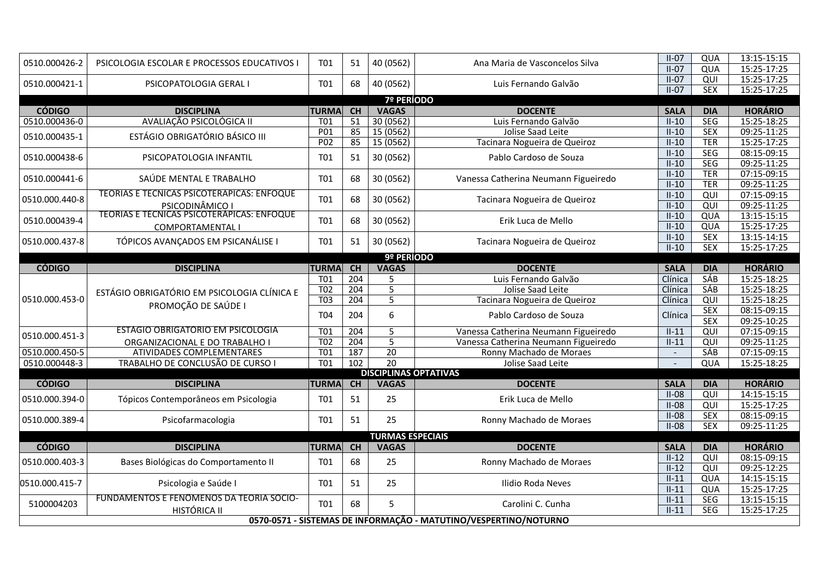| 0510.000426-2  | PSICOLOGIA ESCOLAR E PROCESSOS EDUCATIVOS I                   | T01              | 51               | 40 (0562)               | Ana Maria de Vasconcelos Silva                                   | $II-07$<br>$II-07$       | QUA<br>QUA     | 13:15-15:15<br>15:25-17:25 |
|----------------|---------------------------------------------------------------|------------------|------------------|-------------------------|------------------------------------------------------------------|--------------------------|----------------|----------------------------|
|                |                                                               |                  |                  |                         |                                                                  | $II-07$                  | QUI            | 15:25-17:25                |
| 0510.000421-1  | PSICOPATOLOGIA GERAL I                                        | T <sub>01</sub>  | 68               | 40 (0562)               | Luis Fernando Galvão                                             | $II-07$                  | <b>SEX</b>     | 15:25-17:25                |
|                |                                                               |                  |                  | <b>7º PERÍODO</b>       |                                                                  |                          |                |                            |
| <b>CÓDIGO</b>  | <b>DISCIPLINA</b>                                             | <b>TURMA</b>     | CH               | <b>VAGAS</b>            | <b>DOCENTE</b>                                                   | <b>SALA</b>              | <b>DIA</b>     | <b>HORÁRIO</b>             |
| 0510.000436-0  | AVALIAÇÃO PSICOLÓGICA II                                      | <b>T01</b>       | 51               | 30(0562)                | Luis Fernando Galvão                                             | $II-10$                  | <b>SEG</b>     | 15:25-18:25                |
| 0510.000435-1  | <b>ESTÁGIO OBRIGATÓRIO BÁSICO III</b>                         | P <sub>01</sub>  | 85               | 15(0562)                | Jolise Saad Leite                                                | $II-10$                  | <b>SEX</b>     | 09:25-11:25                |
|                |                                                               | P <sub>02</sub>  | 85               | 15 (0562)               | Tacinara Nogueira de Queiroz                                     | $II-10$                  | <b>TER</b>     | 15:25-17:25                |
| 0510.000438-6  | PSICOPATOLOGIA INFANTIL                                       | T01              | 51               | 30 (0562)               | Pablo Cardoso de Souza                                           | $II-10$                  | <b>SEG</b>     | 08:15-09:15                |
|                |                                                               |                  |                  |                         |                                                                  | $II-10$                  | <b>SEG</b>     | 09:25-11:25                |
| 0510.000441-6  | SAÚDE MENTAL E TRABALHO                                       | T01              | 68               | 30 (0562)               | Vanessa Catherina Neumann Figueiredo                             | $II-10$                  | <b>TER</b>     | 07:15-09:15                |
|                |                                                               |                  |                  |                         |                                                                  | $II-10$                  | <b>TER</b>     | 09:25-11:25                |
| 0510.000.440-8 | TEORIAS E TECNICAS PSICOTERAPICAS: ENFOQUE                    | T01              | 68               | 30 (0562)               | Tacinara Nogueira de Queiroz                                     | $II-10$                  | QUI            | 07:15-09:15                |
|                | PSICODINÂMICO I<br>TEORIAS E TÉCNICAS PSICOTERAPICAS: ENFOQUE |                  |                  |                         |                                                                  | $II-10$                  | QUI            | 09:25-11:25                |
| 0510.000439-4  |                                                               | <b>T01</b>       | 68               | 30 (0562)               | Erik Luca de Mello                                               | $II-10$                  | QUA            | 13:15-15:15                |
|                | COMPORTAMENTAL I                                              |                  |                  |                         |                                                                  | $II-10$                  | QUA            | 15:25-17:25                |
| 0510.000.437-8 | TÓPICOS AVANÇADOS EM PSICANÁLISE I                            | T01              | 51               | 30 (0562)               | Tacinara Nogueira de Queiroz                                     | $II-10$                  | <b>SEX</b>     | 13:15-14:15                |
|                |                                                               |                  |                  |                         |                                                                  | $II-10$                  | <b>SEX</b>     | 15:25-17:25                |
|                |                                                               |                  |                  | 9º PERÍODO              |                                                                  |                          |                |                            |
| <b>CÓDIGO</b>  | <b>DISCIPLINA</b>                                             | <b>TURMA</b>     | CH               | <b>VAGAS</b>            | <b>DOCENTE</b>                                                   | <b>SALA</b>              | <b>DIA</b>     | <b>HORÁRIO</b>             |
|                |                                                               | $\overline{101}$ | $\overline{204}$ | 5                       | Luis Fernando Galvão                                             | Clínica                  | <b>SÁB</b>     | 15:25-18:25                |
|                | ESTÁGIO OBRIGATÓRIO EM PSICOLOGIA CLÍNICA E                   | T <sub>02</sub>  | 204              | 5                       | Jolise Saad Leite                                                | Clínica                  | <b>SÁB</b>     | 15:25-18:25                |
| 0510.000.453-0 | PROMOÇÃO DE SAÚDE I                                           | T <sub>0</sub> 3 | 204              | $\overline{5}$          | Tacinara Nogueira de Queiroz                                     | Clínica                  | QUI            | 15:25-18:25                |
|                |                                                               | T04              | 204              | 6                       | Pablo Cardoso de Souza                                           | Clínica                  | <b>SEX</b>     | 08:15-09:15                |
|                | <b>ESTÁGIO OBRIGATÓRIO EM PSICOLOGIA</b>                      |                  |                  |                         |                                                                  |                          | <b>SEX</b>     | 09:25-10:25                |
| 0510.000.451-3 |                                                               | T01              | 204              | 5                       | Vanessa Catherina Neumann Figueiredo                             | $II-11$                  | QUI            | 07:15-09:15                |
|                | ORGANIZACIONAL E DO TRABALHO I                                | $\overline{102}$ | $\overline{204}$ | $\overline{5}$          | Vanessa Catherina Neumann Figueiredo                             | $II-11$                  | $\overline{Q}$ | 09:25-11:25                |
| 0510.000.450-5 | <b>ATIVIDADES COMPLEMENTARES</b>                              | T <sub>01</sub>  | 187              | $\overline{20}$         | Ronny Machado de Moraes                                          | $\overline{\phantom{a}}$ | <b>SÁB</b>     | 07:15-09:15                |
| 0510.000448-3  | TRABALHO DE CONCLUSÃO DE CURSO I                              | <b>T01</b>       | 102              | $\overline{20}$         | Jolise Saad Leite                                                |                          | QUA            | 15:25-18:25                |
| <b>CÓDIGO</b>  |                                                               |                  |                  |                         | <b>DISCIPLINAS OPTATIVAS</b>                                     |                          |                | <b>HORÁRIO</b>             |
|                | <b>DISCIPLINA</b>                                             | <b>TURMA</b>     | <b>CH</b>        | <b>VAGAS</b>            | <b>DOCENTE</b>                                                   | <b>SALA</b>              | <b>DIA</b>     |                            |
| 0510.000.394-0 | Tópicos Contemporâneos em Psicologia                          | T01              | 51               | 25                      | Erik Luca de Mello                                               | $II-08$                  | QUI            | 14:15-15:15                |
|                |                                                               |                  |                  |                         |                                                                  | $II-08$                  | $\overline{Q}$ | 15:25-17:25                |
| 0510.000.389-4 | Psicofarmacologia                                             | T01              | 51               | 25                      | Ronny Machado de Moraes                                          | $II-08$                  | <b>SEX</b>     | 08:15-09:15                |
|                |                                                               |                  |                  | <b>TURMAS ESPECIAIS</b> |                                                                  | $II-08$                  | <b>SEX</b>     | 09:25-11:25                |
| <b>CÓDIGO</b>  | <b>DISCIPLINA</b>                                             | <b>TURMA</b>     | CH               | <b>VAGAS</b>            | <b>DOCENTE</b>                                                   | <b>SALA</b>              | <b>DIA</b>     | <b>HORÁRIO</b>             |
|                |                                                               |                  |                  |                         |                                                                  | $II-12$                  | QUI            | 08:15-09:15                |
| 0510.000.403-3 | Bases Biológicas do Comportamento II                          | T01              | 68               | 25                      | Ronny Machado de Moraes                                          | $II-12$                  | QUI            | 09:25-12:25                |
|                |                                                               |                  |                  |                         |                                                                  | $II-11$                  | QUA            | 14:15-15:15                |
| 0510.000.415-7 | Psicologia e Saúde I                                          | T01              | 51               | 25                      | Ilidio Roda Neves                                                | $II-11$                  | QUA            | 15:25-17:25                |
|                | FUNDAMENTOS E FENOMENOS DA TEORIA SOCIO-                      |                  |                  |                         |                                                                  | $II-11$                  | SEG            | 13:15-15:15                |
| 5100004203     | HISTÓRICA II                                                  | T01              | 68               | 5                       | Carolini C. Cunha                                                | $II-11$                  | <b>SEG</b>     | 15:25-17:25                |
|                |                                                               |                  |                  |                         | 0570-0571 - SISTEMAS DE INFORMAÇÃO - MATUTINO/VESPERTINO/NOTURNO |                          |                |                            |
|                |                                                               |                  |                  |                         |                                                                  |                          |                |                            |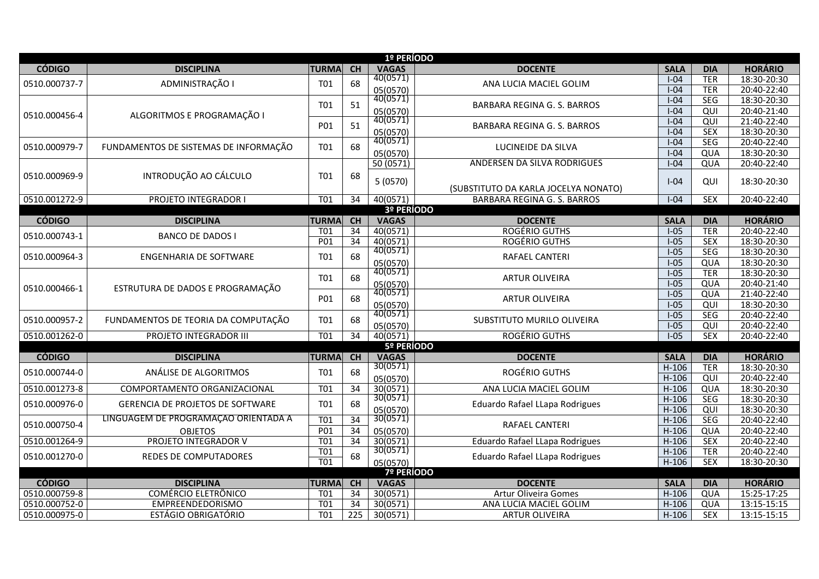|               |                                                                                 |                  |                  | 1º PERÍODO                    |                                      |             |                          |                |
|---------------|---------------------------------------------------------------------------------|------------------|------------------|-------------------------------|--------------------------------------|-------------|--------------------------|----------------|
| <b>CÓDIGO</b> | <b>DISCIPLINA</b>                                                               | <b>TURMA</b>     | CH               | <b>VAGAS</b>                  | <b>DOCENTE</b>                       | <b>SALA</b> | <b>DIA</b>               | <b>HORÁRIO</b> |
| 0510.000737-7 | ADMINISTRAÇÃO I                                                                 | T01              | 68               | 40(0571)                      | ANA LUCIA MACIEL GOLIM               | $I-04$      | <b>TER</b>               | 18:30-20:30    |
|               |                                                                                 |                  |                  | 05(0570)                      |                                      | $I-04$      | <b>TER</b>               | 20:40-22:40    |
| 0510.000456-4 | ALGORITMOS E PROGRAMAÇÃO I                                                      | T01              | 51               | 40(0571)                      | BARBARA REGINA G. S. BARROS          | $I-04$      | <b>SEG</b>               | 18:30-20:30    |
|               |                                                                                 |                  |                  | 05(0570)                      |                                      | $I-04$      | $\overline{QU}$          | 20:40-21:40    |
|               |                                                                                 | <b>P01</b>       | 51               | 40(0571)                      | <b>BARBARA REGINA G. S. BARROS</b>   | $I-04$      | QUI                      | 21:40-22:40    |
|               |                                                                                 |                  |                  | 05(0570)                      |                                      | $I-04$      | <b>SEX</b>               | 18:30-20:30    |
| 0510.000979-7 | FUNDAMENTOS DE SISTEMAS DE INFORMAÇÃO                                           | T01              | 68               | 40(0571)                      | LUCINEIDE DA SILVA                   | $I-04$      | <b>SEG</b>               | 20:40-22:40    |
|               |                                                                                 |                  |                  | 05(0570)                      |                                      | $I-04$      | QUA                      | 18:30-20:30    |
|               |                                                                                 |                  |                  | 50(0571)                      | <b>ANDERSEN DA SILVA RODRIGUES</b>   | $I-04$      | QUA                      | 20:40-22:40    |
| 0510.000969-9 | INTRODUÇÃO AO CÁLCULO                                                           | T01              | 68               | 5(0570)                       | (SUBSTITUTO DA KARLA JOCELYA NONATO) | $I - 04$    | QUI                      | 18:30-20:30    |
| 0510.001272-9 | PROJETO INTEGRADOR I                                                            | T01              | 34               | 40(0571)                      | BARBARA REGINA G. S. BARROS          | $I-04$      | $\overline{SEX}$         | 20:40-22:40    |
|               |                                                                                 |                  |                  | 3º PERÍODO                    |                                      |             |                          |                |
| <b>CÓDIGO</b> | <b>DISCIPLINA</b>                                                               | <b>TURMA</b>     | CH               | <b>VAGAS</b>                  | <b>DOCENTE</b>                       | <b>SALA</b> | <b>DIA</b>               | <b>HORÁRIO</b> |
| 0510.000743-1 | <b>BANCO DE DADOS I</b>                                                         | T01              | 34               | 40(0571)                      | <b>ROGÉRIO GUTHS</b>                 | $I-05$      | <b>TER</b>               | 20:40-22:40    |
|               |                                                                                 | P01              | 34               | 40(0571)                      | <b>ROGÉRIO GUTHS</b>                 | $I-05$      | <b>SEX</b>               | 18:30-20:30    |
| 0510.000964-3 | <b>ENGENHARIA DE SOFTWARE</b>                                                   | T01              | 68               | 40(0571)                      | RAFAEL CANTERI                       | $I-05$      | <b>SEG</b>               | 18:30-20:30    |
|               |                                                                                 |                  |                  | 05(0570)                      |                                      | $1-05$      | QUA                      | 18:30-20:30    |
| 0510.000466-1 | ESTRUTURA DE DADOS E PROGRAMAÇÃO                                                | T01              | 68               | 40(0571)                      | <b>ARTUR OLIVEIRA</b>                | $I-05$      | <b>TER</b>               | 18:30-20:30    |
|               |                                                                                 |                  |                  | 05(0570)                      |                                      | $I-05$      | QUA                      | 20:40-21:40    |
|               |                                                                                 | P01              | 68               | 40(0571)                      | <b>ARTUR OLIVEIRA</b>                | $I-05$      | QUA                      | 21:40-22:40    |
|               |                                                                                 |                  |                  | 05(0570)                      |                                      | $I-05$      | QUI                      | 18:30-20:30    |
| 0510.000957-2 | FUNDAMENTOS DE TEORIA DA COMPUTAÇÃO                                             | T01              | 68               | 40(0571)                      | SUBSTITUTO MURILO OLIVEIRA           | $I-05$      | SEG                      | 20:40-22:40    |
|               |                                                                                 |                  |                  | 05(0570)                      |                                      | $I-05$      | QUI                      | 20:40-22:40    |
| 0510.001262-0 | PROJETO INTEGRADOR III                                                          | T <sub>01</sub>  | $\overline{34}$  | 40(0571)                      | <b>ROGÉRIO GUTHS</b>                 | $I-05$      | SEX                      | 20:40-22:40    |
|               |                                                                                 |                  |                  | 5º PERÍODO                    |                                      |             |                          |                |
| <b>CÓDIGO</b> | <b>DISCIPLINA</b>                                                               | <b>TURMA</b>     | CH               | <b>VAGAS</b>                  | <b>DOCENTE</b>                       | <b>SALA</b> | <b>DIA</b>               | <b>HORÁRIO</b> |
| 0510.000744-0 | ANÁLISE DE ALGORITMOS                                                           | T01              | 68               | 30(0571)                      | ROGÉRIO GUTHS                        | $H-106$     | <b>TER</b>               | 18:30-20:30    |
|               |                                                                                 |                  |                  | 05(0570)                      |                                      | $H-106$     | QUI                      | 20:40-22:40    |
| 0510.001273-8 | COMPORTAMENTO ORGANIZACIONAL                                                    | $\overline{701}$ | $\overline{34}$  | 30(0571)<br>30(0571)          | ANA LUCIA MACIEL GOLIM               | $H-106$     | QUA                      | 18:30-20:30    |
| 0510.000976-0 | <b>GERENCIA DE PROJETOS DE SOFTWARE</b><br>LINGUAGEM DE PROGRAMAÇÃO ORIENTADA A | <b>T01</b>       | 68               |                               | Eduardo Rafael LLapa Rodrigues       | $H-106$     | SEG                      | 18:30-20:30    |
|               |                                                                                 |                  |                  | 05(0570)<br>30(0571)          |                                      | $H-106$     | QUI                      | 18:30-20:30    |
| 0510.000750-4 |                                                                                 | <b>T01</b>       | $\overline{34}$  |                               | <b>RAFAEL CANTERI</b>                | $H-106$     | <b>SEG</b>               | 20:40-22:40    |
|               | <b>OBJETOS</b>                                                                  | P01              | $\overline{34}$  | 05(0570)                      |                                      | $H-106$     | QUA                      | 20:40-22:40    |
| 0510.001264-9 | PROJETO INTEGRADOR V                                                            | T <sub>01</sub>  | 34               | 30(0571)<br>30(0571)          | Eduardo Rafael LLapa Rodrigues       | $H-106$     | <b>SEX</b><br><b>TER</b> | 20:40-22:40    |
| 0510.001270-0 | REDES DE COMPUTADORES                                                           | T <sub>01</sub>  | 68               |                               | Eduardo Rafael LLapa Rodrigues       | $H-106$     |                          | 20:40-22:40    |
|               |                                                                                 | T <sub>01</sub>  |                  | 05(0570)<br><b>7º PERÍODO</b> |                                      | $H-106$     | <b>SEX</b>               | 18:30-20:30    |
| <b>CÓDIGO</b> | <b>DISCIPLINA</b>                                                               | <b>TURMA</b>     | CH               | <b>VAGAS</b>                  | <b>DOCENTE</b>                       | <b>SALA</b> | <b>DIA</b>               | <b>HORÁRIO</b> |
| 0510.000759-8 | COMÉRCIO ELETRÔNICO                                                             | T01              | 34               | 30(0571)                      | Artur Oliveira Gomes                 | $H-106$     | QUA                      | 15:25-17:25    |
| 0510.000752-0 | EMPREENDEDORISMO                                                                | T01              | 34               | 30(0571)                      | ANA LUCIA MACIEL GOLIM               | $H-106$     | QUA                      | 13:15-15:15    |
| 0510.000975-0 | <b>ESTÁGIO OBRIGATÓRIO</b>                                                      | $\overline{101}$ | $\overline{225}$ | 30(0571)                      | <b>ARTUR OLIVEIRA</b>                | $H-106$     | <b>SEX</b>               | 13:15-15:15    |
|               |                                                                                 |                  |                  |                               |                                      |             |                          |                |